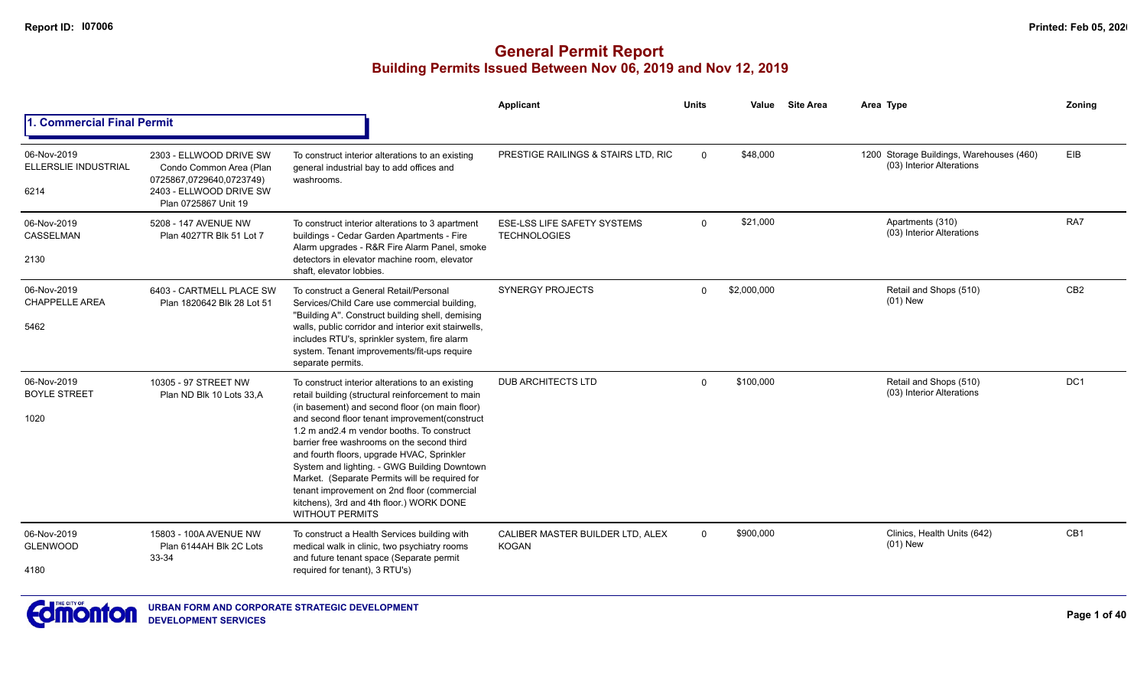|                                                    |                                                                                                                                   |                                                                                                                                                                                                                                                                                                                                                                                                                                                                                                                                                                            | Applicant                                                 | <b>Units</b>   | Value       | <b>Site Area</b> | Area Type                                                             | Zoning          |
|----------------------------------------------------|-----------------------------------------------------------------------------------------------------------------------------------|----------------------------------------------------------------------------------------------------------------------------------------------------------------------------------------------------------------------------------------------------------------------------------------------------------------------------------------------------------------------------------------------------------------------------------------------------------------------------------------------------------------------------------------------------------------------------|-----------------------------------------------------------|----------------|-------------|------------------|-----------------------------------------------------------------------|-----------------|
| 1. Commercial Final Permit                         |                                                                                                                                   |                                                                                                                                                                                                                                                                                                                                                                                                                                                                                                                                                                            |                                                           |                |             |                  |                                                                       |                 |
| 06-Nov-2019<br><b>ELLERSLIE INDUSTRIAL</b><br>6214 | 2303 - ELLWOOD DRIVE SW<br>Condo Common Area (Plan<br>0725867,0729640,0723749)<br>2403 - ELLWOOD DRIVE SW<br>Plan 0725867 Unit 19 | To construct interior alterations to an existing<br>general industrial bay to add offices and<br>washrooms.                                                                                                                                                                                                                                                                                                                                                                                                                                                                | PRESTIGE RAILINGS & STAIRS LTD, RIC                       | $\overline{0}$ | \$48,000    |                  | 1200 Storage Buildings, Warehouses (460)<br>(03) Interior Alterations | EIB             |
| 06-Nov-2019<br>CASSELMAN<br>2130                   | 5208 - 147 AVENUE NW<br>Plan 4027TR Blk 51 Lot 7                                                                                  | To construct interior alterations to 3 apartment<br>buildings - Cedar Garden Apartments - Fire<br>Alarm upgrades - R&R Fire Alarm Panel, smoke<br>detectors in elevator machine room, elevator<br>shaft, elevator lobbies.                                                                                                                                                                                                                                                                                                                                                 | <b>ESE-LSS LIFE SAFETY SYSTEMS</b><br><b>TECHNOLOGIES</b> | $\Omega$       | \$21,000    |                  | Apartments (310)<br>(03) Interior Alterations                         | RA7             |
| 06-Nov-2019<br><b>CHAPPELLE AREA</b><br>5462       | 6403 - CARTMELL PLACE SW<br>Plan 1820642 Blk 28 Lot 51                                                                            | To construct a General Retail/Personal<br>Services/Child Care use commercial building,<br>"Building A". Construct building shell, demising<br>walls, public corridor and interior exit stairwells,<br>includes RTU's, sprinkler system, fire alarm<br>system. Tenant improvements/fit-ups require<br>separate permits.                                                                                                                                                                                                                                                     | <b>SYNERGY PROJECTS</b>                                   | $\Omega$       | \$2,000,000 |                  | Retail and Shops (510)<br>$(01)$ New                                  | CB <sub>2</sub> |
| 06-Nov-2019<br><b>BOYLE STREET</b><br>1020         | 10305 - 97 STREET NW<br>Plan ND Blk 10 Lots 33,A                                                                                  | To construct interior alterations to an existing<br>retail building (structural reinforcement to main<br>(in basement) and second floor (on main floor)<br>and second floor tenant improvement(construct<br>1.2 m and 2.4 m vendor booths. To construct<br>barrier free washrooms on the second third<br>and fourth floors, upgrade HVAC, Sprinkler<br>System and lighting. - GWG Building Downtown<br>Market. (Separate Permits will be required for<br>tenant improvement on 2nd floor (commercial<br>kitchens), 3rd and 4th floor.) WORK DONE<br><b>WITHOUT PERMITS</b> | <b>DUB ARCHITECTS LTD</b>                                 | $\Omega$       | \$100,000   |                  | Retail and Shops (510)<br>(03) Interior Alterations                   | DC <sub>1</sub> |
| 06-Nov-2019<br><b>GLENWOOD</b><br>4180             | 15803 - 100A AVENUE NW<br>Plan 6144AH Blk 2C Lots<br>33-34                                                                        | To construct a Health Services building with<br>medical walk in clinic, two psychiatry rooms<br>and future tenant space (Separate permit<br>required for tenant), 3 RTU's)                                                                                                                                                                                                                                                                                                                                                                                                 | CALIBER MASTER BUILDER LTD, ALEX<br><b>KOGAN</b>          | $\Omega$       | \$900,000   |                  | Clinics, Health Units (642)<br>$(01)$ New                             | CB <sub>1</sub> |

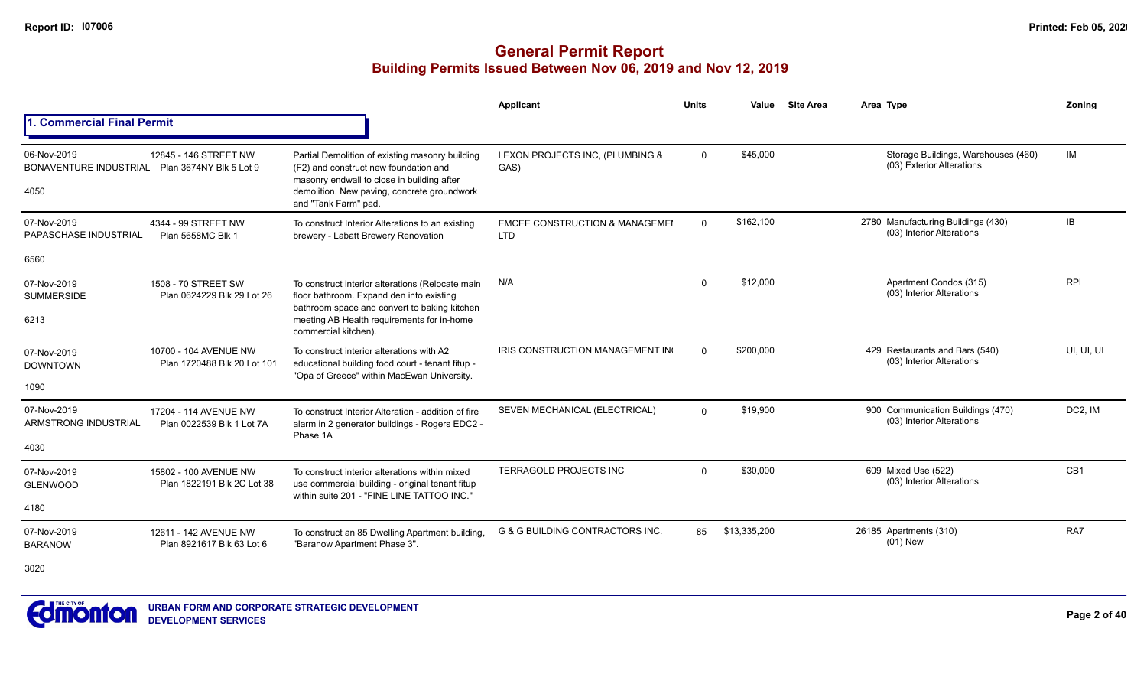|                                                                       |                                                      |                                                                                                                                                                                                                    | Applicant                                               | <b>Units</b> | Value        | <b>Site Area</b> | Area Type                                                        | Zonina     |
|-----------------------------------------------------------------------|------------------------------------------------------|--------------------------------------------------------------------------------------------------------------------------------------------------------------------------------------------------------------------|---------------------------------------------------------|--------------|--------------|------------------|------------------------------------------------------------------|------------|
| 1. Commercial Final Permit                                            |                                                      |                                                                                                                                                                                                                    |                                                         |              |              |                  |                                                                  |            |
| 06-Nov-2019<br>BONAVENTURE INDUSTRIAL Plan 3674NY Blk 5 Lot 9<br>4050 | 12845 - 146 STREET NW                                | Partial Demolition of existing masonry building<br>(F2) and construct new foundation and<br>masonry endwall to close in building after<br>demolition. New paving, concrete groundwork<br>and "Tank Farm" pad.      | LEXON PROJECTS INC, (PLUMBING &<br>GAS)                 | $\mathbf 0$  | \$45,000     |                  | Storage Buildings, Warehouses (460)<br>(03) Exterior Alterations | IM         |
| 07-Nov-2019<br>PAPASCHASE INDUSTRIAL                                  | 4344 - 99 STREET NW<br>Plan 5658MC Blk 1             | To construct Interior Alterations to an existing<br>brewery - Labatt Brewery Renovation                                                                                                                            | <b>EMCEE CONSTRUCTION &amp; MANAGEMEI</b><br><b>LTD</b> | $\Omega$     | \$162,100    |                  | 2780 Manufacturing Buildings (430)<br>(03) Interior Alterations  | IB         |
| 6560                                                                  |                                                      |                                                                                                                                                                                                                    |                                                         |              |              |                  |                                                                  |            |
| 07-Nov-2019<br><b>SUMMERSIDE</b><br>6213                              | 1508 - 70 STREET SW<br>Plan 0624229 Blk 29 Lot 26    | To construct interior alterations (Relocate main<br>floor bathroom. Expand den into existing<br>bathroom space and convert to baking kitchen<br>meeting AB Health requirements for in-home<br>commercial kitchen). | N/A                                                     | $\Omega$     | \$12,000     |                  | Apartment Condos (315)<br>(03) Interior Alterations              | <b>RPL</b> |
| 07-Nov-2019<br><b>DOWNTOWN</b><br>1090                                | 10700 - 104 AVENUE NW<br>Plan 1720488 Blk 20 Lot 101 | To construct interior alterations with A2<br>educational building food court - tenant fitup -<br>"Opa of Greece" within MacEwan University.                                                                        | IRIS CONSTRUCTION MANAGEMENT IN                         | $\Omega$     | \$200,000    |                  | 429 Restaurants and Bars (540)<br>(03) Interior Alterations      | UI, UI, UI |
| 07-Nov-2019<br>ARMSTRONG INDUSTRIAL<br>4030                           | 17204 - 114 AVENUE NW<br>Plan 0022539 Blk 1 Lot 7A   | To construct Interior Alteration - addition of fire<br>alarm in 2 generator buildings - Rogers EDC2 -<br>Phase 1A                                                                                                  | SEVEN MECHANICAL (ELECTRICAL)                           | $\Omega$     | \$19,900     |                  | 900 Communication Buildings (470)<br>(03) Interior Alterations   | DC2, IM    |
| 07-Nov-2019<br><b>GLENWOOD</b><br>4180                                | 15802 - 100 AVENUE NW<br>Plan 1822191 Blk 2C Lot 38  | To construct interior alterations within mixed<br>use commercial building - original tenant fitup<br>within suite 201 - "FINE LINE TATTOO INC."                                                                    | <b>TERRAGOLD PROJECTS INC</b>                           | $\Omega$     | \$30,000     |                  | 609 Mixed Use (522)<br>(03) Interior Alterations                 | CB1        |
| 07-Nov-2019<br><b>BARANOW</b><br>3020                                 | 12611 - 142 AVENUE NW<br>Plan 8921617 Blk 63 Lot 6   | To construct an 85 Dwelling Apartment building,<br>"Baranow Apartment Phase 3".                                                                                                                                    | <b>G &amp; G BUILDING CONTRACTORS INC.</b>              | 85           | \$13,335,200 |                  | 26185 Apartments (310)<br>$(01)$ New                             | RA7        |

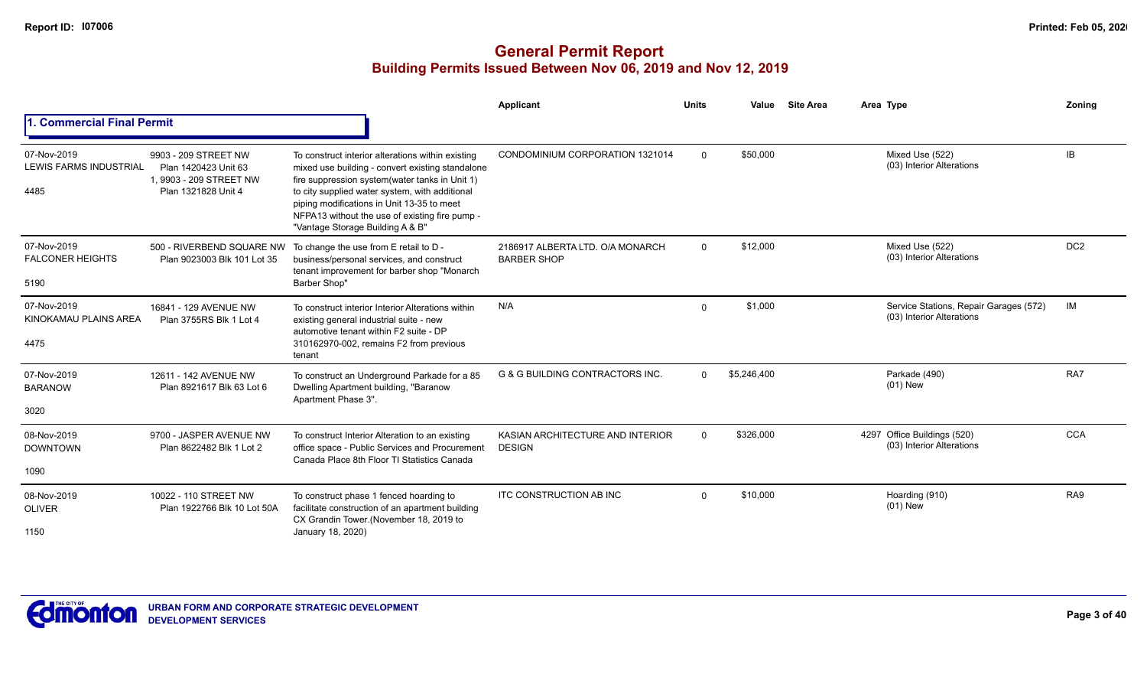|                                                      |                                                                                               |                                                                                                                                                                                                                                                                                                                                               | Applicant                                              | <b>Units</b> | Value       | <b>Site Area</b> | Area Type                                                           | Zoning          |
|------------------------------------------------------|-----------------------------------------------------------------------------------------------|-----------------------------------------------------------------------------------------------------------------------------------------------------------------------------------------------------------------------------------------------------------------------------------------------------------------------------------------------|--------------------------------------------------------|--------------|-------------|------------------|---------------------------------------------------------------------|-----------------|
| <b>Commercial Final Permit</b>                       |                                                                                               |                                                                                                                                                                                                                                                                                                                                               |                                                        |              |             |                  |                                                                     |                 |
| 07-Nov-2019<br><b>LEWIS FARMS INDUSTRIAL</b><br>4485 | 9903 - 209 STREET NW<br>Plan 1420423 Unit 63<br>1.9903 - 209 STREET NW<br>Plan 1321828 Unit 4 | To construct interior alterations within existing<br>mixed use building - convert existing standalone<br>fire suppression system(water tanks in Unit 1)<br>to city supplied water system, with additional<br>piping modifications in Unit 13-35 to meet<br>NFPA13 without the use of existing fire pump -<br>"Vantage Storage Building A & B" | CONDOMINIUM CORPORATION 1321014                        | $\Omega$     | \$50,000    |                  | Mixed Use (522)<br>(03) Interior Alterations                        | IB              |
| 07-Nov-2019<br><b>FALCONER HEIGHTS</b><br>5190       | 500 - RIVERBEND SQUARE NW<br>Plan 9023003 Blk 101 Lot 35                                      | To change the use from E retail to D -<br>business/personal services, and construct<br>tenant improvement for barber shop "Monarch<br>Barber Shop"                                                                                                                                                                                            | 2186917 ALBERTA LTD, O/A MONARCH<br><b>BARBER SHOP</b> | $\Omega$     | \$12,000    |                  | Mixed Use (522)<br>(03) Interior Alterations                        | DC <sub>2</sub> |
| 07-Nov-2019<br>KINOKAMAU PLAINS AREA<br>4475         | 16841 - 129 AVENUE NW<br>Plan 3755RS Blk 1 Lot 4                                              | To construct interior Interior Alterations within<br>existing general industrial suite - new<br>automotive tenant within F2 suite - DP<br>310162970-002, remains F2 from previous<br>tenant                                                                                                                                                   | N/A                                                    | $\Omega$     | \$1,000     |                  | Service Stations, Repair Garages (572)<br>(03) Interior Alterations | IM              |
| 07-Nov-2019<br><b>BARANOW</b><br>3020                | 12611 - 142 AVENUE NW<br>Plan 8921617 Blk 63 Lot 6                                            | To construct an Underground Parkade for a 85<br>Dwelling Apartment building, "Baranow<br>Apartment Phase 3".                                                                                                                                                                                                                                  | <b>G &amp; G BUILDING CONTRACTORS INC.</b>             | $\Omega$     | \$5,246,400 |                  | Parkade (490)<br>$(01)$ New                                         | RA7             |
| 08-Nov-2019<br><b>DOWNTOWN</b><br>1090               | 9700 - JASPER AVENUE NW<br>Plan 8622482 Blk 1 Lot 2                                           | To construct Interior Alteration to an existing<br>office space - Public Services and Procurement<br>Canada Place 8th Floor TI Statistics Canada                                                                                                                                                                                              | KASIAN ARCHITECTURE AND INTERIOR<br><b>DESIGN</b>      | $\Omega$     | \$326,000   |                  | 4297 Office Buildings (520)<br>(03) Interior Alterations            | <b>CCA</b>      |
| 08-Nov-2019<br><b>OLIVER</b><br>1150                 | 10022 - 110 STREET NW<br>Plan 1922766 Blk 10 Lot 50A                                          | To construct phase 1 fenced hoarding to<br>facilitate construction of an apartment building<br>CX Grandin Tower.(November 18, 2019 to<br>January 18, 2020)                                                                                                                                                                                    | <b>ITC CONSTRUCTION AB INC</b>                         | $\Omega$     | \$10,000    |                  | Hoarding (910)<br>$(01)$ New                                        | RA9             |

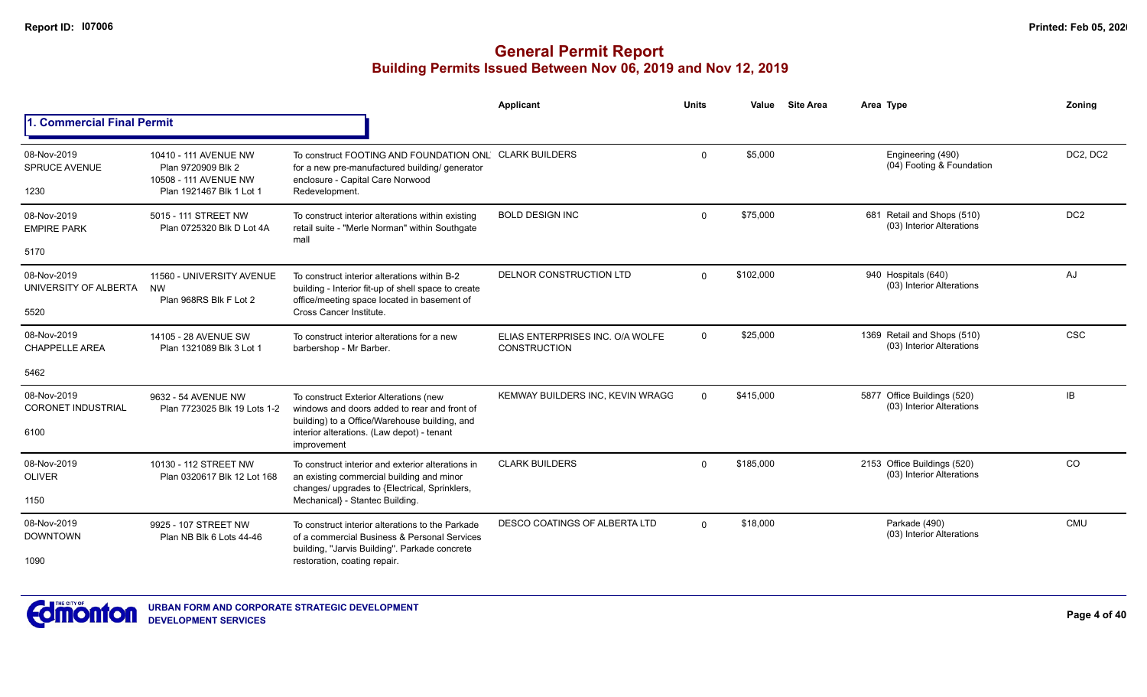|                                             |                                                                                                  |                                                                                                                                                                | Applicant                                               | <b>Units</b> | Value     | <b>Site Area</b> | Area Type                                                | Zonina          |
|---------------------------------------------|--------------------------------------------------------------------------------------------------|----------------------------------------------------------------------------------------------------------------------------------------------------------------|---------------------------------------------------------|--------------|-----------|------------------|----------------------------------------------------------|-----------------|
| 1. Commercial Final Permit                  |                                                                                                  |                                                                                                                                                                |                                                         |              |           |                  |                                                          |                 |
| 08-Nov-2019<br><b>SPRUCE AVENUE</b><br>1230 | 10410 - 111 AVENUE NW<br>Plan 9720909 Blk 2<br>10508 - 111 AVENUE NW<br>Plan 1921467 Blk 1 Lot 1 | To construct FOOTING AND FOUNDATION ONL CLARK BUILDERS<br>for a new pre-manufactured building/ generator<br>enclosure - Capital Care Norwood<br>Redevelopment. |                                                         | $\Omega$     | \$5,000   |                  | Engineering (490)<br>(04) Footing & Foundation           | DC2, DC2        |
| 08-Nov-2019<br><b>EMPIRE PARK</b>           | 5015 - 111 STREET NW<br>Plan 0725320 Blk D Lot 4A                                                | To construct interior alterations within existing<br>retail suite - "Merle Norman" within Southgate<br>mall                                                    | <b>BOLD DESIGN INC</b>                                  | $\Omega$     | \$75,000  |                  | 681 Retail and Shops (510)<br>(03) Interior Alterations  | DC <sub>2</sub> |
| 5170                                        |                                                                                                  |                                                                                                                                                                |                                                         |              |           |                  |                                                          |                 |
| 08-Nov-2019<br>UNIVERSITY OF ALBERTA        | 11560 - UNIVERSITY AVENUE<br><b>NW</b><br>Plan 968RS Blk F Lot 2                                 | To construct interior alterations within B-2<br>building - Interior fit-up of shell space to create<br>office/meeting space located in basement of             | DELNOR CONSTRUCTION LTD                                 | $\Omega$     | \$102,000 |                  | 940 Hospitals (640)<br>(03) Interior Alterations         | AJ              |
| 5520                                        |                                                                                                  | Cross Cancer Institute.                                                                                                                                        |                                                         |              |           |                  |                                                          |                 |
| 08-Nov-2019<br><b>CHAPPELLE AREA</b>        | 14105 - 28 AVENUE SW<br>Plan 1321089 Blk 3 Lot 1                                                 | To construct interior alterations for a new<br>barbershop - Mr Barber.                                                                                         | ELIAS ENTERPRISES INC. O/A WOLFE<br><b>CONSTRUCTION</b> | $\mathbf{0}$ | \$25,000  |                  | 1369 Retail and Shops (510)<br>(03) Interior Alterations | <b>CSC</b>      |
| 5462                                        |                                                                                                  |                                                                                                                                                                |                                                         |              |           |                  |                                                          |                 |
| 08-Nov-2019<br><b>CORONET INDUSTRIAL</b>    | 9632 - 54 AVENUE NW<br>Plan 7723025 Blk 19 Lots 1-2                                              | To construct Exterior Alterations (new<br>windows and doors added to rear and front of<br>building) to a Office/Warehouse building, and                        | KEMWAY BUILDERS INC, KEVIN WRAGC                        | $\Omega$     | \$415,000 |                  | 5877 Office Buildings (520)<br>(03) Interior Alterations | IB.             |
| 6100                                        |                                                                                                  | interior alterations. (Law depot) - tenant<br>improvement                                                                                                      |                                                         |              |           |                  |                                                          |                 |
| 08-Nov-2019<br><b>OLIVER</b>                | 10130 - 112 STREET NW<br>Plan 0320617 Blk 12 Lot 168                                             | To construct interior and exterior alterations in<br>an existing commercial building and minor                                                                 | <b>CLARK BUILDERS</b>                                   | $\Omega$     | \$185,000 |                  | 2153 Office Buildings (520)<br>(03) Interior Alterations | CO              |
| 1150                                        |                                                                                                  | changes/ upgrades to {Electrical, Sprinklers,<br>Mechanical} - Stantec Building.                                                                               |                                                         |              |           |                  |                                                          |                 |
| 08-Nov-2019<br><b>DOWNTOWN</b>              | 9925 - 107 STREET NW<br>Plan NB Blk 6 Lots 44-46                                                 | To construct interior alterations to the Parkade<br>of a commercial Business & Personal Services<br>building, "Jarvis Building". Parkade concrete              | <b>DESCO COATINGS OF ALBERTA LTD</b>                    | $\Omega$     | \$18,000  |                  | Parkade (490)<br>(03) Interior Alterations               | CMU             |
| 1090                                        |                                                                                                  | restoration, coating repair.                                                                                                                                   |                                                         |              |           |                  |                                                          |                 |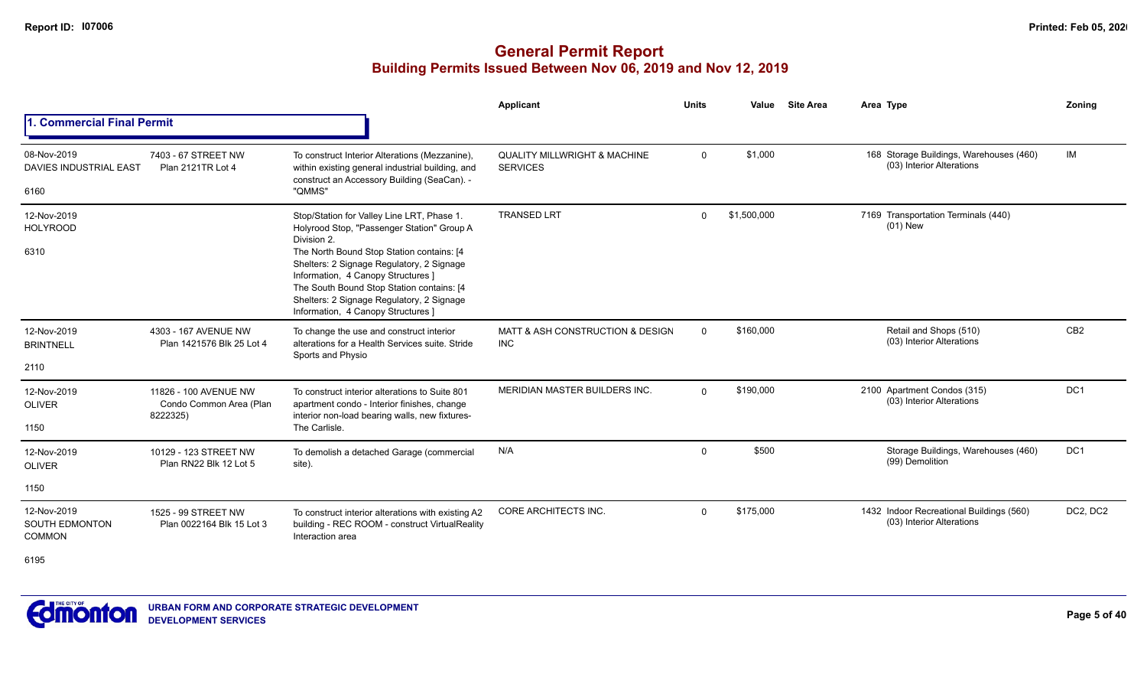|                                                       |                                                              |                                                                                                                                                                                                                                                              | Applicant                                                  | <b>Units</b> | Value       | <b>Site Area</b> | Area Type                                                             | Zoning          |
|-------------------------------------------------------|--------------------------------------------------------------|--------------------------------------------------------------------------------------------------------------------------------------------------------------------------------------------------------------------------------------------------------------|------------------------------------------------------------|--------------|-------------|------------------|-----------------------------------------------------------------------|-----------------|
| <b>Commercial Final Permit</b>                        |                                                              |                                                                                                                                                                                                                                                              |                                                            |              |             |                  |                                                                       |                 |
| 08-Nov-2019<br><b>DAVIES INDUSTRIAL EAST</b>          | 7403 - 67 STREET NW<br>Plan 2121TR Lot 4                     | To construct Interior Alterations (Mezzanine),<br>within existing general industrial building, and<br>construct an Accessory Building (SeaCan). -                                                                                                            | <b>QUALITY MILLWRIGHT &amp; MACHINE</b><br><b>SERVICES</b> | $\Omega$     | \$1,000     |                  | 168 Storage Buildings, Warehouses (460)<br>(03) Interior Alterations  | IM              |
| 6160                                                  |                                                              | "QMMS"                                                                                                                                                                                                                                                       |                                                            |              |             |                  |                                                                       |                 |
| 12-Nov-2019<br><b>HOLYROOD</b>                        |                                                              | Stop/Station for Valley Line LRT, Phase 1.<br>Holyrood Stop, "Passenger Station" Group A<br>Division 2.                                                                                                                                                      | <b>TRANSED LRT</b>                                         | $\Omega$     | \$1,500,000 |                  | 7169 Transportation Terminals (440)<br>$(01)$ New                     |                 |
| 6310                                                  |                                                              | The North Bound Stop Station contains: [4<br>Shelters: 2 Signage Regulatory, 2 Signage<br>Information, 4 Canopy Structures ]<br>The South Bound Stop Station contains: [4<br>Shelters: 2 Signage Regulatory, 2 Signage<br>Information, 4 Canopy Structures ] |                                                            |              |             |                  |                                                                       |                 |
| 12-Nov-2019<br><b>BRINTNELL</b>                       | 4303 - 167 AVENUE NW<br>Plan 1421576 Blk 25 Lot 4            | To change the use and construct interior<br>alterations for a Health Services suite. Stride<br>Sports and Physio                                                                                                                                             | MATT & ASH CONSTRUCTION & DESIGN<br><b>INC</b>             | $\Omega$     | \$160,000   |                  | Retail and Shops (510)<br>(03) Interior Alterations                   | CB <sub>2</sub> |
| 2110                                                  |                                                              |                                                                                                                                                                                                                                                              |                                                            |              |             |                  |                                                                       |                 |
| 12-Nov-2019<br><b>OLIVER</b>                          | 11826 - 100 AVENUE NW<br>Condo Common Area (Plan<br>8222325) | To construct interior alterations to Suite 801<br>apartment condo - Interior finishes, change<br>interior non-load bearing walls, new fixtures-                                                                                                              | MERIDIAN MASTER BUILDERS INC.                              | $\Omega$     | \$190,000   |                  | 2100 Apartment Condos (315)<br>(03) Interior Alterations              | DC <sub>1</sub> |
| 1150                                                  |                                                              | The Carlisle.                                                                                                                                                                                                                                                |                                                            |              |             |                  |                                                                       |                 |
| 12-Nov-2019<br><b>OLIVER</b>                          | 10129 - 123 STREET NW<br>Plan RN22 Blk 12 Lot 5              | To demolish a detached Garage (commercial<br>site).                                                                                                                                                                                                          | N/A                                                        | $\Omega$     | \$500       |                  | Storage Buildings, Warehouses (460)<br>(99) Demolition                | DC <sub>1</sub> |
| 1150                                                  |                                                              |                                                                                                                                                                                                                                                              |                                                            |              |             |                  |                                                                       |                 |
| 12-Nov-2019<br><b>SOUTH EDMONTON</b><br><b>COMMON</b> | 1525 - 99 STREET NW<br>Plan 0022164 Blk 15 Lot 3             | To construct interior alterations with existing A2<br>building - REC ROOM - construct VirtualReality<br>Interaction area                                                                                                                                     | CORE ARCHITECTS INC.                                       | $\Omega$     | \$175,000   |                  | 1432 Indoor Recreational Buildings (560)<br>(03) Interior Alterations | DC2, DC2        |
| 0.405                                                 |                                                              |                                                                                                                                                                                                                                                              |                                                            |              |             |                  |                                                                       |                 |



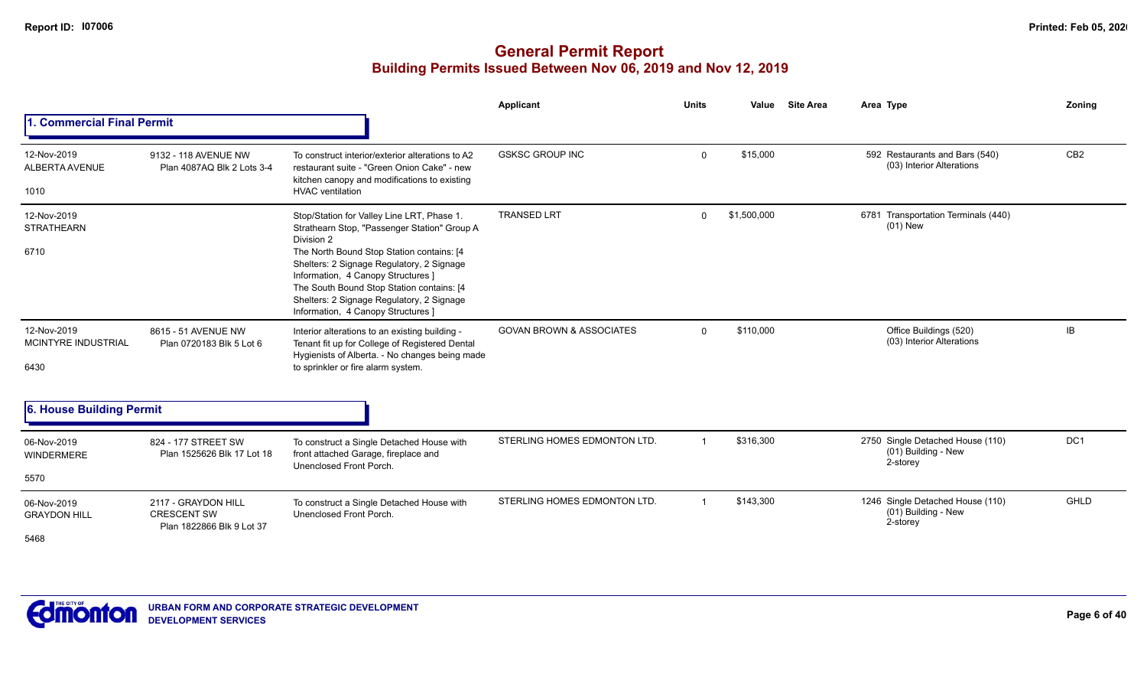|                                            |                                                                        |                                                                                                                                                                                                                                                                                                                                                                           | <b>Applicant</b>                    | <b>Units</b> | Value       | <b>Site Area</b> | Area Type                                                           | Zoning          |
|--------------------------------------------|------------------------------------------------------------------------|---------------------------------------------------------------------------------------------------------------------------------------------------------------------------------------------------------------------------------------------------------------------------------------------------------------------------------------------------------------------------|-------------------------------------|--------------|-------------|------------------|---------------------------------------------------------------------|-----------------|
| 1. Commercial Final Permit                 |                                                                        |                                                                                                                                                                                                                                                                                                                                                                           |                                     |              |             |                  |                                                                     |                 |
| 12-Nov-2019<br>ALBERTA AVENUE<br>1010      | 9132 - 118 AVENUE NW<br>Plan 4087AQ Blk 2 Lots 3-4                     | To construct interior/exterior alterations to A2<br>restaurant suite - "Green Onion Cake" - new<br>kitchen canopy and modifications to existing<br><b>HVAC</b> ventilation                                                                                                                                                                                                | <b>GSKSC GROUP INC</b>              | $\mathbf 0$  | \$15,000    |                  | 592 Restaurants and Bars (540)<br>(03) Interior Alterations         | CB <sub>2</sub> |
| 12-Nov-2019<br><b>STRATHEARN</b><br>6710   |                                                                        | Stop/Station for Valley Line LRT, Phase 1.<br>Strathearn Stop, "Passenger Station" Group A<br>Division 2<br>The North Bound Stop Station contains: [4]<br>Shelters: 2 Signage Regulatory, 2 Signage<br>Information, 4 Canopy Structures ]<br>The South Bound Stop Station contains: [4<br>Shelters: 2 Signage Regulatory, 2 Signage<br>Information, 4 Canopy Structures ] | <b>TRANSED LRT</b>                  | $\Omega$     | \$1,500,000 |                  | 6781 Transportation Terminals (440)<br>$(01)$ New                   |                 |
| 12-Nov-2019<br>MCINTYRE INDUSTRIAL<br>6430 | 8615 - 51 AVENUE NW<br>Plan 0720183 Blk 5 Lot 6                        | Interior alterations to an existing building -<br>Tenant fit up for College of Registered Dental<br>Hygienists of Alberta. - No changes being made<br>to sprinkler or fire alarm system.                                                                                                                                                                                  | <b>GOVAN BROWN &amp; ASSOCIATES</b> | $\mathbf 0$  | \$110,000   |                  | Office Buildings (520)<br>(03) Interior Alterations                 | IB              |
| 6. House Building Permit                   |                                                                        |                                                                                                                                                                                                                                                                                                                                                                           |                                     |              |             |                  |                                                                     |                 |
| 06-Nov-2019<br>WINDERMERE                  | 824 - 177 STREET SW<br>Plan 1525626 Blk 17 Lot 18                      | To construct a Single Detached House with<br>front attached Garage, fireplace and<br>Unenclosed Front Porch.                                                                                                                                                                                                                                                              | STERLING HOMES EDMONTON LTD.        |              | \$316,300   |                  | 2750 Single Detached House (110)<br>(01) Building - New<br>2-storey | DC <sub>1</sub> |
| 5570                                       |                                                                        |                                                                                                                                                                                                                                                                                                                                                                           |                                     |              |             |                  |                                                                     |                 |
| 06-Nov-2019<br><b>GRAYDON HILL</b><br>5468 | 2117 - GRAYDON HILL<br><b>CRESCENT SW</b><br>Plan 1822866 Blk 9 Lot 37 | To construct a Single Detached House with<br>Unenclosed Front Porch.                                                                                                                                                                                                                                                                                                      | STERLING HOMES EDMONTON LTD.        |              | \$143,300   |                  | 1246 Single Detached House (110)<br>(01) Building - New<br>2-storey | <b>GHLD</b>     |

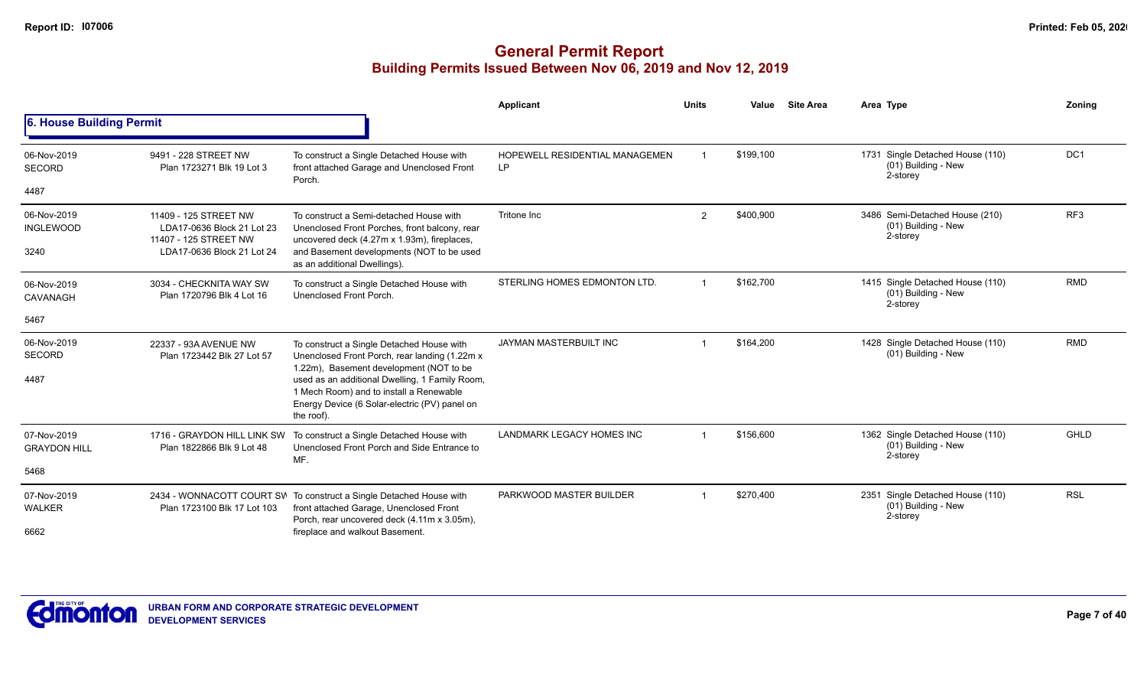|                                    |                                                                              |                                                                                                                                                               | Applicant                                    | <b>Units</b>   | Value     | <b>Site Area</b> | Area Type                                                           | Zoning          |
|------------------------------------|------------------------------------------------------------------------------|---------------------------------------------------------------------------------------------------------------------------------------------------------------|----------------------------------------------|----------------|-----------|------------------|---------------------------------------------------------------------|-----------------|
| 6. House Building Permit           |                                                                              |                                                                                                                                                               |                                              |                |           |                  |                                                                     |                 |
| 06-Nov-2019<br><b>SECORD</b>       | 9491 - 228 STREET NW<br>Plan 1723271 Blk 19 Lot 3                            | To construct a Single Detached House with<br>front attached Garage and Unenclosed Front<br>Porch.                                                             | <b>HOPEWELL RESIDENTIAL MANAGEMEN</b><br>LP. |                | \$199,100 |                  | 1731 Single Detached House (110)<br>(01) Building - New<br>2-storey | DC <sub>1</sub> |
| 4487                               |                                                                              |                                                                                                                                                               |                                              |                |           |                  |                                                                     |                 |
| 06-Nov-2019<br><b>INGLEWOOD</b>    | 11409 - 125 STREET NW<br>LDA17-0636 Block 21 Lot 23<br>11407 - 125 STREET NW | To construct a Semi-detached House with<br>Unenclosed Front Porches, front balcony, rear<br>uncovered deck (4.27m x 1.93m), fireplaces,                       | Tritone Inc                                  | $\overline{2}$ | \$400,900 |                  | 3486 Semi-Detached House (210)<br>(01) Building - New<br>2-storey   | RF <sub>3</sub> |
| 3240                               | LDA17-0636 Block 21 Lot 24                                                   | and Basement developments (NOT to be used<br>as an additional Dwellings).                                                                                     |                                              |                |           |                  |                                                                     |                 |
| 06-Nov-2019<br>CAVANAGH            | 3034 - CHECKNITA WAY SW<br>Plan 1720796 Blk 4 Lot 16                         | To construct a Single Detached House with<br>Unenclosed Front Porch.                                                                                          | STERLING HOMES EDMONTON LTD                  | -1             | \$162,700 |                  | 1415 Single Detached House (110)<br>(01) Building - New<br>2-storey | RMD             |
| 5467                               |                                                                              |                                                                                                                                                               |                                              |                |           |                  |                                                                     |                 |
| 06-Nov-2019<br><b>SECORD</b>       | 22337 - 93A AVENUE NW<br>Plan 1723442 Blk 27 Lot 57                          | To construct a Single Detached House with<br>Unenclosed Front Porch, rear landing (1.22m x<br>1.22m), Basement development (NOT to be                         | JAYMAN MASTERBUILT INC                       |                | \$164,200 |                  | 1428 Single Detached House (110)<br>(01) Building - New             | <b>RMD</b>      |
| 4487                               |                                                                              | used as an additional Dwelling, 1 Family Room,<br>1 Mech Room) and to install a Renewable<br>Energy Device (6 Solar-electric (PV) panel on<br>the roof).      |                                              |                |           |                  |                                                                     |                 |
| 07-Nov-2019<br><b>GRAYDON HILL</b> | 1716 - GRAYDON HILL LINK SW<br>Plan 1822866 Blk 9 Lot 48                     | To construct a Single Detached House with<br>Unenclosed Front Porch and Side Entrance to<br>MF.                                                               | <b>LANDMARK LEGACY HOMES INC</b>             |                | \$156,600 |                  | 1362 Single Detached House (110)<br>(01) Building - New<br>2-storey | <b>GHLD</b>     |
| 5468                               |                                                                              |                                                                                                                                                               |                                              |                |           |                  |                                                                     |                 |
| 07-Nov-2019<br><b>WALKER</b>       | Plan 1723100 Blk 17 Lot 103                                                  | 2434 - WONNACOTT COURT SW To construct a Single Detached House with<br>front attached Garage, Unenclosed Front<br>Porch, rear uncovered deck (4.11m x 3.05m), | PARKWOOD MASTER BUILDER                      |                | \$270,400 |                  | 2351 Single Detached House (110)<br>(01) Building - New<br>2-storey | <b>RSL</b>      |
| 6662                               |                                                                              | fireplace and walkout Basement.                                                                                                                               |                                              |                |           |                  |                                                                     |                 |

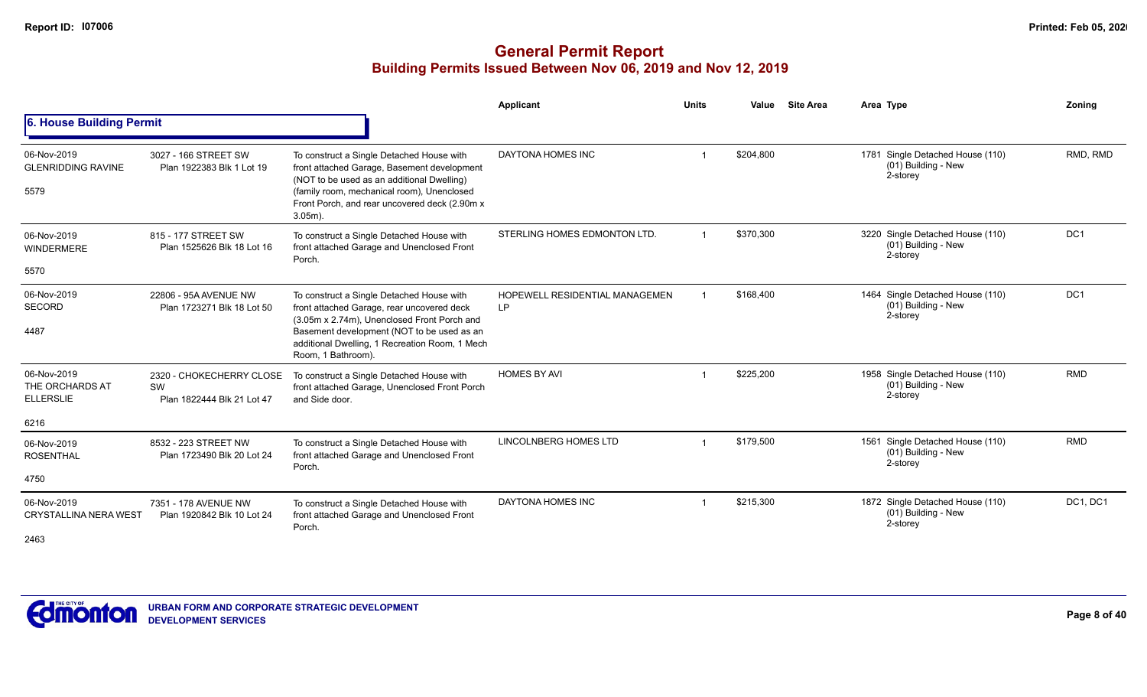|                                                            |                                                              |                                                                                                                                                                                                                                                              | Applicant                            | <b>Units</b>   | Value     | <b>Site Area</b> | Area Type                                                           | Zonina          |
|------------------------------------------------------------|--------------------------------------------------------------|--------------------------------------------------------------------------------------------------------------------------------------------------------------------------------------------------------------------------------------------------------------|--------------------------------------|----------------|-----------|------------------|---------------------------------------------------------------------|-----------------|
| 6. House Building Permit                                   |                                                              |                                                                                                                                                                                                                                                              |                                      |                |           |                  |                                                                     |                 |
| 06-Nov-2019<br><b>GLENRIDDING RAVINE</b><br>5579           | 3027 - 166 STREET SW<br>Plan 1922383 Blk 1 Lot 19            | To construct a Single Detached House with<br>front attached Garage, Basement development<br>(NOT to be used as an additional Dwelling)<br>(family room, mechanical room), Unenclosed<br>Front Porch, and rear uncovered deck (2.90m x<br>$3.05m$ ).          | DAYTONA HOMES INC                    |                | \$204,800 |                  | 1781 Single Detached House (110)<br>(01) Building - New<br>2-storey | RMD, RMD        |
| 06-Nov-2019<br><b>WINDERMERE</b><br>5570                   | 815 - 177 STREET SW<br>Plan 1525626 Blk 18 Lot 16            | To construct a Single Detached House with<br>front attached Garage and Unenclosed Front<br>Porch.                                                                                                                                                            | STERLING HOMES EDMONTON LTD.         | $\overline{ }$ | \$370,300 |                  | 3220 Single Detached House (110)<br>(01) Building - New<br>2-storey | DC1             |
| 06-Nov-2019<br><b>SECORD</b><br>4487                       | 22806 - 95A AVENUE NW<br>Plan 1723271 Blk 18 Lot 50          | To construct a Single Detached House with<br>front attached Garage, rear uncovered deck<br>(3.05m x 2.74m), Unenclosed Front Porch and<br>Basement development (NOT to be used as an<br>additional Dwelling, 1 Recreation Room, 1 Mech<br>Room, 1 Bathroom). | HOPEWELL RESIDENTIAL MANAGEMEN<br>LP |                | \$168,400 |                  | 1464 Single Detached House (110)<br>(01) Building - New<br>2-storey | DC <sub>1</sub> |
| 06-Nov-2019<br>THE ORCHARDS AT<br><b>ELLERSLIE</b><br>6216 | 2320 - CHOKECHERRY CLOSE<br>SW<br>Plan 1822444 Blk 21 Lot 47 | To construct a Single Detached House with<br>front attached Garage, Unenclosed Front Porch<br>and Side door.                                                                                                                                                 | <b>HOMES BY AVI</b>                  |                | \$225,200 |                  | 1958 Single Detached House (110)<br>(01) Building - New<br>2-storey | <b>RMD</b>      |
| 06-Nov-2019<br><b>ROSENTHAL</b><br>4750                    | 8532 - 223 STREET NW<br>Plan 1723490 Blk 20 Lot 24           | To construct a Single Detached House with<br>front attached Garage and Unenclosed Front<br>Porch.                                                                                                                                                            | LINCOLNBERG HOMES LTD                | $\overline{1}$ | \$179,500 |                  | 1561 Single Detached House (110)<br>(01) Building - New<br>2-storey | <b>RMD</b>      |
| 06-Nov-2019<br><b>CRYSTALLINA NERA WEST</b><br>2463        | 7351 - 178 AVENUE NW<br>Plan 1920842 Blk 10 Lot 24           | To construct a Single Detached House with<br>front attached Garage and Unenclosed Front<br>Porch.                                                                                                                                                            | DAYTONA HOMES INC                    |                | \$215,300 |                  | 1872 Single Detached House (110)<br>(01) Building - New<br>2-storey | DC1, DC1        |

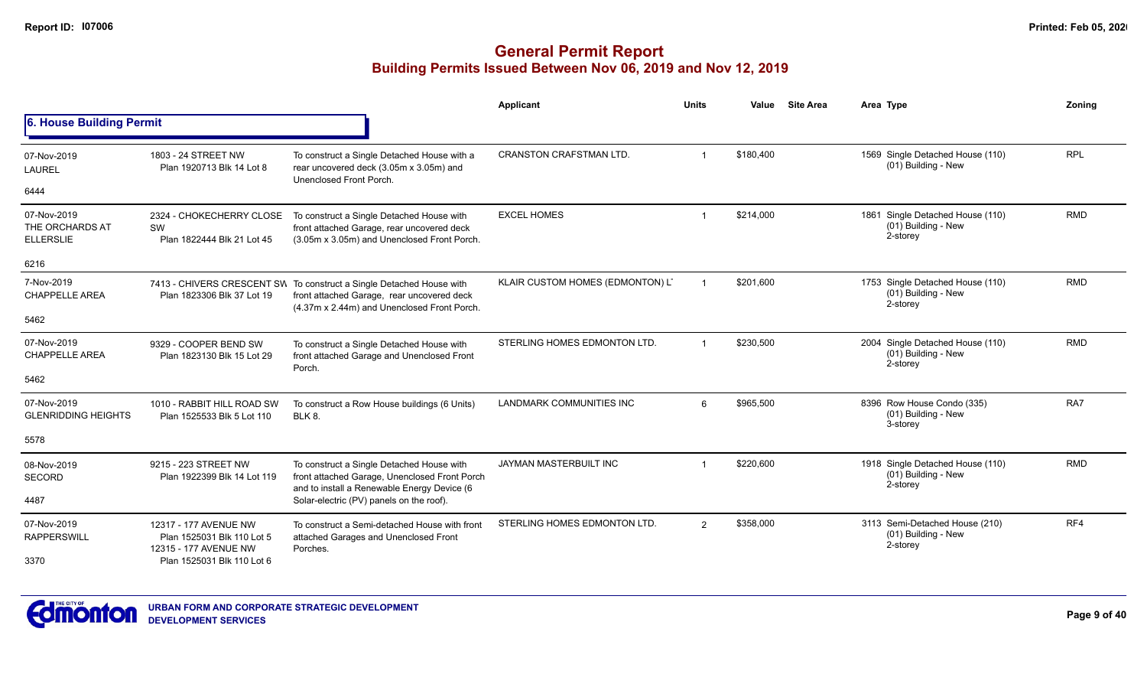|                                                    |                                                                              |                                                                                                                                                                   | Applicant                        | <b>Units</b> | Value     | <b>Site Area</b> | Area Type                                                                | Zonina     |
|----------------------------------------------------|------------------------------------------------------------------------------|-------------------------------------------------------------------------------------------------------------------------------------------------------------------|----------------------------------|--------------|-----------|------------------|--------------------------------------------------------------------------|------------|
| 6. House Building Permit                           |                                                                              |                                                                                                                                                                   |                                  |              |           |                  |                                                                          |            |
| 07-Nov-2019<br><b>LAUREL</b>                       | 1803 - 24 STREET NW<br>Plan 1920713 Blk 14 Lot 8                             | To construct a Single Detached House with a<br>rear uncovered deck (3.05m x 3.05m) and<br>Unenclosed Front Porch.                                                 | <b>CRANSTON CRAFSTMAN LTD.</b>   |              | \$180,400 |                  | 1569 Single Detached House (110)<br>(01) Building - New                  | <b>RPL</b> |
| 6444                                               |                                                                              |                                                                                                                                                                   |                                  |              |           |                  |                                                                          |            |
| 07-Nov-2019<br>THE ORCHARDS AT<br><b>ELLERSLIE</b> | 2324 - CHOKECHERRY CLOSE<br>SW<br>Plan 1822444 Blk 21 Lot 45                 | To construct a Single Detached House with<br>front attached Garage, rear uncovered deck<br>(3.05m x 3.05m) and Unenclosed Front Porch.                            | <b>EXCEL HOMES</b>               |              | \$214,000 |                  | Single Detached House (110)<br>1861<br>$(01)$ Building - New<br>2-storey | <b>RMD</b> |
| 6216                                               |                                                                              |                                                                                                                                                                   |                                  |              |           |                  |                                                                          |            |
| 7-Nov-2019<br><b>CHAPPELLE AREA</b>                | Plan 1823306 Blk 37 Lot 19                                                   | 7413 - CHIVERS CRESCENT SW To construct a Single Detached House with<br>front attached Garage, rear uncovered deck<br>(4.37m x 2.44m) and Unenclosed Front Porch. | KLAIR CUSTOM HOMES (EDMONTON) L' |              | \$201.600 |                  | 1753 Single Detached House (110)<br>(01) Building - New<br>2-storey      | <b>RMD</b> |
| 5462                                               |                                                                              |                                                                                                                                                                   |                                  |              |           |                  |                                                                          |            |
| 07-Nov-2019<br>CHAPPELLE AREA                      | 9329 - COOPER BEND SW<br>Plan 1823130 Blk 15 Lot 29                          | To construct a Single Detached House with<br>front attached Garage and Unenclosed Front<br>Porch.                                                                 | STERLING HOMES EDMONTON LTD.     |              | \$230,500 |                  | 2004 Single Detached House (110)<br>$(01)$ Building - New<br>2-storey    | <b>RMD</b> |
| 5462                                               |                                                                              |                                                                                                                                                                   |                                  |              |           |                  |                                                                          |            |
| 07-Nov-2019<br><b>GLENRIDDING HEIGHTS</b>          | 1010 - RABBIT HILL ROAD SW<br>Plan 1525533 Blk 5 Lot 110                     | To construct a Row House buildings (6 Units)<br>BLK 8.                                                                                                            | <b>LANDMARK COMMUNITIES INC</b>  | 6            | \$965,500 |                  | 8396 Row House Condo (335)<br>(01) Building - New<br>3-storey            | RA7        |
| 5578                                               |                                                                              |                                                                                                                                                                   |                                  |              |           |                  |                                                                          |            |
| 08-Nov-2019<br>SECORD                              | 9215 - 223 STREET NW<br>Plan 1922399 Blk 14 Lot 119                          | To construct a Single Detached House with<br>front attached Garage, Unenclosed Front Porch<br>and to install a Renewable Energy Device (6                         | <b>JAYMAN MASTERBUILT INC</b>    |              | \$220,600 |                  | 1918 Single Detached House (110)<br>$(01)$ Building - New<br>2-storey    | <b>RMD</b> |
| 4487                                               |                                                                              | Solar-electric (PV) panels on the roof).                                                                                                                          |                                  |              |           |                  |                                                                          |            |
| 07-Nov-2019<br><b>RAPPERSWILL</b>                  | 12317 - 177 AVENUE NW<br>Plan 1525031 Blk 110 Lot 5<br>12315 - 177 AVENUE NW | To construct a Semi-detached House with front<br>attached Garages and Unenclosed Front<br>Porches.                                                                | STERLING HOMES EDMONTON LTD.     | 2            | \$358,000 |                  | 3113 Semi-Detached House (210)<br>(01) Building - New<br>2-storey        | RF4        |
| 3370                                               | Plan 1525031 Blk 110 Lot 6                                                   |                                                                                                                                                                   |                                  |              |           |                  |                                                                          |            |

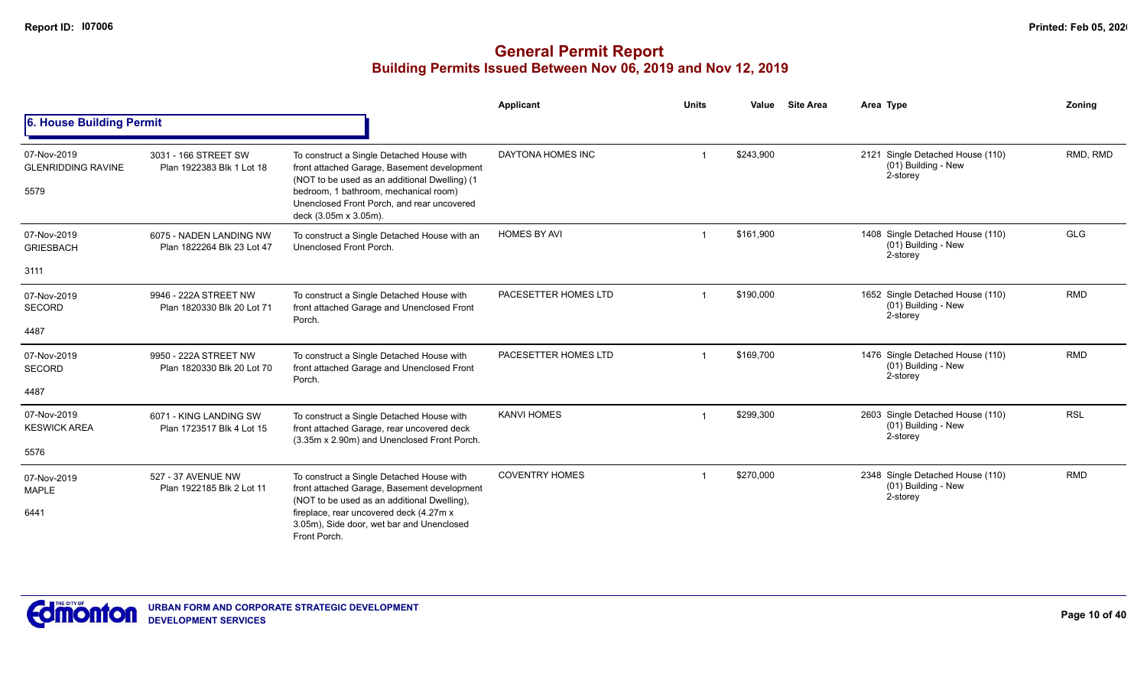|                                                  |                                                                                                                                                                                                                                                                                                    |                                                                                                                                                                                                                                                           | Applicant            | <b>Units</b> | Value     | <b>Site Area</b>                                                    | Area Type                                                             | Zoning     |
|--------------------------------------------------|----------------------------------------------------------------------------------------------------------------------------------------------------------------------------------------------------------------------------------------------------------------------------------------------------|-----------------------------------------------------------------------------------------------------------------------------------------------------------------------------------------------------------------------------------------------------------|----------------------|--------------|-----------|---------------------------------------------------------------------|-----------------------------------------------------------------------|------------|
| 6. House Building Permit                         |                                                                                                                                                                                                                                                                                                    |                                                                                                                                                                                                                                                           |                      |              |           |                                                                     |                                                                       |            |
| 07-Nov-2019<br><b>GLENRIDDING RAVINE</b><br>5579 | 3031 - 166 STREET SW<br>Plan 1922383 Blk 1 Lot 18                                                                                                                                                                                                                                                  | To construct a Single Detached House with<br>front attached Garage, Basement development<br>(NOT to be used as an additional Dwelling) (1<br>bedroom, 1 bathroom, mechanical room)<br>Unenclosed Front Porch, and rear uncovered<br>deck (3.05m x 3.05m). | DAYTONA HOMES INC    |              | \$243,900 |                                                                     | 2121 Single Detached House (110)<br>$(01)$ Building - New<br>2-storey | RMD, RMD   |
| 07-Nov-2019<br><b>GRIESBACH</b>                  | 6075 - NADEN LANDING NW<br>Plan 1822264 Blk 23 Lot 47                                                                                                                                                                                                                                              | To construct a Single Detached House with an<br>Unenclosed Front Porch.                                                                                                                                                                                   | <b>HOMES BY AVI</b>  |              | \$161,900 |                                                                     | 1408 Single Detached House (110)<br>(01) Building - New<br>2-storey   | <b>GLG</b> |
| 3111                                             |                                                                                                                                                                                                                                                                                                    |                                                                                                                                                                                                                                                           |                      |              |           |                                                                     |                                                                       |            |
| 07-Nov-2019<br><b>SECORD</b>                     | 9946 - 222A STREET NW<br>Plan 1820330 Blk 20 Lot 71                                                                                                                                                                                                                                                | To construct a Single Detached House with<br>front attached Garage and Unenclosed Front<br>Porch.                                                                                                                                                         | PACESETTER HOMES LTD |              | \$190,000 |                                                                     | 1652 Single Detached House (110)<br>(01) Building - New<br>2-storey   | <b>RMD</b> |
| 4487                                             |                                                                                                                                                                                                                                                                                                    |                                                                                                                                                                                                                                                           |                      |              |           |                                                                     |                                                                       |            |
| 07-Nov-2019<br><b>SECORD</b>                     | 9950 - 222A STREET NW<br>Plan 1820330 Blk 20 Lot 70                                                                                                                                                                                                                                                | To construct a Single Detached House with<br>front attached Garage and Unenclosed Front<br>Porch.                                                                                                                                                         | PACESETTER HOMES LTD |              | \$169,700 |                                                                     | 1476 Single Detached House (110)<br>(01) Building - New<br>2-storey   | <b>RMD</b> |
| 4487                                             |                                                                                                                                                                                                                                                                                                    |                                                                                                                                                                                                                                                           |                      |              |           |                                                                     |                                                                       |            |
| 07-Nov-2019<br><b>KESWICK AREA</b>               | 6071 - KING LANDING SW<br>Plan 1723517 Blk 4 Lot 15                                                                                                                                                                                                                                                | To construct a Single Detached House with<br>front attached Garage, rear uncovered deck<br>(3.35m x 2.90m) and Unenclosed Front Porch.                                                                                                                    | <b>KANVI HOMES</b>   |              | \$299,300 |                                                                     | 2603 Single Detached House (110)<br>(01) Building - New<br>2-storey   | <b>RSL</b> |
| 5576                                             |                                                                                                                                                                                                                                                                                                    |                                                                                                                                                                                                                                                           |                      |              |           |                                                                     |                                                                       |            |
| 07-Nov-2019<br><b>MAPLE</b>                      | 527 - 37 AVENUE NW<br>To construct a Single Detached House with<br>front attached Garage, Basement development<br>Plan 1922185 Blk 2 Lot 11<br>(NOT to be used as an additional Dwelling),<br>fireplace, rear uncovered deck (4.27m x<br>3.05m), Side door, wet bar and Unenclosed<br>Front Porch. | <b>COVENTRY HOMES</b>                                                                                                                                                                                                                                     |                      | \$270,000    |           | 2348 Single Detached House (110)<br>(01) Building - New<br>2-storey | <b>RMD</b>                                                            |            |
| 6441                                             |                                                                                                                                                                                                                                                                                                    |                                                                                                                                                                                                                                                           |                      |              |           |                                                                     |                                                                       |            |

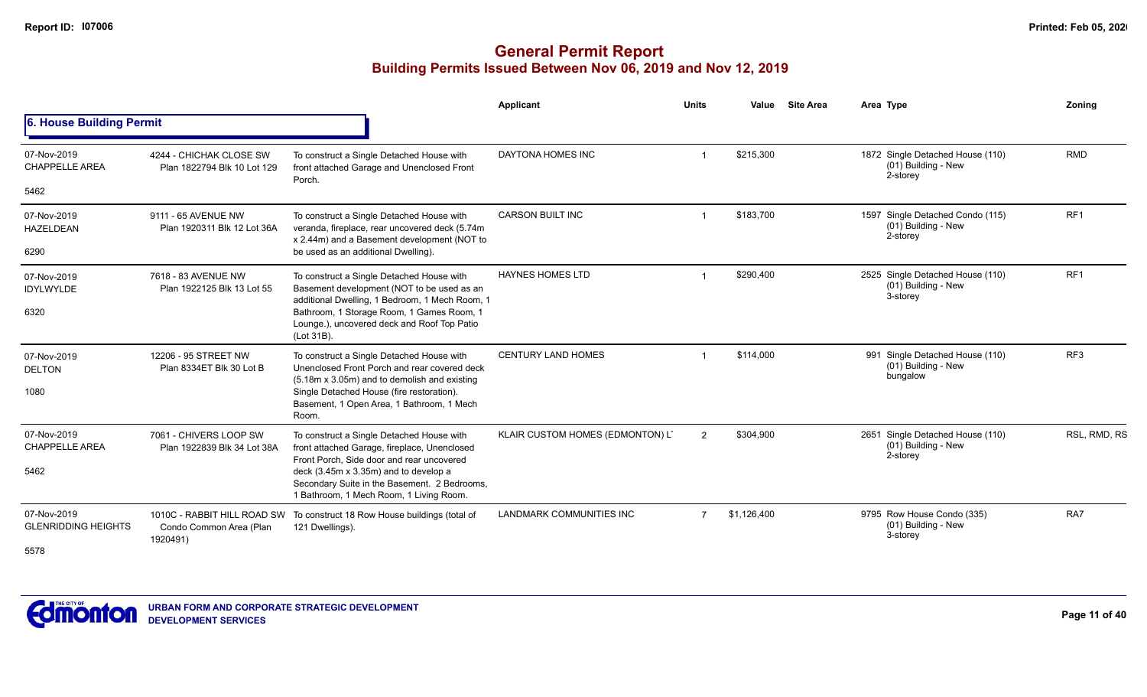|                                           |                                                        |                                                                                                                                            | <b>Applicant</b>                 | <b>Units</b>   | Value       | <b>Site Area</b> | Area Type                                                           | Zoning          |
|-------------------------------------------|--------------------------------------------------------|--------------------------------------------------------------------------------------------------------------------------------------------|----------------------------------|----------------|-------------|------------------|---------------------------------------------------------------------|-----------------|
| 6. House Building Permit                  |                                                        |                                                                                                                                            |                                  |                |             |                  |                                                                     |                 |
| 07-Nov-2019<br><b>CHAPPELLE AREA</b>      | 4244 - CHICHAK CLOSE SW<br>Plan 1822794 Blk 10 Lot 129 | To construct a Single Detached House with<br>front attached Garage and Unenclosed Front<br>Porch.                                          | DAYTONA HOMES INC                |                | \$215,300   |                  | 1872 Single Detached House (110)<br>(01) Building - New<br>2-storey | <b>RMD</b>      |
| 5462                                      |                                                        |                                                                                                                                            |                                  |                |             |                  |                                                                     |                 |
| 07-Nov-2019<br><b>HAZELDEAN</b>           | 9111 - 65 AVENUE NW<br>Plan 1920311 Blk 12 Lot 36A     | To construct a Single Detached House with<br>veranda, fireplace, rear uncovered deck (5.74m<br>x 2.44m) and a Basement development (NOT to | <b>CARSON BUILT INC</b>          |                | \$183,700   |                  | 1597 Single Detached Condo (115)<br>(01) Building - New<br>2-storey | RF <sub>1</sub> |
| 6290                                      |                                                        | be used as an additional Dwelling).                                                                                                        |                                  |                |             |                  |                                                                     |                 |
| 07-Nov-2019<br><b>IDYLWYLDE</b>           | 7618 - 83 AVENUE NW<br>Plan 1922125 Blk 13 Lot 55      | To construct a Single Detached House with<br>Basement development (NOT to be used as an<br>additional Dwelling, 1 Bedroom, 1 Mech Room, 1  | <b>HAYNES HOMES LTD</b>          |                | \$290,400   |                  | 2525 Single Detached House (110)<br>(01) Building - New<br>3-storey | RF <sub>1</sub> |
| 6320                                      |                                                        | Bathroom, 1 Storage Room, 1 Games Room, 1<br>Lounge.), uncovered deck and Roof Top Patio<br>(Lot 31B).                                     |                                  |                |             |                  |                                                                     |                 |
| 07-Nov-2019<br><b>DELTON</b>              | 12206 - 95 STREET NW<br>Plan 8334ET Blk 30 Lot B       | To construct a Single Detached House with<br>Unenclosed Front Porch and rear covered deck<br>(5.18m x 3.05m) and to demolish and existing  | <b>CENTURY LAND HOMES</b>        |                | \$114,000   |                  | 991 Single Detached House (110)<br>(01) Building - New<br>bungalow  | RF <sub>3</sub> |
| 1080                                      |                                                        | Single Detached House (fire restoration).<br>Basement, 1 Open Area, 1 Bathroom, 1 Mech<br>Room.                                            |                                  |                |             |                  |                                                                     |                 |
| 07-Nov-2019<br><b>CHAPPELLE AREA</b>      | 7061 - CHIVERS LOOP SW<br>Plan 1922839 Blk 34 Lot 38A  | To construct a Single Detached House with<br>front attached Garage, fireplace, Unenclosed<br>Front Porch. Side door and rear uncovered     | KLAIR CUSTOM HOMES (EDMONTON) L' | 2              | \$304,900   |                  | 2651 Single Detached House (110)<br>(01) Building - New<br>2-storey | RSL, RMD, RS    |
| 5462                                      |                                                        | deck (3.45m x 3.35m) and to develop a<br>Secondary Suite in the Basement. 2 Bedrooms,<br>1 Bathroom, 1 Mech Room, 1 Living Room.           |                                  |                |             |                  |                                                                     |                 |
| 07-Nov-2019<br><b>GLENRIDDING HEIGHTS</b> | Condo Common Area (Plan<br>1920491)                    | 1010C - RABBIT HILL ROAD SW To construct 18 Row House buildings (total of<br>121 Dwellings).                                               | LANDMARK COMMUNITIES INC         | $\overline{7}$ | \$1,126,400 |                  | 9795 Row House Condo (335)<br>(01) Building - New<br>3-storey       | RA7             |
| 5578                                      |                                                        |                                                                                                                                            |                                  |                |             |                  |                                                                     |                 |

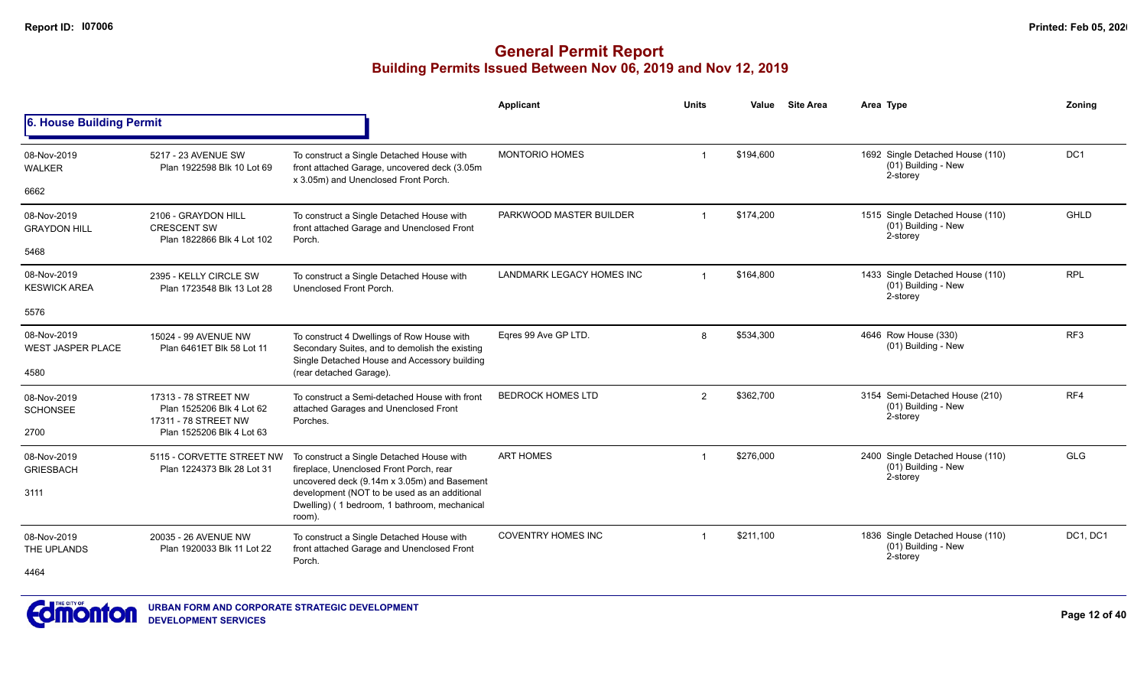|                                         |                                                                           |                                                                                                                                              | Applicant                 | <b>Units</b>   | Value     | <b>Site Area</b> | Area Type                                                           | Zonina          |
|-----------------------------------------|---------------------------------------------------------------------------|----------------------------------------------------------------------------------------------------------------------------------------------|---------------------------|----------------|-----------|------------------|---------------------------------------------------------------------|-----------------|
| 6. House Building Permit                |                                                                           |                                                                                                                                              |                           |                |           |                  |                                                                     |                 |
| 08-Nov-2019<br><b>WALKER</b>            | 5217 - 23 AVENUE SW<br>Plan 1922598 Blk 10 Lot 69                         | To construct a Single Detached House with<br>front attached Garage, uncovered deck (3.05m                                                    | <b>MONTORIO HOMES</b>     | $\mathbf 1$    | \$194,600 |                  | 1692 Single Detached House (110)<br>(01) Building - New<br>2-storey | DC <sub>1</sub> |
| 6662                                    |                                                                           | x 3.05m) and Unenclosed Front Porch.                                                                                                         |                           |                |           |                  |                                                                     |                 |
| 08-Nov-2019<br><b>GRAYDON HILL</b>      | 2106 - GRAYDON HILL<br><b>CRESCENT SW</b><br>Plan 1822866 Blk 4 Lot 102   | To construct a Single Detached House with<br>front attached Garage and Unenclosed Front<br>Porch.                                            | PARKWOOD MASTER BUILDER   | $\overline{1}$ | \$174,200 |                  | 1515 Single Detached House (110)<br>(01) Building - New<br>2-storey | <b>GHLD</b>     |
| 5468                                    |                                                                           |                                                                                                                                              |                           |                |           |                  |                                                                     |                 |
| 08-Nov-2019<br><b>KESWICK AREA</b>      | 2395 - KELLY CIRCLE SW<br>Plan 1723548 Blk 13 Lot 28                      | To construct a Single Detached House with<br>Unenclosed Front Porch.                                                                         | LANDMARK LEGACY HOMES INC | $\overline{1}$ | \$164,800 |                  | 1433 Single Detached House (110)<br>(01) Building - New<br>2-storey | <b>RPL</b>      |
| 5576                                    |                                                                           |                                                                                                                                              |                           |                |           |                  |                                                                     |                 |
| 08-Nov-2019<br><b>WEST JASPER PLACE</b> | 15024 - 99 AVENUE NW<br>Plan 6461ET Blk 58 Lot 11                         | To construct 4 Dwellings of Row House with<br>Secondary Suites, and to demolish the existing<br>Single Detached House and Accessory building | Eqres 99 Ave GP LTD.      | 8              | \$534,300 |                  | 4646 Row House (330)<br>(01) Building - New                         | RF <sub>3</sub> |
| 4580                                    |                                                                           | (rear detached Garage).                                                                                                                      |                           |                |           |                  |                                                                     |                 |
| 08-Nov-2019<br><b>SCHONSEE</b>          | 17313 - 78 STREET NW<br>Plan 1525206 Blk 4 Lot 62<br>17311 - 78 STREET NW | To construct a Semi-detached House with front<br>attached Garages and Unenclosed Front<br>Porches.                                           | <b>BEDROCK HOMES LTD</b>  | 2              | \$362,700 |                  | 3154 Semi-Detached House (210)<br>(01) Building - New<br>2-storey   | RF4             |
| 2700                                    | Plan 1525206 Blk 4 Lot 63                                                 |                                                                                                                                              |                           |                |           |                  |                                                                     |                 |
| 08-Nov-2019<br><b>GRIESBACH</b>         | 5115 - CORVETTE STREET NW<br>Plan 1224373 Blk 28 Lot 31                   | To construct a Single Detached House with<br>fireplace, Unenclosed Front Porch, rear<br>uncovered deck (9.14m x 3.05m) and Basement          | <b>ART HOMES</b>          | -1             | \$276.000 |                  | 2400 Single Detached House (110)<br>(01) Building - New<br>2-storey | <b>GLG</b>      |
| 3111                                    |                                                                           | development (NOT to be used as an additional<br>Dwelling) (1 bedroom, 1 bathroom, mechanical<br>room).                                       |                           |                |           |                  |                                                                     |                 |
| 08-Nov-2019<br>THE UPLANDS              | 20035 - 26 AVENUE NW<br>Plan 1920033 Blk 11 Lot 22                        | To construct a Single Detached House with<br>front attached Garage and Unenclosed Front<br>Porch.                                            | <b>COVENTRY HOMES INC</b> |                | \$211,100 |                  | 1836 Single Detached House (110)<br>(01) Building - New<br>2-storey | DC1, DC1        |
| 4464                                    |                                                                           |                                                                                                                                              |                           |                |           |                  |                                                                     |                 |

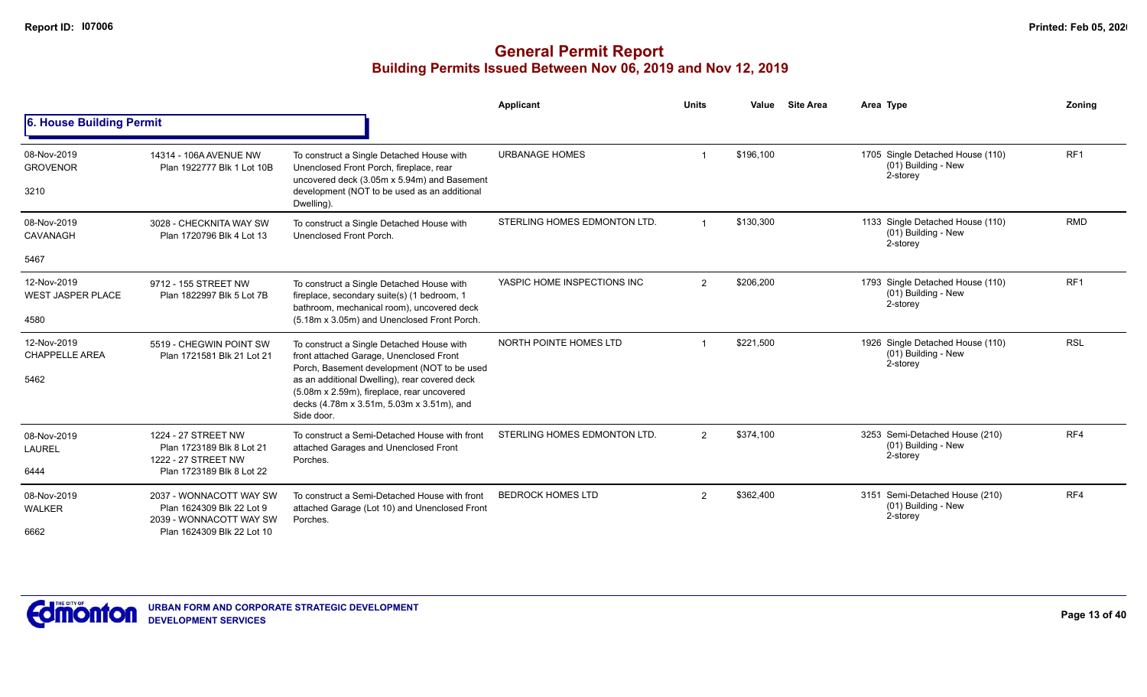|                                                 |                                                                                                               |                                                                                                                                                                                                                                                                                               | <b>Applicant</b>             | <b>Units</b>   | Value     | <b>Site Area</b> | Area Type                                                           | Zonina          |
|-------------------------------------------------|---------------------------------------------------------------------------------------------------------------|-----------------------------------------------------------------------------------------------------------------------------------------------------------------------------------------------------------------------------------------------------------------------------------------------|------------------------------|----------------|-----------|------------------|---------------------------------------------------------------------|-----------------|
| 6. House Building Permit                        |                                                                                                               |                                                                                                                                                                                                                                                                                               |                              |                |           |                  |                                                                     |                 |
| 08-Nov-2019<br><b>GROVENOR</b><br>3210          | 14314 - 106A AVENUE NW<br>Plan 1922777 Blk 1 Lot 10B                                                          | To construct a Single Detached House with<br>Unenclosed Front Porch, fireplace, rear<br>uncovered deck (3.05m x 5.94m) and Basement<br>development (NOT to be used as an additional<br>Dwelling).                                                                                             | <b>URBANAGE HOMES</b>        |                | \$196,100 |                  | 1705 Single Detached House (110)<br>(01) Building - New<br>2-storey | RF <sub>1</sub> |
| 08-Nov-2019<br><b>CAVANAGH</b><br>5467          | 3028 - CHECKNITA WAY SW<br>Plan 1720796 Blk 4 Lot 13                                                          | To construct a Single Detached House with<br>Unenclosed Front Porch.                                                                                                                                                                                                                          | STERLING HOMES EDMONTON LTD. |                | \$130,300 |                  | 1133 Single Detached House (110)<br>(01) Building - New<br>2-storey | <b>RMD</b>      |
| 12-Nov-2019<br><b>WEST JASPER PLACE</b><br>4580 | 9712 - 155 STREET NW<br>Plan 1822997 Blk 5 Lot 7B                                                             | To construct a Single Detached House with<br>fireplace, secondary suite(s) (1 bedroom, 1<br>bathroom, mechanical room), uncovered deck<br>(5.18m x 3.05m) and Unenclosed Front Porch.                                                                                                         | YASPIC HOME INSPECTIONS INC  | $\overline{2}$ | \$206,200 |                  | 1793 Single Detached House (110)<br>(01) Building - New<br>2-storey | RF <sub>1</sub> |
| 12-Nov-2019<br><b>CHAPPELLE AREA</b><br>5462    | 5519 - CHEGWIN POINT SW<br>Plan 1721581 Blk 21 Lot 21                                                         | To construct a Single Detached House with<br>front attached Garage, Unenclosed Front<br>Porch, Basement development (NOT to be used<br>as an additional Dwelling), rear covered deck<br>(5.08m x 2.59m), fireplace, rear uncovered<br>decks (4.78m x 3.51m, 5.03m x 3.51m), and<br>Side door. | NORTH POINTE HOMES LTD       |                | \$221,500 |                  | 1926 Single Detached House (110)<br>(01) Building - New<br>2-storey | <b>RSL</b>      |
| 08-Nov-2019<br>LAUREL<br>6444                   | 1224 - 27 STREET NW<br>Plan 1723189 Blk 8 Lot 21<br>1222 - 27 STREET NW<br>Plan 1723189 Blk 8 Lot 22          | To construct a Semi-Detached House with front<br>attached Garages and Unenclosed Front<br>Porches.                                                                                                                                                                                            | STERLING HOMES EDMONTON LTD. | $\overline{2}$ | \$374,100 |                  | 3253 Semi-Detached House (210)<br>(01) Building - New<br>2-storey   | RF4             |
| 08-Nov-2019<br><b>WALKER</b><br>6662            | 2037 - WONNACOTT WAY SW<br>Plan 1624309 Blk 22 Lot 9<br>2039 - WONNACOTT WAY SW<br>Plan 1624309 Blk 22 Lot 10 | To construct a Semi-Detached House with front<br>attached Garage (Lot 10) and Unenclosed Front<br>Porches.                                                                                                                                                                                    | <b>BEDROCK HOMES LTD</b>     | $\overline{2}$ | \$362,400 |                  | 3151 Semi-Detached House (210)<br>(01) Building - New<br>2-storey   | RF4             |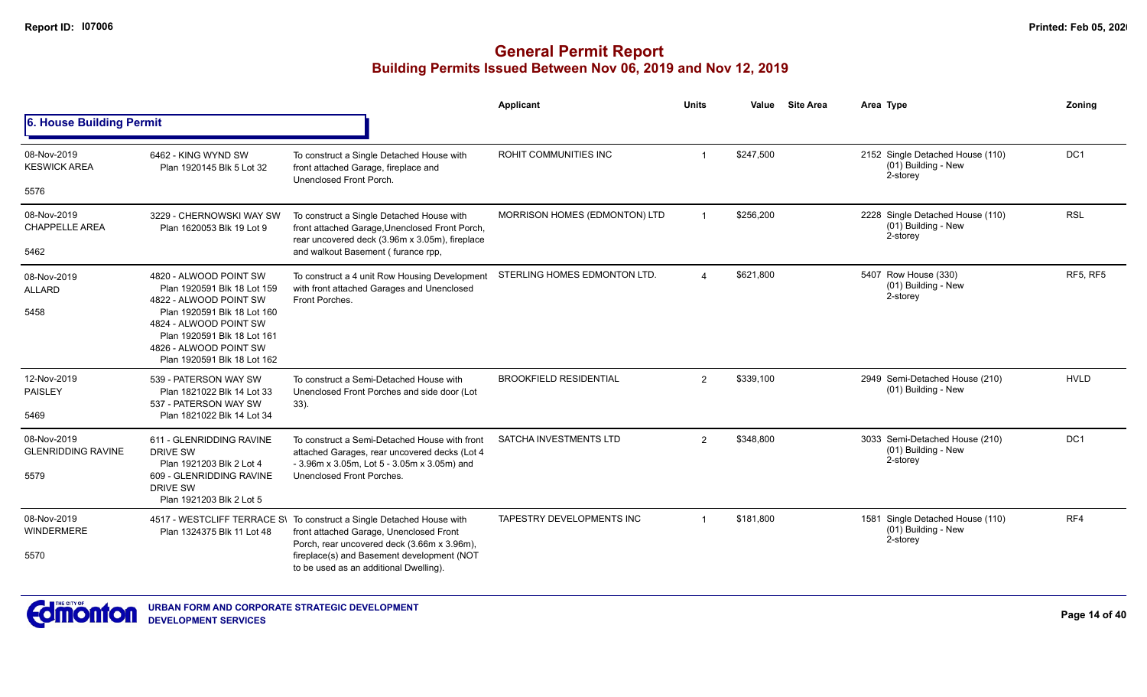|                                          |                                                                                                                                               |                                                                                                                                                                 | Applicant                     | <b>Units</b>            | Value     | <b>Site Area</b> | Area Type                                                           | Zonina          |
|------------------------------------------|-----------------------------------------------------------------------------------------------------------------------------------------------|-----------------------------------------------------------------------------------------------------------------------------------------------------------------|-------------------------------|-------------------------|-----------|------------------|---------------------------------------------------------------------|-----------------|
| 6. House Building Permit                 |                                                                                                                                               |                                                                                                                                                                 |                               |                         |           |                  |                                                                     |                 |
| 08-Nov-2019<br><b>KESWICK AREA</b>       | 6462 - KING WYND SW<br>Plan 1920145 Blk 5 Lot 32                                                                                              | To construct a Single Detached House with<br>front attached Garage, fireplace and<br>Unenclosed Front Porch.                                                    | ROHIT COMMUNITIES INC         | $\overline{\mathbf{1}}$ | \$247,500 |                  | 2152 Single Detached House (110)<br>(01) Building - New<br>2-storey | DC <sub>1</sub> |
| 5576                                     |                                                                                                                                               |                                                                                                                                                                 |                               |                         |           |                  |                                                                     |                 |
| 08-Nov-2019<br><b>CHAPPELLE AREA</b>     | 3229 - CHERNOWSKI WAY SW<br>Plan 1620053 Blk 19 Lot 9                                                                                         | To construct a Single Detached House with<br>front attached Garage, Unenclosed Front Porch,<br>rear uncovered deck (3.96m x 3.05m), fireplace                   | MORRISON HOMES (EDMONTON) LTD | $\overline{1}$          | \$256,200 |                  | 2228 Single Detached House (110)<br>(01) Building - New<br>2-storey | <b>RSL</b>      |
| 5462                                     |                                                                                                                                               | and walkout Basement (furance rpp,                                                                                                                              |                               |                         |           |                  |                                                                     |                 |
| 08-Nov-2019<br><b>ALLARD</b>             | 4820 - ALWOOD POINT SW<br>Plan 1920591 Blk 18 Lot 159<br>4822 - ALWOOD POINT SW                                                               | To construct a 4 unit Row Housing Development<br>with front attached Garages and Unenclosed<br>Front Porches.                                                   | STERLING HOMES EDMONTON LTD.  | $\overline{4}$          | \$621,800 |                  | 5407 Row House (330)<br>(01) Building - New<br>2-storey             | <b>RF5. RF5</b> |
| 5458                                     | Plan 1920591 Blk 18 Lot 160<br>4824 - ALWOOD POINT SW<br>Plan 1920591 Blk 18 Lot 161<br>4826 - ALWOOD POINT SW<br>Plan 1920591 Blk 18 Lot 162 |                                                                                                                                                                 |                               |                         |           |                  |                                                                     |                 |
| 12-Nov-2019<br><b>PAISLEY</b>            | 539 - PATERSON WAY SW<br>Plan 1821022 Blk 14 Lot 33<br>537 - PATERSON WAY SW                                                                  | To construct a Semi-Detached House with<br>Unenclosed Front Porches and side door (Lot<br>33).                                                                  | <b>BROOKFIELD RESIDENTIAL</b> | 2                       | \$339,100 |                  | 2949 Semi-Detached House (210)<br>(01) Building - New               | <b>HVLD</b>     |
| 5469                                     | Plan 1821022 Blk 14 Lot 34                                                                                                                    |                                                                                                                                                                 |                               |                         |           |                  |                                                                     |                 |
| 08-Nov-2019<br><b>GLENRIDDING RAVINE</b> | 611 - GLENRIDDING RAVINE<br><b>DRIVE SW</b><br>Plan 1921203 Blk 2 Lot 4                                                                       | To construct a Semi-Detached House with front<br>attached Garages, rear uncovered decks (Lot 4<br>- 3.96m x 3.05m, Lot 5 - 3.05m x 3.05m) and                   | SATCHA INVESTMENTS LTD        | 2                       | \$348,800 |                  | 3033 Semi-Detached House (210)<br>(01) Building - New<br>2-storey   | DC <sub>1</sub> |
| 5579                                     | 609 - GLENRIDDING RAVINE<br><b>DRIVE SW</b><br>Plan 1921203 Blk 2 Lot 5                                                                       | Unenclosed Front Porches.                                                                                                                                       |                               |                         |           |                  |                                                                     |                 |
| 08-Nov-2019<br>WINDERMERE                | Plan 1324375 Blk 11 Lot 48                                                                                                                    | 4517 - WESTCLIFF TERRACE S\ To construct a Single Detached House with<br>front attached Garage, Unenclosed Front<br>Porch, rear uncovered deck (3.66m x 3.96m), | TAPESTRY DEVELOPMENTS INC     | $\overline{1}$          | \$181,800 |                  | 1581 Single Detached House (110)<br>(01) Building - New<br>2-storey | RF4             |
| 5570                                     |                                                                                                                                               | fireplace(s) and Basement development (NOT<br>to be used as an additional Dwelling).                                                                            |                               |                         |           |                  |                                                                     |                 |

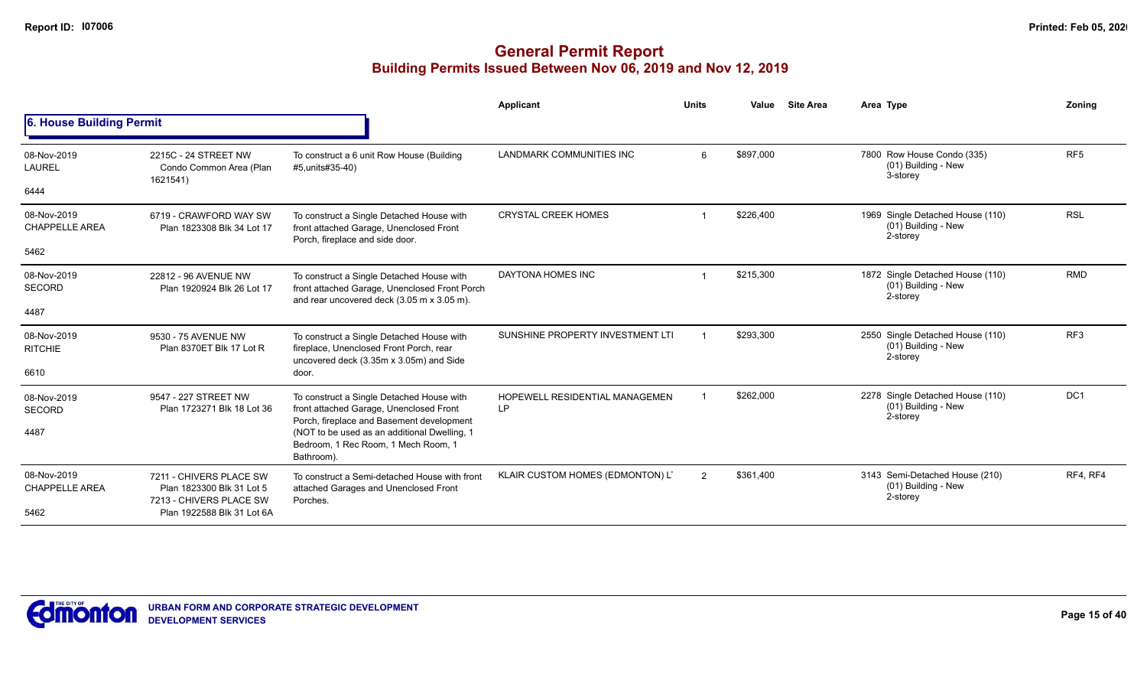|                                      |                                                                                 |                                                                                                                                                | Applicant                            | <b>Units</b> | Value     | <b>Site Area</b> | Area Type                                                           | Zoning          |
|--------------------------------------|---------------------------------------------------------------------------------|------------------------------------------------------------------------------------------------------------------------------------------------|--------------------------------------|--------------|-----------|------------------|---------------------------------------------------------------------|-----------------|
| 6. House Building Permit             |                                                                                 |                                                                                                                                                |                                      |              |           |                  |                                                                     |                 |
| 08-Nov-2019<br><b>LAUREL</b>         | 2215C - 24 STREET NW<br>Condo Common Area (Plan<br>1621541)                     | To construct a 6 unit Row House (Building<br>#5, units#35-40)                                                                                  | <b>LANDMARK COMMUNITIES INC</b>      | 6            | \$897,000 |                  | 7800 Row House Condo (335)<br>(01) Building - New<br>3-storey       | RF <sub>5</sub> |
| 6444                                 |                                                                                 |                                                                                                                                                |                                      |              |           |                  |                                                                     |                 |
| 08-Nov-2019<br><b>CHAPPELLE AREA</b> | 6719 - CRAWFORD WAY SW<br>Plan 1823308 Blk 34 Lot 17                            | To construct a Single Detached House with<br>front attached Garage, Unenclosed Front<br>Porch, fireplace and side door.                        | <b>CRYSTAL CREEK HOMES</b>           |              | \$226,400 |                  | 1969 Single Detached House (110)<br>(01) Building - New<br>2-storey | <b>RSL</b>      |
| 5462                                 |                                                                                 |                                                                                                                                                |                                      |              |           |                  |                                                                     |                 |
| 08-Nov-2019<br><b>SECORD</b>         | 22812 - 96 AVENUE NW<br>Plan 1920924 Blk 26 Lot 17                              | To construct a Single Detached House with<br>front attached Garage, Unenclosed Front Porch<br>and rear uncovered deck (3.05 m x 3.05 m).       | DAYTONA HOMES INC                    |              | \$215,300 |                  | 1872 Single Detached House (110)<br>(01) Building - New<br>2-storey | <b>RMD</b>      |
| 4487                                 |                                                                                 |                                                                                                                                                |                                      |              |           |                  |                                                                     |                 |
| 08-Nov-2019<br><b>RITCHIE</b>        | 9530 - 75 AVENUE NW<br>Plan 8370ET Blk 17 Lot R                                 | To construct a Single Detached House with<br>fireplace, Unenclosed Front Porch, rear<br>uncovered deck (3.35m x 3.05m) and Side                | SUNSHINE PROPERTY INVESTMENT LTI     |              | \$293,300 |                  | 2550 Single Detached House (110)<br>(01) Building - New<br>2-storey | RF <sub>3</sub> |
| 6610                                 |                                                                                 | door.                                                                                                                                          |                                      |              |           |                  |                                                                     |                 |
| 08-Nov-2019<br><b>SECORD</b>         | 9547 - 227 STREET NW<br>Plan 1723271 Blk 18 Lot 36                              | To construct a Single Detached House with<br>front attached Garage, Unenclosed Front                                                           | HOPEWELL RESIDENTIAL MANAGEMEN<br>LP |              | \$262,000 |                  | 2278 Single Detached House (110)<br>(01) Building - New<br>2-storey | DC <sub>1</sub> |
| 4487                                 |                                                                                 | Porch, fireplace and Basement development<br>(NOT to be used as an additional Dwelling, 1<br>Bedroom, 1 Rec Room, 1 Mech Room, 1<br>Bathroom). |                                      |              |           |                  |                                                                     |                 |
| 08-Nov-2019<br><b>CHAPPELLE AREA</b> | 7211 - CHIVERS PLACE SW<br>Plan 1823300 Blk 31 Lot 5<br>7213 - CHIVERS PLACE SW | To construct a Semi-detached House with front<br>attached Garages and Unenclosed Front<br>Porches.                                             | KLAIR CUSTOM HOMES (EDMONTON) LT     | 2            | \$361,400 |                  | 3143 Semi-Detached House (210)<br>(01) Building - New<br>2-storey   | RF4, RF4        |
| 5462                                 | Plan 1922588 Blk 31 Lot 6A                                                      |                                                                                                                                                |                                      |              |           |                  |                                                                     |                 |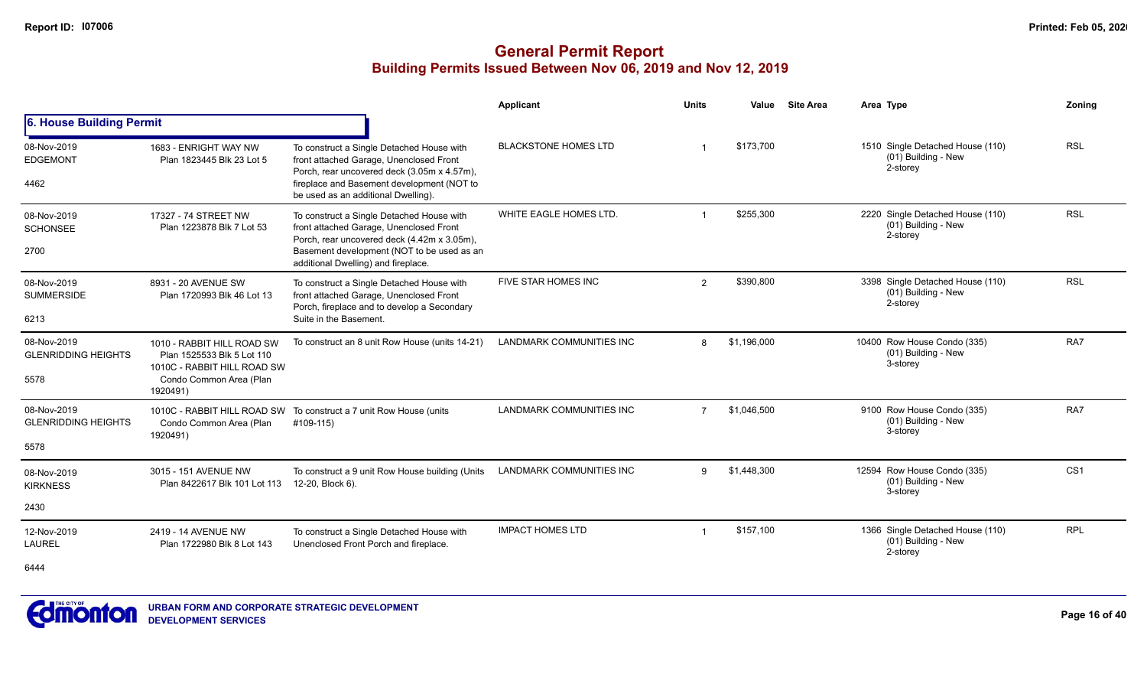|                                           |                                                                                         |                                                                                                                                     | Applicant                       | <b>Units</b>   | Value       | <b>Site Area</b> | Area Type                                                             | Zonina          |
|-------------------------------------------|-----------------------------------------------------------------------------------------|-------------------------------------------------------------------------------------------------------------------------------------|---------------------------------|----------------|-------------|------------------|-----------------------------------------------------------------------|-----------------|
| 6. House Building Permit                  |                                                                                         |                                                                                                                                     |                                 |                |             |                  |                                                                       |                 |
| 08-Nov-2019<br><b>EDGEMONT</b>            | 1683 - ENRIGHT WAY NW<br>Plan 1823445 Blk 23 Lot 5                                      | To construct a Single Detached House with<br>front attached Garage, Unenclosed Front<br>Porch, rear uncovered deck (3.05m x 4.57m), | <b>BLACKSTONE HOMES LTD</b>     |                | \$173,700   |                  | 1510 Single Detached House (110)<br>$(01)$ Building - New<br>2-storey | <b>RSL</b>      |
| 4462                                      |                                                                                         | fireplace and Basement development (NOT to<br>be used as an additional Dwelling).                                                   |                                 |                |             |                  |                                                                       |                 |
| 08-Nov-2019<br><b>SCHONSEE</b>            | 17327 - 74 STREET NW<br>Plan 1223878 Blk 7 Lot 53                                       | To construct a Single Detached House with<br>front attached Garage, Unenclosed Front                                                | WHITE EAGLE HOMES LTD.          |                | \$255,300   |                  | 2220 Single Detached House (110)<br>$(01)$ Building - New<br>2-storey | <b>RSL</b>      |
| 2700                                      |                                                                                         | Porch, rear uncovered deck (4.42m x 3.05m),<br>Basement development (NOT to be used as an<br>additional Dwelling) and fireplace.    |                                 |                |             |                  |                                                                       |                 |
| 08-Nov-2019<br><b>SUMMERSIDE</b>          | 8931 - 20 AVENUE SW<br>Plan 1720993 Blk 46 Lot 13                                       | To construct a Single Detached House with<br>front attached Garage, Unenclosed Front                                                | FIVE STAR HOMES INC             | $\overline{2}$ | \$390,800   |                  | 3398 Single Detached House (110)<br>(01) Building - New<br>2-storey   | <b>RSL</b>      |
| 6213                                      |                                                                                         | Porch, fireplace and to develop a Secondary<br>Suite in the Basement.                                                               |                                 |                |             |                  |                                                                       |                 |
| 08-Nov-2019<br><b>GLENRIDDING HEIGHTS</b> | 1010 - RABBIT HILL ROAD SW<br>Plan 1525533 Blk 5 Lot 110<br>1010C - RABBIT HILL ROAD SW | To construct an 8 unit Row House (units 14-21)                                                                                      | <b>LANDMARK COMMUNITIES INC</b> | 8              | \$1,196,000 |                  | 10400 Row House Condo (335)<br>(01) Building - New<br>3-storey        | RA7             |
| 5578                                      | Condo Common Area (Plan<br>1920491)                                                     |                                                                                                                                     |                                 |                |             |                  |                                                                       |                 |
| 08-Nov-2019<br><b>GLENRIDDING HEIGHTS</b> | Condo Common Area (Plan                                                                 | 1010C - RABBIT HILL ROAD SW To construct a 7 unit Row House (units<br>#109-115)                                                     | <b>LANDMARK COMMUNITIES INC</b> | $\overline{7}$ | \$1,046,500 |                  | 9100 Row House Condo (335)<br>(01) Building - New<br>3-storey         | RA7             |
| 5578                                      | 1920491)                                                                                |                                                                                                                                     |                                 |                |             |                  |                                                                       |                 |
| 08-Nov-2019<br><b>KIRKNESS</b>            | 3015 - 151 AVENUE NW<br>Plan 8422617 Blk 101 Lot 113                                    | To construct a 9 unit Row House building (Units<br>12-20, Block 6).                                                                 | <b>LANDMARK COMMUNITIES INC</b> | 9              | \$1,448,300 |                  | 12594 Row House Condo (335)<br>(01) Building - New<br>3-storey        | CS <sub>1</sub> |
| 2430                                      |                                                                                         |                                                                                                                                     |                                 |                |             |                  |                                                                       |                 |
| 12-Nov-2019<br><b>LAUREL</b>              | 2419 - 14 AVENUE NW<br>Plan 1722980 Blk 8 Lot 143                                       | To construct a Single Detached House with<br>Unenclosed Front Porch and fireplace.                                                  | <b>IMPACT HOMES LTD</b>         |                | \$157,100   |                  | 1366 Single Detached House (110)<br>$(01)$ Building - New<br>2-storey | <b>RPL</b>      |
| 6444                                      |                                                                                         |                                                                                                                                     |                                 |                |             |                  |                                                                       |                 |

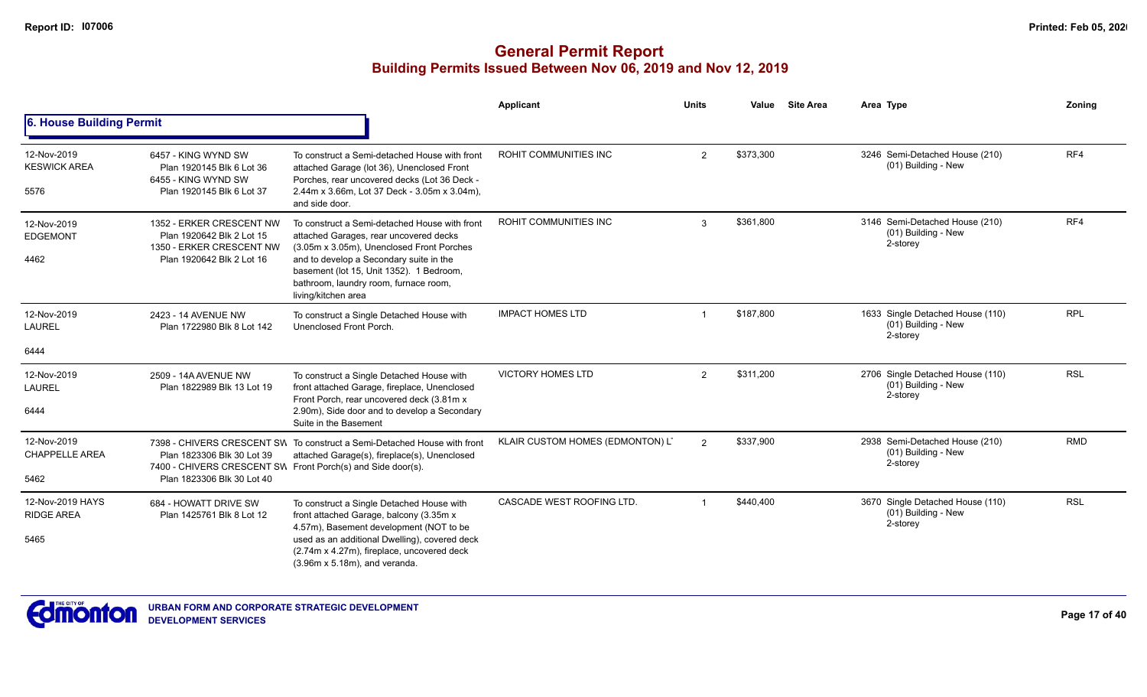|                                            |                                                                                                                |                                                                                                                                                                                                                                                                                             | <b>Applicant</b>                 | <b>Units</b>   | Value     | <b>Site Area</b> | Area Type                                                           | Zoning     |
|--------------------------------------------|----------------------------------------------------------------------------------------------------------------|---------------------------------------------------------------------------------------------------------------------------------------------------------------------------------------------------------------------------------------------------------------------------------------------|----------------------------------|----------------|-----------|------------------|---------------------------------------------------------------------|------------|
| 6. House Building Permit                   |                                                                                                                |                                                                                                                                                                                                                                                                                             |                                  |                |           |                  |                                                                     |            |
| 12-Nov-2019<br><b>KESWICK AREA</b><br>5576 | 6457 - KING WYND SW<br>Plan 1920145 Blk 6 Lot 36<br>6455 - KING WYND SW<br>Plan 1920145 Blk 6 Lot 37           | To construct a Semi-detached House with front<br>attached Garage (lot 36), Unenclosed Front<br>Porches, rear uncovered decks (Lot 36 Deck -<br>2.44m x 3.66m, Lot 37 Deck - 3.05m x 3.04m),<br>and side door.                                                                               | ROHIT COMMUNITIES INC            | $\overline{2}$ | \$373,300 |                  | 3246 Semi-Detached House (210)<br>(01) Building - New               | RF4        |
| 12-Nov-2019<br><b>EDGEMONT</b><br>4462     | 1352 - ERKER CRESCENT NW<br>Plan 1920642 Blk 2 Lot 15<br>1350 - ERKER CRESCENT NW<br>Plan 1920642 Blk 2 Lot 16 | To construct a Semi-detached House with front<br>attached Garages, rear uncovered decks<br>(3.05m x 3.05m), Unenclosed Front Porches<br>and to develop a Secondary suite in the<br>basement (lot 15, Unit 1352). 1 Bedroom,<br>bathroom, laundry room, furnace room,<br>living/kitchen area | ROHIT COMMUNITIES INC            | 3              | \$361,800 |                  | 3146 Semi-Detached House (210)<br>(01) Building - New<br>2-storey   | RF4        |
| 12-Nov-2019<br>LAUREL                      | 2423 - 14 AVENUE NW<br>Plan 1722980 Blk 8 Lot 142                                                              | To construct a Single Detached House with<br>Unenclosed Front Porch.                                                                                                                                                                                                                        | <b>IMPACT HOMES LTD</b>          |                | \$187,800 |                  | 1633 Single Detached House (110)<br>(01) Building - New<br>2-storey | <b>RPL</b> |
| 6444                                       |                                                                                                                |                                                                                                                                                                                                                                                                                             |                                  |                |           |                  |                                                                     |            |
| 12-Nov-2019<br><b>LAUREL</b>               | 2509 - 14A AVENUE NW<br>Plan 1822989 Blk 13 Lot 19                                                             | To construct a Single Detached House with<br>front attached Garage, fireplace, Unenclosed<br>Front Porch, rear uncovered deck (3.81m x                                                                                                                                                      | <b>VICTORY HOMES LTD</b>         | $\overline{2}$ | \$311,200 |                  | 2706 Single Detached House (110)<br>(01) Building - New<br>2-storey | <b>RSL</b> |
| 6444                                       |                                                                                                                | 2.90m). Side door and to develop a Secondary<br>Suite in the Basement                                                                                                                                                                                                                       |                                  |                |           |                  |                                                                     |            |
| 12-Nov-2019<br><b>CHAPPELLE AREA</b>       | Plan 1823306 Blk 30 Lot 39<br>7400 - CHIVERS CRESCENT SW Front Porch(s) and Side door(s).                      | 7398 - CHIVERS CRESCENT SW To construct a Semi-Detached House with front<br>attached Garage(s), fireplace(s), Unenclosed                                                                                                                                                                    | KLAIR CUSTOM HOMES (EDMONTON) LT | $\overline{2}$ | \$337,900 |                  | 2938 Semi-Detached House (210)<br>(01) Building - New<br>2-storey   | <b>RMD</b> |
| 5462                                       | Plan 1823306 Blk 30 Lot 40                                                                                     |                                                                                                                                                                                                                                                                                             |                                  |                |           |                  |                                                                     |            |
| 12-Nov-2019 HAYS<br><b>RIDGE AREA</b>      | 684 - HOWATT DRIVE SW<br>Plan 1425761 Blk 8 Lot 12                                                             | To construct a Single Detached House with<br>front attached Garage, balcony (3.35m x<br>4.57m), Basement development (NOT to be                                                                                                                                                             | CASCADE WEST ROOFING LTD.        |                | \$440,400 |                  | 3670 Single Detached House (110)<br>(01) Building - New<br>2-storey | <b>RSL</b> |
| 5465                                       |                                                                                                                | used as an additional Dwelling), covered deck<br>(2.74m x 4.27m), fireplace, uncovered deck<br>$(3.96m \times 5.18m)$ , and veranda.                                                                                                                                                        |                                  |                |           |                  |                                                                     |            |

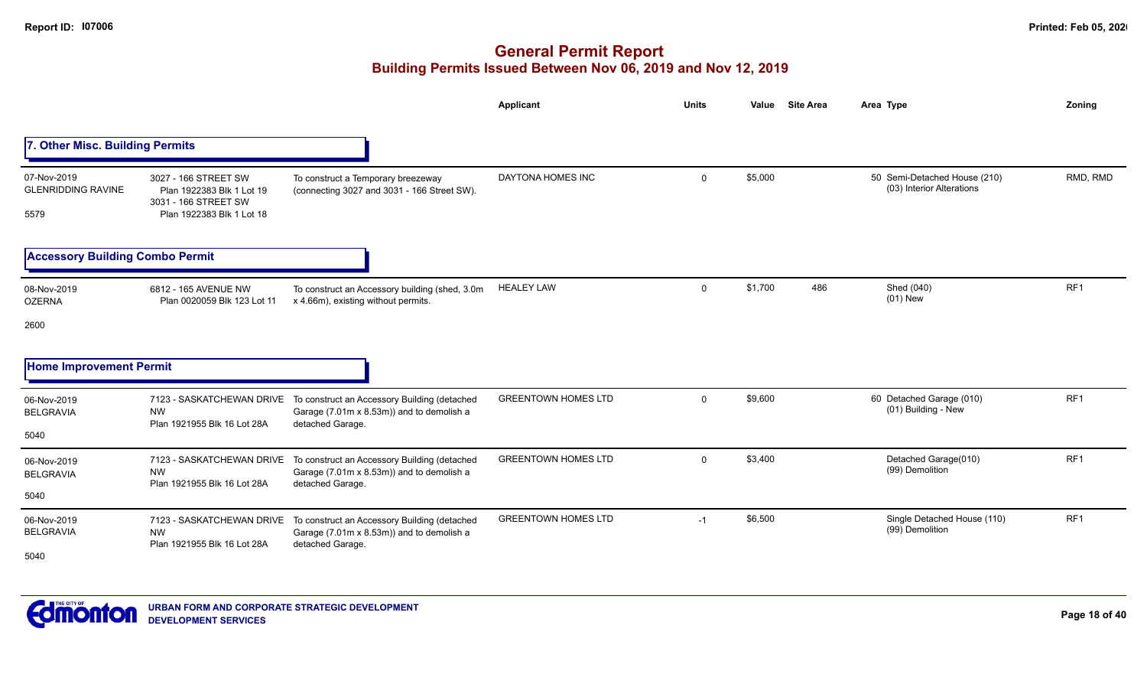|                                                  |                                                                                                        |                                                                                                               | <b>Applicant</b>           | <b>Units</b> | Value   | <b>Site Area</b> | Area Type                                                 | Zoning          |
|--------------------------------------------------|--------------------------------------------------------------------------------------------------------|---------------------------------------------------------------------------------------------------------------|----------------------------|--------------|---------|------------------|-----------------------------------------------------------|-----------------|
| 7. Other Misc. Building Permits                  |                                                                                                        |                                                                                                               |                            |              |         |                  |                                                           |                 |
| 07-Nov-2019<br><b>GLENRIDDING RAVINE</b><br>5579 | 3027 - 166 STREET SW<br>Plan 1922383 Blk 1 Lot 19<br>3031 - 166 STREET SW<br>Plan 1922383 Blk 1 Lot 18 | To construct a Temporary breezeway<br>(connecting 3027 and 3031 - 166 Street SW).                             | DAYTONA HOMES INC          | $\mathbf 0$  | \$5,000 |                  | 50 Semi-Detached House (210)<br>(03) Interior Alterations | RMD, RMD        |
| <b>Accessory Building Combo Permit</b>           |                                                                                                        |                                                                                                               |                            |              |         |                  |                                                           |                 |
| 08-Nov-2019<br><b>OZERNA</b><br>2600             | 6812 - 165 AVENUE NW<br>Plan 0020059 Blk 123 Lot 11                                                    | To construct an Accessory building (shed, 3.0m<br>x 4.66m), existing without permits.                         | <b>HEALEY LAW</b>          | $\Omega$     | \$1,700 | 486              | Shed (040)<br>$(01)$ New                                  | RF1             |
| <b>Home Improvement Permit</b>                   |                                                                                                        |                                                                                                               |                            |              |         |                  |                                                           |                 |
| 06-Nov-2019<br><b>BELGRAVIA</b><br>5040          | 7123 - SASKATCHEWAN DRIVE<br><b>NW</b><br>Plan 1921955 Blk 16 Lot 28A                                  | To construct an Accessory Building (detached<br>Garage (7.01m x 8.53m)) and to demolish a<br>detached Garage. | <b>GREENTOWN HOMES LTD</b> | $\Omega$     | \$9,600 |                  | 60 Detached Garage (010)<br>(01) Building - New           | RF <sub>1</sub> |
| 06-Nov-2019<br><b>BELGRAVIA</b><br>5040          | 7123 - SASKATCHEWAN DRIVE<br><b>NW</b><br>Plan 1921955 Blk 16 Lot 28A                                  | To construct an Accessory Building (detached<br>Garage (7.01m x 8.53m)) and to demolish a<br>detached Garage. | <b>GREENTOWN HOMES LTD</b> | $\mathbf{0}$ | \$3,400 |                  | Detached Garage(010)<br>(99) Demolition                   | RF1             |
| 06-Nov-2019<br><b>BELGRAVIA</b><br>5040          | 7123 - SASKATCHEWAN DRIVE<br><b>NW</b><br>Plan 1921955 Blk 16 Lot 28A                                  | To construct an Accessory Building (detached<br>Garage (7.01m x 8.53m)) and to demolish a<br>detached Garage. | <b>GREENTOWN HOMES LTD</b> | $-1$         | \$6,500 |                  | Single Detached House (110)<br>(99) Demolition            | RF1             |

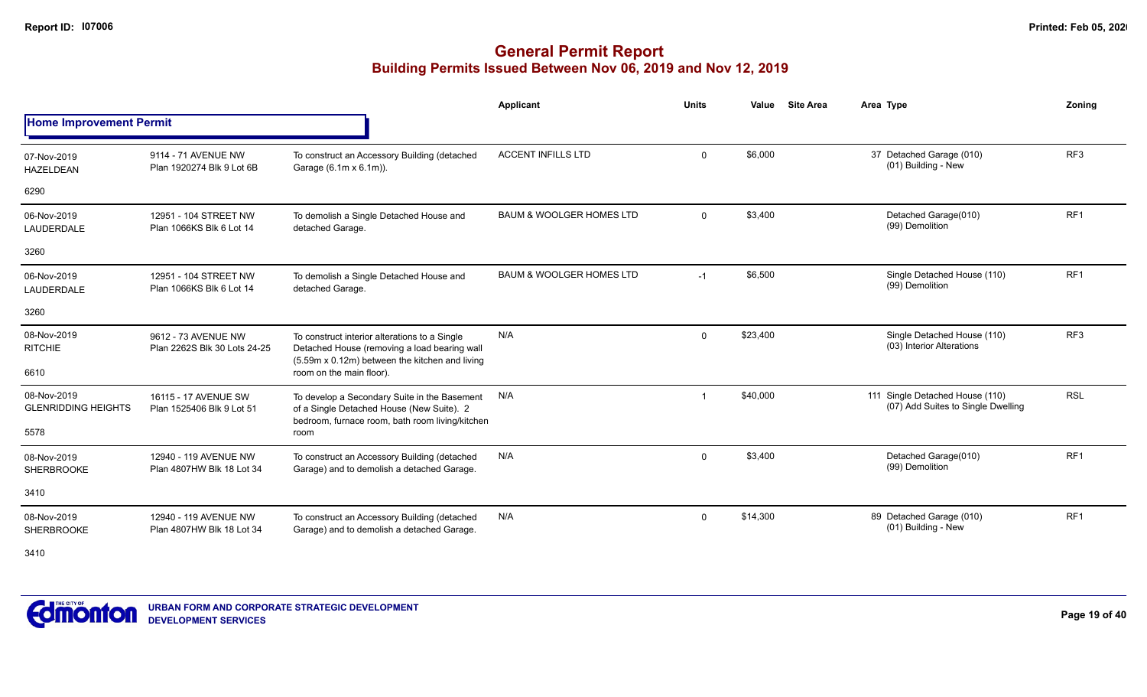|                                           |                                                     |                                                                                                                                                 | <b>Applicant</b>                    | <b>Units</b> | Value    | <b>Site Area</b> | Area Type                                                             | Zonina          |
|-------------------------------------------|-----------------------------------------------------|-------------------------------------------------------------------------------------------------------------------------------------------------|-------------------------------------|--------------|----------|------------------|-----------------------------------------------------------------------|-----------------|
| <b>Home Improvement Permit</b>            |                                                     |                                                                                                                                                 |                                     |              |          |                  |                                                                       |                 |
| 07-Nov-2019<br><b>HAZELDEAN</b>           | 9114 - 71 AVENUE NW<br>Plan 1920274 Blk 9 Lot 6B    | To construct an Accessory Building (detached<br>Garage (6.1m x 6.1m)).                                                                          | <b>ACCENT INFILLS LTD</b>           | $\mathbf{0}$ | \$6,000  |                  | 37 Detached Garage (010)<br>(01) Building - New                       | RF <sub>3</sub> |
| 6290                                      |                                                     |                                                                                                                                                 |                                     |              |          |                  |                                                                       |                 |
| 06-Nov-2019<br>LAUDERDALE                 | 12951 - 104 STREET NW<br>Plan 1066KS Blk 6 Lot 14   | To demolish a Single Detached House and<br>detached Garage.                                                                                     | <b>BAUM &amp; WOOLGER HOMES LTD</b> | $\Omega$     | \$3,400  |                  | Detached Garage(010)<br>(99) Demolition                               | RF <sub>1</sub> |
| 3260                                      |                                                     |                                                                                                                                                 |                                     |              |          |                  |                                                                       |                 |
| 06-Nov-2019<br>LAUDERDALE                 | 12951 - 104 STREET NW<br>Plan 1066KS Blk 6 Lot 14   | To demolish a Single Detached House and<br>detached Garage.                                                                                     | <b>BAUM &amp; WOOLGER HOMES LTD</b> | $-1$         | \$6,500  |                  | Single Detached House (110)<br>(99) Demolition                        | RF <sub>1</sub> |
| 3260                                      |                                                     |                                                                                                                                                 |                                     |              |          |                  |                                                                       |                 |
| 08-Nov-2019<br><b>RITCHIE</b>             | 9612 - 73 AVENUE NW<br>Plan 2262S Blk 30 Lots 24-25 | To construct interior alterations to a Single<br>Detached House (removing a load bearing wall<br>(5.59m x 0.12m) between the kitchen and living | N/A                                 | $\Omega$     | \$23,400 |                  | Single Detached House (110)<br>(03) Interior Alterations              | RF <sub>3</sub> |
| 6610                                      |                                                     | room on the main floor).                                                                                                                        |                                     |              |          |                  |                                                                       |                 |
| 08-Nov-2019<br><b>GLENRIDDING HEIGHTS</b> | 16115 - 17 AVENUE SW<br>Plan 1525406 Blk 9 Lot 51   | To develop a Secondary Suite in the Basement<br>of a Single Detached House (New Suite). 2<br>bedroom, furnace room, bath room living/kitchen    | N/A                                 |              | \$40,000 |                  | 111 Single Detached House (110)<br>(07) Add Suites to Single Dwelling | <b>RSL</b>      |
| 5578                                      |                                                     | room                                                                                                                                            |                                     |              |          |                  |                                                                       |                 |
| 08-Nov-2019<br><b>SHERBROOKE</b>          | 12940 - 119 AVENUE NW<br>Plan 4807HW Blk 18 Lot 34  | To construct an Accessory Building (detached<br>Garage) and to demolish a detached Garage.                                                      | N/A                                 | $\mathbf{0}$ | \$3,400  |                  | Detached Garage(010)<br>(99) Demolition                               | RF <sub>1</sub> |
| 3410                                      |                                                     |                                                                                                                                                 |                                     |              |          |                  |                                                                       |                 |
| 08-Nov-2019<br><b>SHERBROOKE</b>          | 12940 - 119 AVENUE NW<br>Plan 4807HW Blk 18 Lot 34  | To construct an Accessory Building (detached<br>Garage) and to demolish a detached Garage.                                                      | N/A                                 | $\mathbf{0}$ | \$14,300 |                  | 89 Detached Garage (010)<br>(01) Building - New                       | RF <sub>1</sub> |

3410

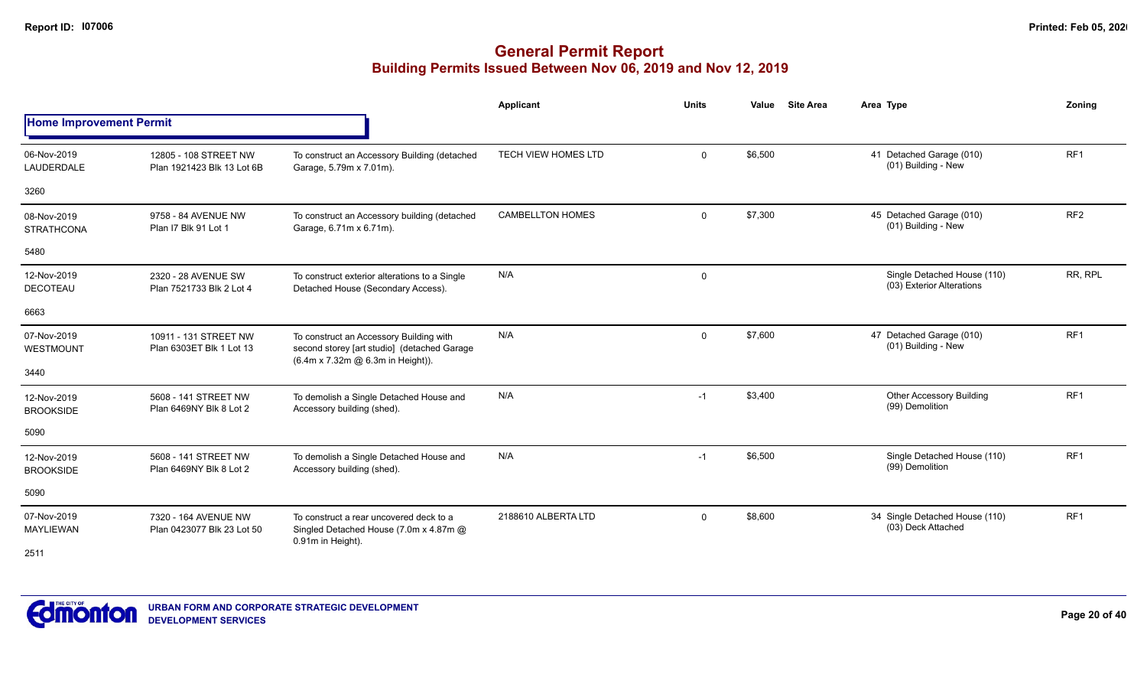|                                  |                                                     |                                                                                                                             | <b>Applicant</b>           | <b>Units</b> | <b>Site Area</b><br>Value | Area Type                                                | Zoning          |
|----------------------------------|-----------------------------------------------------|-----------------------------------------------------------------------------------------------------------------------------|----------------------------|--------------|---------------------------|----------------------------------------------------------|-----------------|
| <b>Home Improvement Permit</b>   |                                                     |                                                                                                                             |                            |              |                           |                                                          |                 |
| 06-Nov-2019<br>LAUDERDALE        | 12805 - 108 STREET NW<br>Plan 1921423 Blk 13 Lot 6B | To construct an Accessory Building (detached<br>Garage, 5.79m x 7.01m).                                                     | <b>TECH VIEW HOMES LTD</b> | $\mathbf{0}$ | \$6,500                   | 41 Detached Garage (010)<br>(01) Building - New          | RF <sub>1</sub> |
| 3260                             |                                                     |                                                                                                                             |                            |              |                           |                                                          |                 |
| 08-Nov-2019<br><b>STRATHCONA</b> | 9758 - 84 AVENUE NW<br>Plan I7 Blk 91 Lot 1         | To construct an Accessory building (detached<br>Garage, 6.71m x 6.71m).                                                     | <b>CAMBELLTON HOMES</b>    | $\mathbf 0$  | \$7,300                   | 45 Detached Garage (010)<br>(01) Building - New          | RF <sub>2</sub> |
| 5480                             |                                                     |                                                                                                                             |                            |              |                           |                                                          |                 |
| 12-Nov-2019<br><b>DECOTEAU</b>   | 2320 - 28 AVENUE SW<br>Plan 7521733 Blk 2 Lot 4     | To construct exterior alterations to a Single<br>Detached House (Secondary Access).                                         | N/A                        | $\mathbf 0$  |                           | Single Detached House (110)<br>(03) Exterior Alterations | RR, RPL         |
| 6663                             |                                                     |                                                                                                                             |                            |              |                           |                                                          |                 |
| 07-Nov-2019<br>WESTMOUNT         | 10911 - 131 STREET NW<br>Plan 6303ET Blk 1 Lot 13   | To construct an Accessory Building with<br>second storey [art studio] (detached Garage<br>(6.4m x 7.32m @ 6.3m in Height)). | N/A                        | $\mathbf 0$  | \$7,600                   | 47 Detached Garage (010)<br>(01) Building - New          | RF <sub>1</sub> |
| 3440                             |                                                     |                                                                                                                             |                            |              |                           |                                                          |                 |
| 12-Nov-2019<br><b>BROOKSIDE</b>  | 5608 - 141 STREET NW<br>Plan 6469NY Blk 8 Lot 2     | To demolish a Single Detached House and<br>Accessory building (shed).                                                       | N/A                        | $-1$         | \$3,400                   | <b>Other Accessory Building</b><br>(99) Demolition       | RF <sub>1</sub> |
| 5090                             |                                                     |                                                                                                                             |                            |              |                           |                                                          |                 |
| 12-Nov-2019<br><b>BROOKSIDE</b>  | 5608 - 141 STREET NW<br>Plan 6469NY Blk 8 Lot 2     | To demolish a Single Detached House and<br>Accessory building (shed).                                                       | N/A                        | $-1$         | \$6,500                   | Single Detached House (110)<br>(99) Demolition           | RF1             |
| 5090                             |                                                     |                                                                                                                             |                            |              |                           |                                                          |                 |
| 07-Nov-2019<br><b>MAYLIEWAN</b>  | 7320 - 164 AVENUE NW<br>Plan 0423077 Blk 23 Lot 50  | To construct a rear uncovered deck to a<br>Singled Detached House (7.0m x 4.87m @<br>0.91m in Height).                      | 2188610 ALBERTA LTD        | $\mathbf 0$  | \$8,600                   | 34 Single Detached House (110)<br>(03) Deck Attached     | RF1             |
| 2511                             |                                                     |                                                                                                                             |                            |              |                           |                                                          |                 |

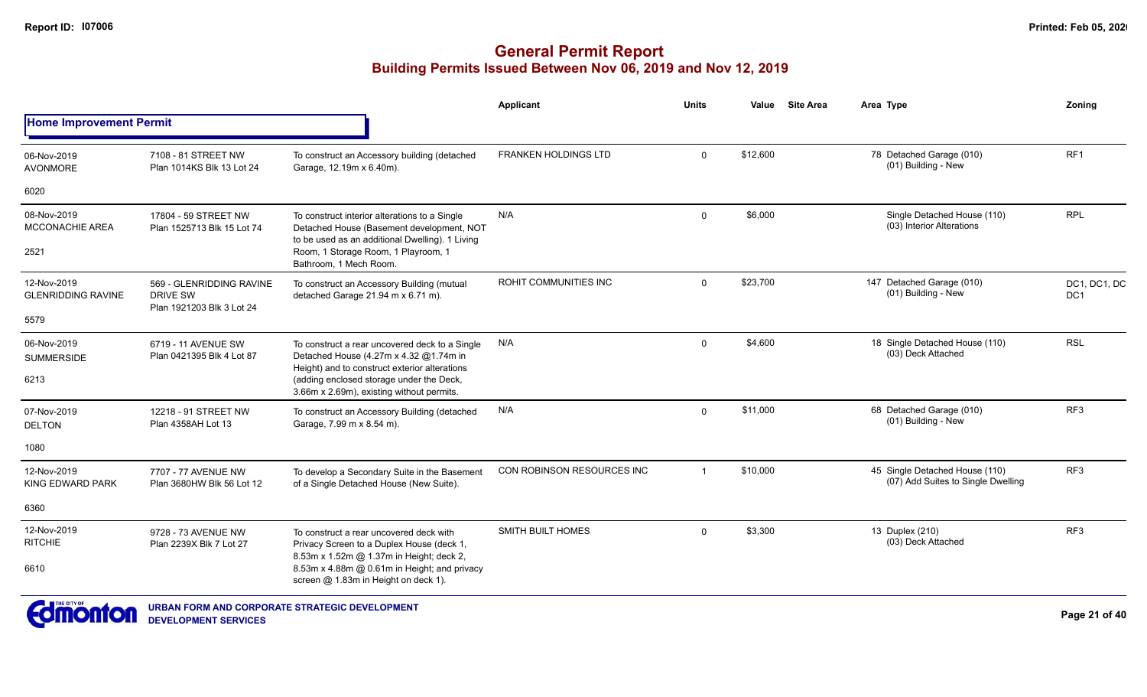|                                          |                                                                          |                                                                                                                                               | <b>Applicant</b>           | <b>Units</b>   | Value    | <b>Site Area</b> | Area Type                                                            | Zoning              |
|------------------------------------------|--------------------------------------------------------------------------|-----------------------------------------------------------------------------------------------------------------------------------------------|----------------------------|----------------|----------|------------------|----------------------------------------------------------------------|---------------------|
| <b>Home Improvement Permit</b>           |                                                                          |                                                                                                                                               |                            |                |          |                  |                                                                      |                     |
| 06-Nov-2019<br><b>AVONMORE</b>           | 7108 - 81 STREET NW<br>Plan 1014KS Blk 13 Lot 24                         | To construct an Accessory building (detached<br>Garage, 12.19m x 6.40m).                                                                      | FRANKEN HOLDINGS LTD       | $\mathbf 0$    | \$12,600 |                  | 78 Detached Garage (010)<br>(01) Building - New                      | RF1                 |
| 6020                                     |                                                                          |                                                                                                                                               |                            |                |          |                  |                                                                      |                     |
| 08-Nov-2019<br><b>MCCONACHIE AREA</b>    | 17804 - 59 STREET NW<br>Plan 1525713 Blk 15 Lot 74                       | To construct interior alterations to a Single<br>Detached House (Basement development, NOT<br>to be used as an additional Dwelling). 1 Living | N/A                        | $\mathbf 0$    | \$6,000  |                  | Single Detached House (110)<br>(03) Interior Alterations             | <b>RPL</b>          |
| 2521                                     |                                                                          | Room, 1 Storage Room, 1 Playroom, 1<br>Bathroom, 1 Mech Room.                                                                                 |                            |                |          |                  |                                                                      |                     |
| 12-Nov-2019<br><b>GLENRIDDING RAVINE</b> | 569 - GLENRIDDING RAVINE<br><b>DRIVE SW</b><br>Plan 1921203 Blk 3 Lot 24 | To construct an Accessory Building (mutual<br>detached Garage 21.94 m x 6.71 m).                                                              | ROHIT COMMUNITIES INC      | $\Omega$       | \$23,700 |                  | 147 Detached Garage (010)<br>(01) Building - New                     | DC1, DC1, DC<br>DC1 |
| 5579                                     |                                                                          |                                                                                                                                               |                            |                |          |                  |                                                                      |                     |
| 06-Nov-2019<br><b>SUMMERSIDE</b>         | 6719 - 11 AVENUE SW<br>Plan 0421395 Blk 4 Lot 87                         | To construct a rear uncovered deck to a Single<br>Detached House (4.27m x 4.32 @1.74m in<br>Height) and to construct exterior alterations     | N/A                        | $\mathbf 0$    | \$4,600  |                  | 18 Single Detached House (110)<br>(03) Deck Attached                 | <b>RSL</b>          |
| 6213                                     |                                                                          | (adding enclosed storage under the Deck,<br>3.66m x 2.69m), existing without permits.                                                         |                            |                |          |                  |                                                                      |                     |
| 07-Nov-2019<br><b>DELTON</b>             | 12218 - 91 STREET NW<br>Plan 4358AH Lot 13                               | To construct an Accessory Building (detached<br>Garage, 7.99 m x 8.54 m).                                                                     | N/A                        | $\Omega$       | \$11,000 |                  | 68 Detached Garage (010)<br>(01) Building - New                      | RF <sub>3</sub>     |
| 1080                                     |                                                                          |                                                                                                                                               |                            |                |          |                  |                                                                      |                     |
| 12-Nov-2019<br>KING EDWARD PARK          | 7707 - 77 AVENUE NW<br>Plan 3680HW Blk 56 Lot 12                         | To develop a Secondary Suite in the Basement<br>of a Single Detached House (New Suite).                                                       | CON ROBINSON RESOURCES INC | $\overline{1}$ | \$10,000 |                  | 45 Single Detached House (110)<br>(07) Add Suites to Single Dwelling | RF <sub>3</sub>     |
| 6360                                     |                                                                          |                                                                                                                                               |                            |                |          |                  |                                                                      |                     |
| 12-Nov-2019<br><b>RITCHIE</b>            | 9728 - 73 AVENUE NW<br>Plan 2239X Blk 7 Lot 27                           | To construct a rear uncovered deck with<br>Privacy Screen to a Duplex House (deck 1,<br>8.53m x 1.52m @ 1.37m in Height; deck 2,              | <b>SMITH BUILT HOMES</b>   | $\Omega$       | \$3,300  |                  | 13 Duplex (210)<br>(03) Deck Attached                                | RF <sub>3</sub>     |
| 6610                                     |                                                                          | 8.53m x 4.88m @ 0.61m in Height; and privacy<br>screen @ 1.83m in Height on deck 1).                                                          |                            |                |          |                  |                                                                      |                     |
| <b>EL BETHE CITY OF</b>                  |                                                                          |                                                                                                                                               |                            |                |          |                  |                                                                      |                     |

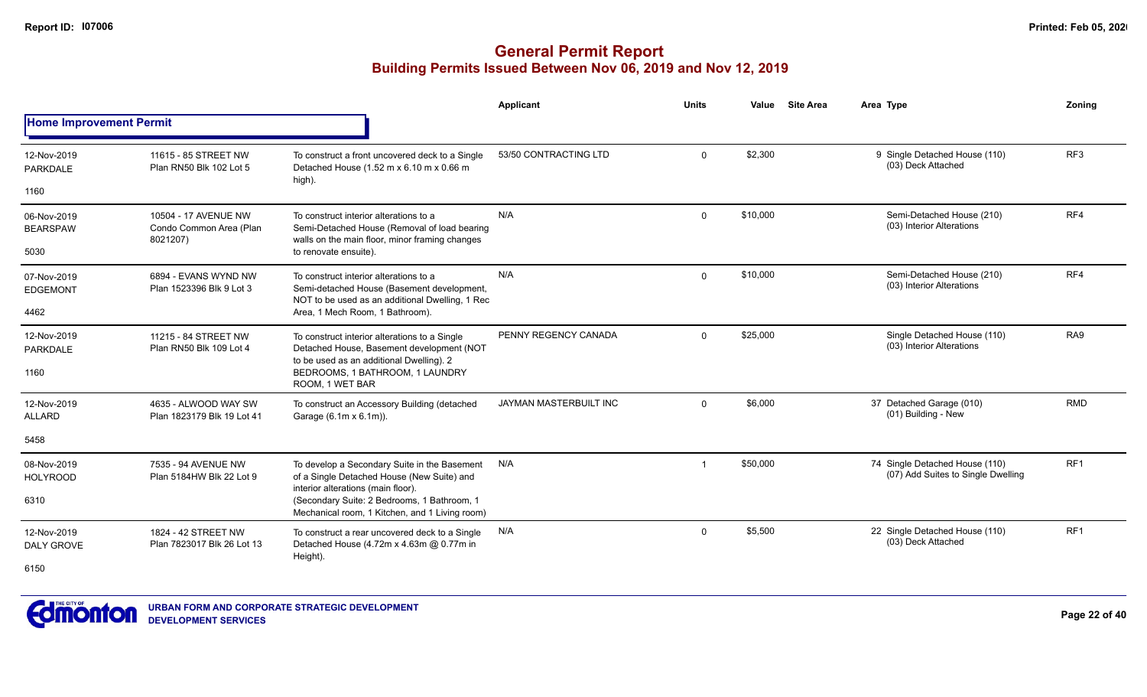|                                  |                                                                                                                                     |                                                                                                                                          | Applicant                     | <b>Units</b> | Value    | <b>Site Area</b> | Area Type                                                            | Zonina          |
|----------------------------------|-------------------------------------------------------------------------------------------------------------------------------------|------------------------------------------------------------------------------------------------------------------------------------------|-------------------------------|--------------|----------|------------------|----------------------------------------------------------------------|-----------------|
| <b>Home Improvement Permit</b>   |                                                                                                                                     |                                                                                                                                          |                               |              |          |                  |                                                                      |                 |
| 12-Nov-2019<br>PARKDALE          | 11615 - 85 STREET NW<br>Plan RN50 Blk 102 Lot 5                                                                                     | To construct a front uncovered deck to a Single<br>Detached House (1.52 m x 6.10 m x 0.66 m                                              | 53/50 CONTRACTING LTD         | 0            | \$2,300  |                  | 9 Single Detached House (110)<br>(03) Deck Attached                  | RF <sub>3</sub> |
| 1160                             |                                                                                                                                     | high).                                                                                                                                   |                               |              |          |                  |                                                                      |                 |
| 06-Nov-2019<br><b>BEARSPAW</b>   | 10504 - 17 AVENUE NW<br>Condo Common Area (Plan<br>8021207)                                                                         | To construct interior alterations to a<br>Semi-Detached House (Removal of load bearing<br>walls on the main floor, minor framing changes | N/A                           | $\mathbf{0}$ | \$10,000 |                  | Semi-Detached House (210)<br>(03) Interior Alterations               | RF4             |
| 5030                             |                                                                                                                                     | to renovate ensuite).                                                                                                                    |                               |              |          |                  |                                                                      |                 |
| 07-Nov-2019<br><b>EDGEMONT</b>   | 6894 - EVANS WYND NW<br>Plan 1523396 Blk 9 Lot 3                                                                                    | To construct interior alterations to a<br>Semi-detached House (Basement development,<br>NOT to be used as an additional Dwelling, 1 Rec  | N/A                           | $\mathbf{0}$ | \$10,000 |                  | Semi-Detached House (210)<br>(03) Interior Alterations               | RF4             |
| 4462                             |                                                                                                                                     | Area, 1 Mech Room, 1 Bathroom).                                                                                                          |                               |              |          |                  |                                                                      |                 |
| 12-Nov-2019<br>PARKDALE          | 11215 - 84 STREET NW<br>Plan RN50 Blk 109 Lot 4                                                                                     | To construct interior alterations to a Single<br>Detached House, Basement development (NOT<br>to be used as an additional Dwelling). 2   | PENNY REGENCY CANADA          | $\Omega$     | \$25,000 |                  | Single Detached House (110)<br>(03) Interior Alterations             | RA <sub>9</sub> |
| 1160                             |                                                                                                                                     | BEDROOMS, 1 BATHROOM, 1 LAUNDRY<br>ROOM, 1 WET BAR                                                                                       |                               |              |          |                  |                                                                      |                 |
| 12-Nov-2019<br><b>ALLARD</b>     | 4635 - ALWOOD WAY SW<br>Plan 1823179 Blk 19 Lot 41                                                                                  | To construct an Accessory Building (detached<br>Garage (6.1m x 6.1m)).                                                                   | <b>JAYMAN MASTERBUILT INC</b> | 0            | \$6,000  |                  | 37 Detached Garage (010)<br>(01) Building - New                      | <b>RMD</b>      |
| 5458                             |                                                                                                                                     |                                                                                                                                          |                               |              |          |                  |                                                                      |                 |
| 08-Nov-2019<br><b>HOLYROOD</b>   | 7535 - 94 AVENUE NW<br>Plan 5184HW Blk 22 Lot 9                                                                                     | To develop a Secondary Suite in the Basement<br>of a Single Detached House (New Suite) and                                               | N/A                           | -1           | \$50,000 |                  | 74 Single Detached House (110)<br>(07) Add Suites to Single Dwelling | RF <sub>1</sub> |
| 6310                             | interior alterations (main floor).<br>(Secondary Suite: 2 Bedrooms, 1 Bathroom, 1<br>Mechanical room, 1 Kitchen, and 1 Living room) |                                                                                                                                          |                               |              |          |                  |                                                                      |                 |
| 12-Nov-2019<br><b>DALY GROVE</b> | 1824 - 42 STREET NW<br>Plan 7823017 Blk 26 Lot 13                                                                                   | To construct a rear uncovered deck to a Single<br>Detached House (4.72m x 4.63m @ 0.77m in                                               | N/A                           | 0            | \$5,500  |                  | 22 Single Detached House (110)<br>(03) Deck Attached                 | RF <sub>1</sub> |
| 6150                             |                                                                                                                                     | Height).                                                                                                                                 |                               |              |          |                  |                                                                      |                 |

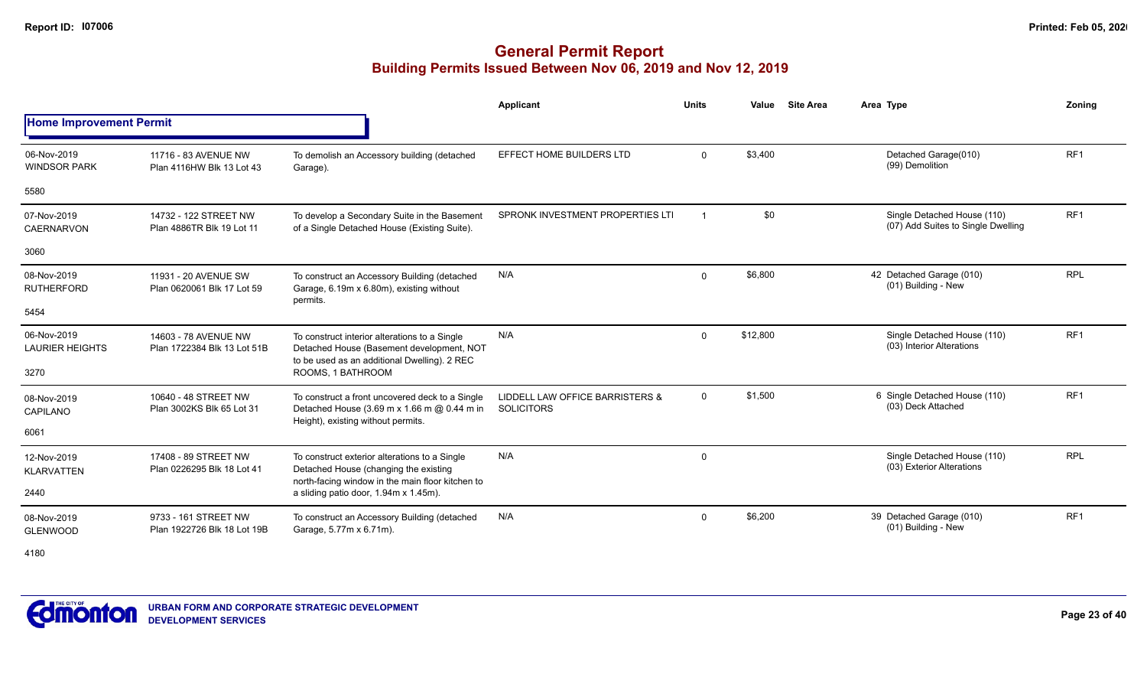|                                       |                                                     |                                                                                                                                            | Applicant                                            | <b>Units</b> | Value    | <b>Site Area</b> | Area Type                                                         | Zonina          |
|---------------------------------------|-----------------------------------------------------|--------------------------------------------------------------------------------------------------------------------------------------------|------------------------------------------------------|--------------|----------|------------------|-------------------------------------------------------------------|-----------------|
| <b>Home Improvement Permit</b>        |                                                     |                                                                                                                                            |                                                      |              |          |                  |                                                                   |                 |
| 06-Nov-2019<br><b>WINDSOR PARK</b>    | 11716 - 83 AVENUE NW<br>Plan 4116HW Blk 13 Lot 43   | To demolish an Accessory building (detached<br>Garage).                                                                                    | EFFECT HOME BUILDERS LTD                             | $\Omega$     | \$3,400  |                  | Detached Garage(010)<br>(99) Demolition                           | RF <sub>1</sub> |
| 5580                                  |                                                     |                                                                                                                                            |                                                      |              |          |                  |                                                                   |                 |
| 07-Nov-2019<br><b>CAERNARVON</b>      | 14732 - 122 STREET NW<br>Plan 4886TR Blk 19 Lot 11  | To develop a Secondary Suite in the Basement<br>of a Single Detached House (Existing Suite).                                               | SPRONK INVESTMENT PROPERTIES LTI                     |              | \$0      |                  | Single Detached House (110)<br>(07) Add Suites to Single Dwelling | RF <sub>1</sub> |
| 3060                                  |                                                     |                                                                                                                                            |                                                      |              |          |                  |                                                                   |                 |
| 08-Nov-2019<br><b>RUTHERFORD</b>      | 11931 - 20 AVENUE SW<br>Plan 0620061 Blk 17 Lot 59  | To construct an Accessory Building (detached<br>Garage, 6.19m x 6.80m), existing without<br>permits.                                       | N/A                                                  | $\Omega$     | \$6,800  |                  | 42 Detached Garage (010)<br>(01) Building - New                   | <b>RPL</b>      |
| 5454                                  |                                                     |                                                                                                                                            |                                                      |              |          |                  |                                                                   |                 |
| 06-Nov-2019<br><b>LAURIER HEIGHTS</b> | 14603 - 78 AVENUE NW<br>Plan 1722384 Blk 13 Lot 51B | To construct interior alterations to a Single<br>Detached House (Basement development, NOT<br>to be used as an additional Dwelling). 2 REC | N/A                                                  | $\Omega$     | \$12,800 |                  | Single Detached House (110)<br>(03) Interior Alterations          | RF1             |
| 3270                                  |                                                     | ROOMS, 1 BATHROOM                                                                                                                          |                                                      |              |          |                  |                                                                   |                 |
| 08-Nov-2019<br>CAPILANO               | 10640 - 48 STREET NW<br>Plan 3002KS Blk 65 Lot 31   | To construct a front uncovered deck to a Single<br>Detached House (3.69 m x 1.66 m @ 0.44 m in                                             | LIDDELL LAW OFFICE BARRISTERS &<br><b>SOLICITORS</b> | $\mathbf 0$  | \$1,500  |                  | 6 Single Detached House (110)<br>(03) Deck Attached               | RF <sub>1</sub> |
| 6061                                  |                                                     | Height), existing without permits.                                                                                                         |                                                      |              |          |                  |                                                                   |                 |
| 12-Nov-2019<br><b>KLARVATTEN</b>      | 17408 - 89 STREET NW<br>Plan 0226295 Blk 18 Lot 41  | To construct exterior alterations to a Single<br>Detached House (changing the existing<br>north-facing window in the main floor kitchen to | N/A                                                  | 0            |          |                  | Single Detached House (110)<br>(03) Exterior Alterations          | <b>RPL</b>      |
| 2440                                  |                                                     | a sliding patio door, 1.94m x 1.45m).                                                                                                      |                                                      |              |          |                  |                                                                   |                 |
| 08-Nov-2019<br><b>GLENWOOD</b>        | 9733 - 161 STREET NW<br>Plan 1922726 Blk 18 Lot 19B | To construct an Accessory Building (detached<br>Garage, 5.77m x 6.71m).                                                                    | N/A                                                  | $\Omega$     | \$6,200  |                  | 39 Detached Garage (010)<br>(01) Building - New                   | RF <sub>1</sub> |

4180

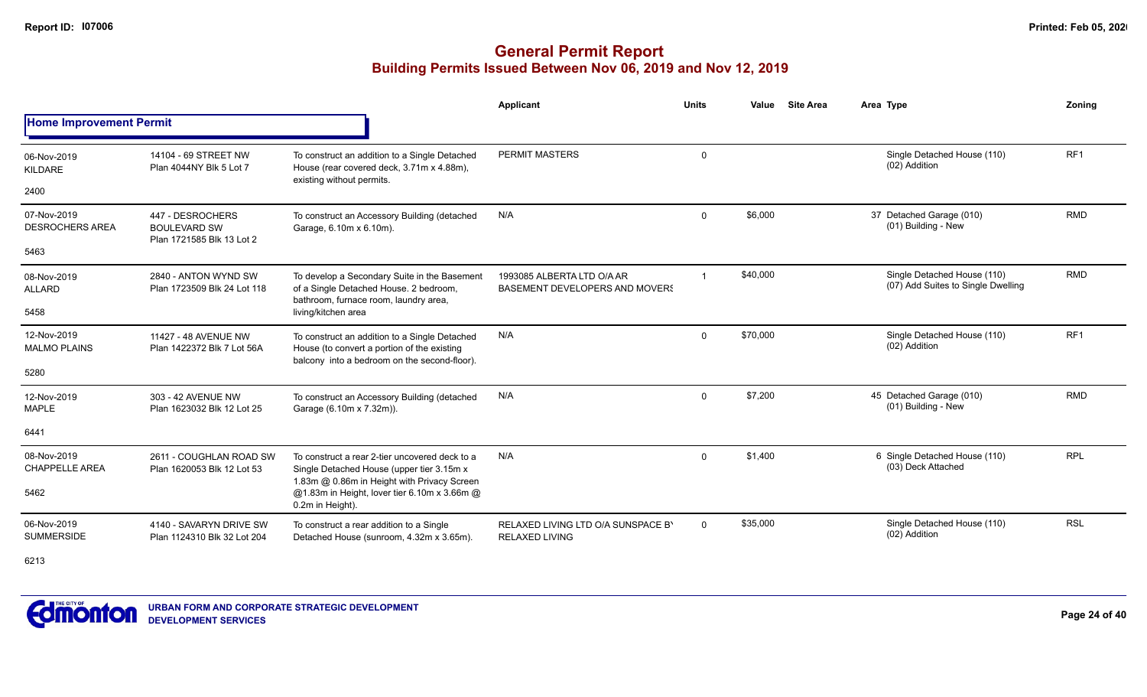|                                       |                                                                      |                                                                                                                                              | <b>Applicant</b>                                             | <b>Units</b> | Value    | <b>Site Area</b> | Area Type                                                         | Zoning          |
|---------------------------------------|----------------------------------------------------------------------|----------------------------------------------------------------------------------------------------------------------------------------------|--------------------------------------------------------------|--------------|----------|------------------|-------------------------------------------------------------------|-----------------|
| <b>Home Improvement Permit</b>        |                                                                      |                                                                                                                                              |                                                              |              |          |                  |                                                                   |                 |
| 06-Nov-2019<br>KILDARE                | 14104 - 69 STREET NW<br>Plan 4044NY Blk 5 Lot 7                      | To construct an addition to a Single Detached<br>House (rear covered deck, 3.71m x 4.88m),<br>existing without permits.                      | PERMIT MASTERS                                               | 0            |          |                  | Single Detached House (110)<br>(02) Addition                      | RF <sub>1</sub> |
| 2400                                  |                                                                      |                                                                                                                                              |                                                              |              |          |                  |                                                                   |                 |
| 07-Nov-2019<br><b>DESROCHERS AREA</b> | 447 - DESROCHERS<br><b>BOULEVARD SW</b><br>Plan 1721585 Blk 13 Lot 2 | To construct an Accessory Building (detached<br>Garage, 6.10m x 6.10m).                                                                      | N/A                                                          | $\mathbf{0}$ | \$6,000  |                  | 37 Detached Garage (010)<br>(01) Building - New                   | <b>RMD</b>      |
| 5463                                  |                                                                      |                                                                                                                                              |                                                              |              |          |                  |                                                                   |                 |
| 08-Nov-2019<br><b>ALLARD</b>          | 2840 - ANTON WYND SW<br>Plan 1723509 Blk 24 Lot 118                  | To develop a Secondary Suite in the Basement<br>of a Single Detached House. 2 bedroom,<br>bathroom, furnace room, laundry area,              | 1993085 ALBERTA LTD O/A AR<br>BASEMENT DEVELOPERS AND MOVERS | $\mathbf{1}$ | \$40,000 |                  | Single Detached House (110)<br>(07) Add Suites to Single Dwelling | <b>RMD</b>      |
| 5458                                  |                                                                      | living/kitchen area                                                                                                                          |                                                              |              |          |                  |                                                                   |                 |
| 12-Nov-2019<br><b>MALMO PLAINS</b>    | 11427 - 48 AVENUE NW<br>Plan 1422372 Blk 7 Lot 56A                   | To construct an addition to a Single Detached<br>House (to convert a portion of the existing<br>balcony into a bedroom on the second-floor). | N/A                                                          | $\mathbf{0}$ | \$70,000 |                  | Single Detached House (110)<br>(02) Addition                      | RF <sub>1</sub> |
| 5280                                  |                                                                      |                                                                                                                                              |                                                              |              |          |                  |                                                                   |                 |
| 12-Nov-2019<br><b>MAPLE</b>           | 303 - 42 AVENUE NW<br>Plan 1623032 Blk 12 Lot 25                     | To construct an Accessory Building (detached<br>Garage (6.10m x 7.32m)).                                                                     | N/A                                                          | $\mathbf 0$  | \$7,200  |                  | 45 Detached Garage (010)<br>(01) Building - New                   | <b>RMD</b>      |
| 6441                                  |                                                                      |                                                                                                                                              |                                                              |              |          |                  |                                                                   |                 |
| 08-Nov-2019<br><b>CHAPPELLE AREA</b>  | 2611 - COUGHLAN ROAD SW<br>Plan 1620053 Blk 12 Lot 53                | To construct a rear 2-tier uncovered deck to a<br>Single Detached House (upper tier 3.15m x                                                  | N/A                                                          | $\Omega$     | \$1,400  |                  | 6 Single Detached House (110)<br>(03) Deck Attached               | <b>RPL</b>      |
| 5462                                  | 1.83m @ 0.86m in Height with Privacy Screen<br>0.2m in Height).      | @1.83m in Height, lover tier 6.10m x 3.66m @                                                                                                 |                                                              |              |          |                  |                                                                   |                 |
| 06-Nov-2019<br><b>SUMMERSIDE</b>      | 4140 - SAVARYN DRIVE SW<br>Plan 1124310 Blk 32 Lot 204               | To construct a rear addition to a Single<br>Detached House (sunroom, 4.32m x 3.65m).                                                         | RELAXED LIVING LTD O/A SUNSPACE B'<br><b>RELAXED LIVING</b>  | $\mathbf{0}$ | \$35,000 |                  | Single Detached House (110)<br>(02) Addition                      | <b>RSL</b>      |
| 6213                                  |                                                                      |                                                                                                                                              |                                                              |              |          |                  |                                                                   |                 |

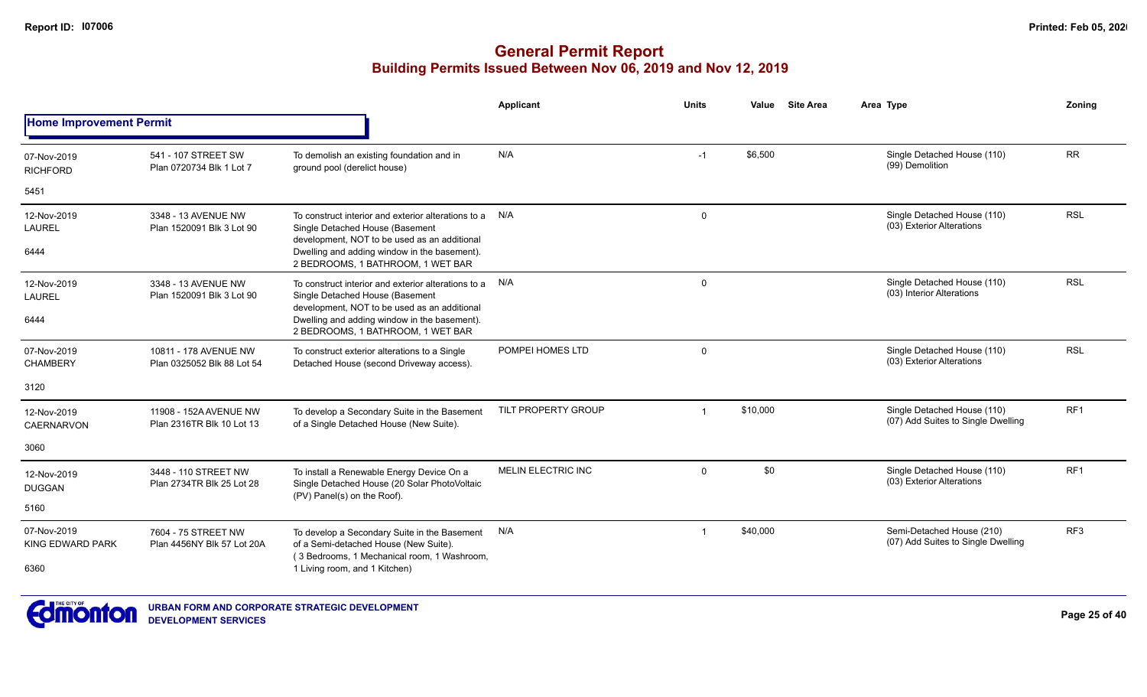|                                        |                                                     |                                                                                                                                            | <b>Applicant</b>          | <b>Units</b>            | Value    | <b>Site Area</b> | Area Type                                                         | Zonina          |
|----------------------------------------|-----------------------------------------------------|--------------------------------------------------------------------------------------------------------------------------------------------|---------------------------|-------------------------|----------|------------------|-------------------------------------------------------------------|-----------------|
| <b>Home Improvement Permit</b>         |                                                     |                                                                                                                                            |                           |                         |          |                  |                                                                   |                 |
| 07-Nov-2019<br><b>RICHFORD</b>         | 541 - 107 STREET SW<br>Plan 0720734 Blk 1 Lot 7     | To demolish an existing foundation and in<br>ground pool (derelict house)                                                                  | N/A                       | $-1$                    | \$6,500  |                  | Single Detached House (110)<br>(99) Demolition                    | <b>RR</b>       |
| 5451                                   |                                                     |                                                                                                                                            |                           |                         |          |                  |                                                                   |                 |
| 12-Nov-2019<br><b>LAUREL</b>           | 3348 - 13 AVENUE NW<br>Plan 1520091 Blk 3 Lot 90    | To construct interior and exterior alterations to a N/A<br>Single Detached House (Basement<br>development, NOT to be used as an additional |                           | 0                       |          |                  | Single Detached House (110)<br>(03) Exterior Alterations          | <b>RSL</b>      |
| 6444                                   |                                                     | Dwelling and adding window in the basement).<br>2 BEDROOMS, 1 BATHROOM, 1 WET BAR                                                          |                           |                         |          |                  |                                                                   |                 |
| 12-Nov-2019<br><b>LAUREL</b>           | 3348 - 13 AVENUE NW<br>Plan 1520091 Blk 3 Lot 90    | To construct interior and exterior alterations to a<br>Single Detached House (Basement                                                     | N/A                       | 0                       |          |                  | Single Detached House (110)<br>(03) Interior Alterations          | <b>RSL</b>      |
| 6444                                   |                                                     | development, NOT to be used as an additional<br>Dwelling and adding window in the basement).<br>2 BEDROOMS, 1 BATHROOM, 1 WET BAR          |                           |                         |          |                  |                                                                   |                 |
| 07-Nov-2019<br><b>CHAMBERY</b>         | 10811 - 178 AVENUE NW<br>Plan 0325052 Blk 88 Lot 54 | To construct exterior alterations to a Single<br>Detached House (second Driveway access).                                                  | POMPEI HOMES LTD          | $\mathsf{O}$            |          |                  | Single Detached House (110)<br>(03) Exterior Alterations          | <b>RSL</b>      |
| 3120                                   |                                                     |                                                                                                                                            |                           |                         |          |                  |                                                                   |                 |
| 12-Nov-2019<br><b>CAERNARVON</b>       | 11908 - 152A AVENUE NW<br>Plan 2316TR Blk 10 Lot 13 | To develop a Secondary Suite in the Basement<br>of a Single Detached House (New Suite).                                                    | TILT PROPERTY GROUP       | $\overline{1}$          | \$10,000 |                  | Single Detached House (110)<br>(07) Add Suites to Single Dwelling | RF <sub>1</sub> |
| 3060                                   |                                                     |                                                                                                                                            |                           |                         |          |                  |                                                                   |                 |
| 12-Nov-2019<br><b>DUGGAN</b>           | 3448 - 110 STREET NW<br>Plan 2734TR Blk 25 Lot 28   | To install a Renewable Energy Device On a<br>Single Detached House (20 Solar PhotoVoltaic<br>(PV) Panel(s) on the Roof).                   | <b>MELIN ELECTRIC INC</b> | $\mathbf 0$             | \$0      |                  | Single Detached House (110)<br>(03) Exterior Alterations          | RF <sub>1</sub> |
| 5160                                   |                                                     |                                                                                                                                            |                           |                         |          |                  |                                                                   |                 |
| 07-Nov-2019<br><b>KING EDWARD PARK</b> | 7604 - 75 STREET NW<br>Plan 4456NY Blk 57 Lot 20A   | To develop a Secondary Suite in the Basement<br>of a Semi-detached House (New Suite).<br>(3 Bedrooms, 1 Mechanical room, 1 Washroom,       | N/A                       | $\overline{\mathbf{1}}$ | \$40,000 |                  | Semi-Detached House (210)<br>(07) Add Suites to Single Dwelling   | RF <sub>3</sub> |
| 6360                                   |                                                     | 1 Living room, and 1 Kitchen)                                                                                                              |                           |                         |          |                  |                                                                   |                 |

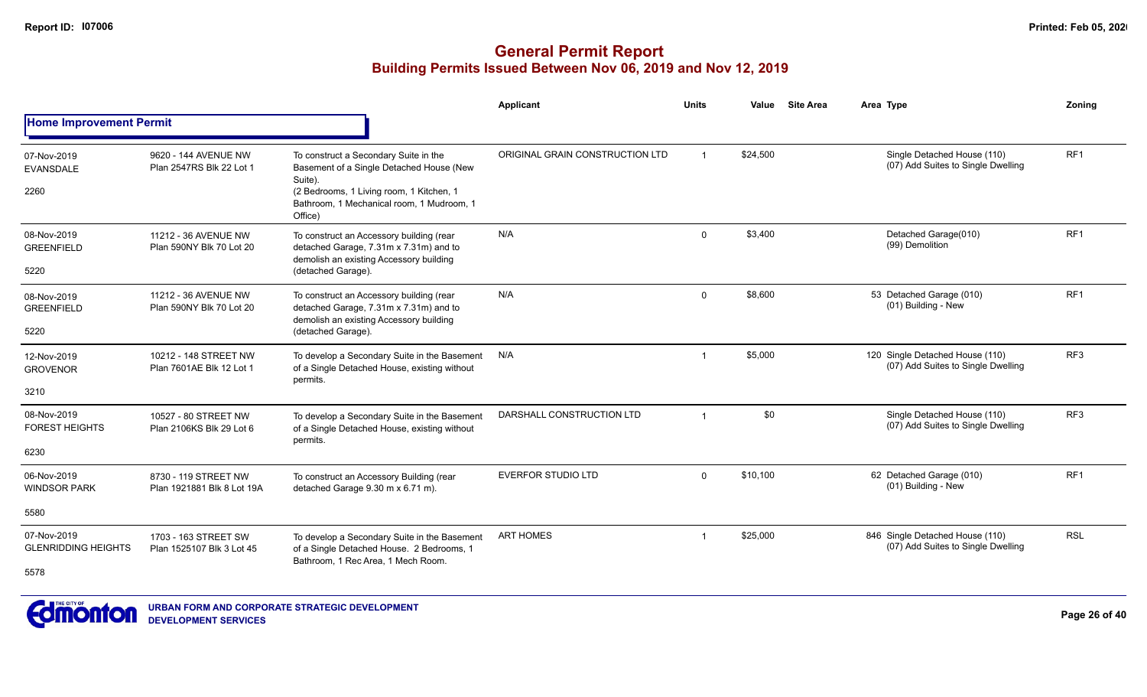#### **General Permit Report Building Permits Issued Between Nov 06, 2019 and Nov 12, 2019**

|                                              |                                                    |                                                                                                                                                                                                  | Applicant                       | <b>Units</b>   | Value    | <b>Site Area</b> | Area Type                                                             | Zoning          |
|----------------------------------------------|----------------------------------------------------|--------------------------------------------------------------------------------------------------------------------------------------------------------------------------------------------------|---------------------------------|----------------|----------|------------------|-----------------------------------------------------------------------|-----------------|
| <b>Home Improvement Permit</b>               |                                                    |                                                                                                                                                                                                  |                                 |                |          |                  |                                                                       |                 |
| 07-Nov-2019<br><b>EVANSDALE</b><br>2260      | 9620 - 144 AVENUE NW<br>Plan 2547RS Blk 22 Lot 1   | To construct a Secondary Suite in the<br>Basement of a Single Detached House (New<br>Suite).<br>(2 Bedrooms, 1 Living room, 1 Kitchen, 1<br>Bathroom, 1 Mechanical room, 1 Mudroom, 1<br>Office) | ORIGINAL GRAIN CONSTRUCTION LTD | $\mathbf{1}$   | \$24,500 |                  | Single Detached House (110)<br>(07) Add Suites to Single Dwelling     | RF <sub>1</sub> |
| 08-Nov-2019<br><b>GREENFIELD</b><br>5220     | 11212 - 36 AVENUE NW<br>Plan 590NY Blk 70 Lot 20   | To construct an Accessory building (rear<br>detached Garage, 7.31m x 7.31m) and to<br>demolish an existing Accessory building<br>(detached Garage).                                              | N/A                             | $\Omega$       | \$3,400  |                  | Detached Garage(010)<br>(99) Demolition                               | RF <sub>1</sub> |
| 08-Nov-2019<br><b>GREENFIELD</b><br>5220     | 11212 - 36 AVENUE NW<br>Plan 590NY Blk 70 Lot 20   | To construct an Accessory building (rear<br>detached Garage, 7.31m x 7.31m) and to<br>demolish an existing Accessory building<br>(detached Garage).                                              | N/A                             | $\mathbf 0$    | \$8,600  |                  | 53 Detached Garage (010)<br>(01) Building - New                       | RF <sub>1</sub> |
| 12-Nov-2019<br><b>GROVENOR</b><br>3210       | 10212 - 148 STREET NW<br>Plan 7601AE Blk 12 Lot 1  | To develop a Secondary Suite in the Basement<br>of a Single Detached House, existing without<br>permits.                                                                                         | N/A                             | $\overline{1}$ | \$5,000  |                  | 120 Single Detached House (110)<br>(07) Add Suites to Single Dwelling | RF <sub>3</sub> |
| 08-Nov-2019<br><b>FOREST HEIGHTS</b><br>6230 | 10527 - 80 STREET NW<br>Plan 2106KS Blk 29 Lot 6   | To develop a Secondary Suite in the Basement<br>of a Single Detached House, existing without<br>permits.                                                                                         | DARSHALL CONSTRUCTION LTD       | $\overline{1}$ | \$0      |                  | Single Detached House (110)<br>(07) Add Suites to Single Dwelling     | RF3             |
| 06-Nov-2019<br><b>WINDSOR PARK</b>           | 8730 - 119 STREET NW<br>Plan 1921881 Blk 8 Lot 19A | To construct an Accessory Building (rear<br>detached Garage 9.30 m x 6.71 m).                                                                                                                    | <b>EVERFOR STUDIO LTD</b>       | $\Omega$       | \$10,100 |                  | 62 Detached Garage (010)<br>(01) Building - New                       | RF <sub>1</sub> |
| 5580                                         |                                                    |                                                                                                                                                                                                  |                                 |                |          |                  |                                                                       |                 |
| 07-Nov-2019<br><b>GLENRIDDING HEIGHTS</b>    | 1703 - 163 STREET SW<br>Plan 1525107 Blk 3 Lot 45  | To develop a Secondary Suite in the Basement<br>of a Single Detached House. 2 Bedrooms, 1<br>Bathroom, 1 Rec Area, 1 Mech Room.                                                                  | <b>ART HOMES</b>                | $\mathbf 1$    | \$25,000 |                  | 846 Single Detached House (110)<br>(07) Add Suites to Single Dwelling | <b>RSL</b>      |
| 5578                                         |                                                    |                                                                                                                                                                                                  |                                 |                |          |                  |                                                                       |                 |



**URBAN FORM AND CORPORATE STRATEGIC DEVELOPMENT DEVELOPMENT SERVICES**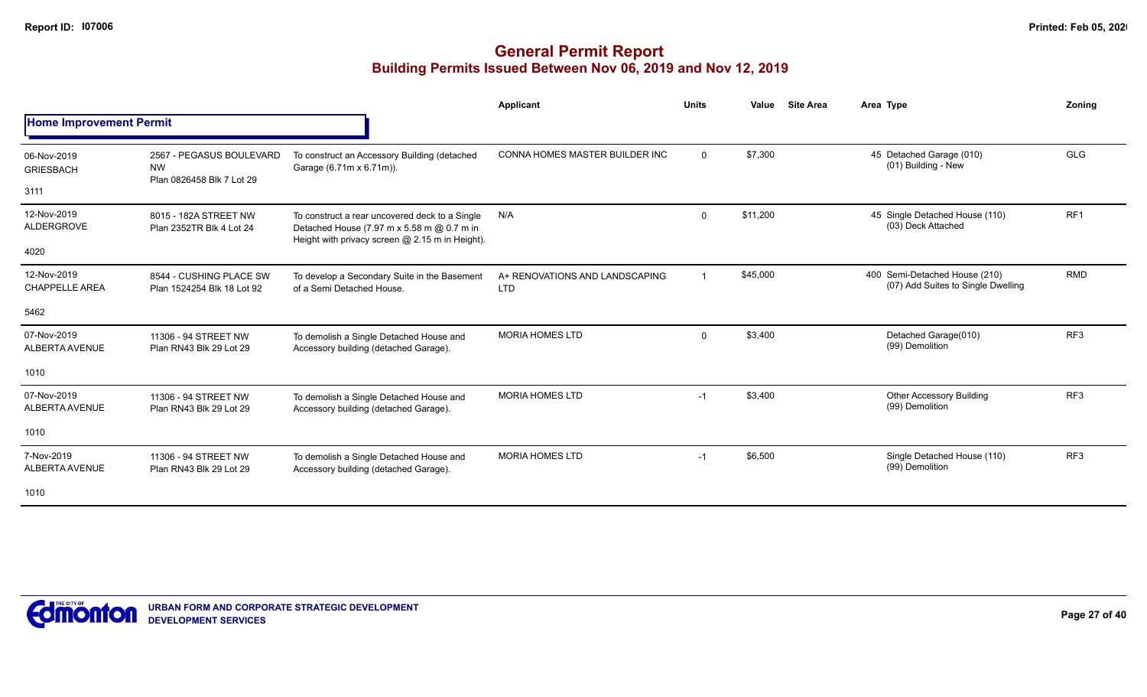|                                      |                                                                    |                                                                                                                                                 | Applicant                                    | <b>Units</b> | Value    | <b>Site Area</b> | Area Type                                                           | Zoning          |
|--------------------------------------|--------------------------------------------------------------------|-------------------------------------------------------------------------------------------------------------------------------------------------|----------------------------------------------|--------------|----------|------------------|---------------------------------------------------------------------|-----------------|
| <b>Home Improvement Permit</b>       |                                                                    |                                                                                                                                                 |                                              |              |          |                  |                                                                     |                 |
| 06-Nov-2019<br><b>GRIESBACH</b>      | 2567 - PEGASUS BOULEVARD<br><b>NW</b><br>Plan 0826458 Blk 7 Lot 29 | To construct an Accessory Building (detached<br>Garage (6.71m x 6.71m)).                                                                        | CONNA HOMES MASTER BUILDER INC               | $\mathbf 0$  | \$7,300  |                  | 45 Detached Garage (010)<br>(01) Building - New                     | <b>GLG</b>      |
| 3111                                 |                                                                    |                                                                                                                                                 |                                              |              |          |                  |                                                                     |                 |
| 12-Nov-2019<br>ALDERGROVE            | 8015 - 182A STREET NW<br>Plan 2352TR Blk 4 Lot 24                  | To construct a rear uncovered deck to a Single<br>Detached House (7.97 m x 5.58 m @ 0.7 m in<br>Height with privacy screen @ 2.15 m in Height). | N/A                                          | $\mathbf 0$  | \$11,200 |                  | 45 Single Detached House (110)<br>(03) Deck Attached                | RF <sub>1</sub> |
| 4020                                 |                                                                    |                                                                                                                                                 |                                              |              |          |                  |                                                                     |                 |
| 12-Nov-2019<br><b>CHAPPELLE AREA</b> | 8544 - CUSHING PLACE SW<br>Plan 1524254 Blk 18 Lot 92              | To develop a Secondary Suite in the Basement<br>of a Semi Detached House.                                                                       | A+ RENOVATIONS AND LANDSCAPING<br><b>LTD</b> | $\mathbf{1}$ | \$45,000 |                  | 400 Semi-Detached House (210)<br>(07) Add Suites to Single Dwelling | <b>RMD</b>      |
| 5462                                 |                                                                    |                                                                                                                                                 |                                              |              |          |                  |                                                                     |                 |
| 07-Nov-2019<br>ALBERTA AVENUE        | 11306 - 94 STREET NW<br>Plan RN43 Blk 29 Lot 29                    | To demolish a Single Detached House and<br>Accessory building (detached Garage).                                                                | <b>MORIA HOMES LTD</b>                       | 0            | \$3,400  |                  | Detached Garage(010)<br>(99) Demolition                             | RF <sub>3</sub> |
| 1010                                 |                                                                    |                                                                                                                                                 |                                              |              |          |                  |                                                                     |                 |
| 07-Nov-2019<br><b>ALBERTA AVENUE</b> | 11306 - 94 STREET NW<br>Plan RN43 Blk 29 Lot 29                    | To demolish a Single Detached House and<br>Accessory building (detached Garage).                                                                | <b>MORIA HOMES LTD</b>                       | $-1$         | \$3,400  |                  | <b>Other Accessory Building</b><br>(99) Demolition                  | RF <sub>3</sub> |
| 1010                                 |                                                                    |                                                                                                                                                 |                                              |              |          |                  |                                                                     |                 |
| 7-Nov-2019<br><b>ALBERTA AVENUE</b>  | 11306 - 94 STREET NW<br>Plan RN43 Blk 29 Lot 29                    | To demolish a Single Detached House and<br>Accessory building (detached Garage).                                                                | <b>MORIA HOMES LTD</b>                       | $-1$         | \$6,500  |                  | Single Detached House (110)<br>(99) Demolition                      | RF3             |
| 1010                                 |                                                                    |                                                                                                                                                 |                                              |              |          |                  |                                                                     |                 |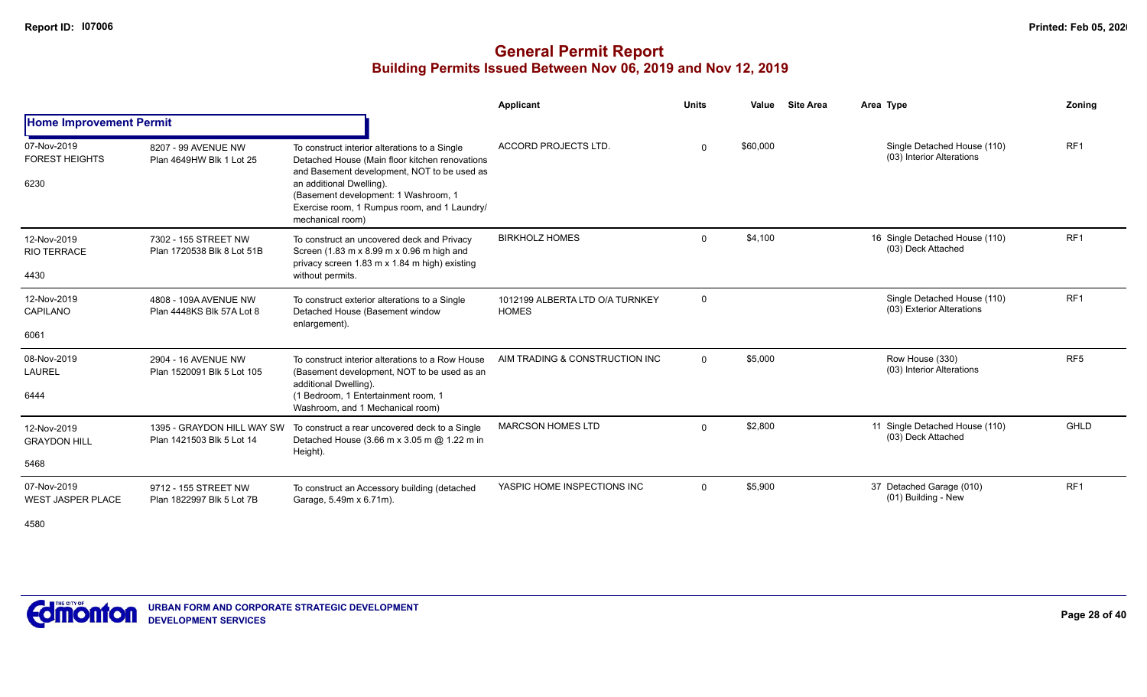|                                                 |                                                         |                                                                                                                                                                                                                                                                                        | Applicant                                       | <b>Units</b> | Value    | <b>Site Area</b> | Area Type                                                | Zoning          |
|-------------------------------------------------|---------------------------------------------------------|----------------------------------------------------------------------------------------------------------------------------------------------------------------------------------------------------------------------------------------------------------------------------------------|-------------------------------------------------|--------------|----------|------------------|----------------------------------------------------------|-----------------|
| <b>Home Improvement Permit</b>                  |                                                         |                                                                                                                                                                                                                                                                                        |                                                 |              |          |                  |                                                          |                 |
| 07-Nov-2019<br><b>FOREST HEIGHTS</b><br>6230    | 8207 - 99 AVENUE NW<br>Plan 4649HW Blk 1 Lot 25         | To construct interior alterations to a Single<br>Detached House (Main floor kitchen renovations<br>and Basement development, NOT to be used as<br>an additional Dwelling).<br>(Basement development: 1 Washroom, 1<br>Exercise room, 1 Rumpus room, and 1 Laundry/<br>mechanical room) | ACCORD PROJECTS LTD.                            | $\Omega$     | \$60,000 |                  | Single Detached House (110)<br>(03) Interior Alterations | RF <sub>1</sub> |
| 12-Nov-2019<br><b>RIO TERRACE</b><br>4430       | 7302 - 155 STREET NW<br>Plan 1720538 Blk 8 Lot 51B      | To construct an uncovered deck and Privacy<br>Screen (1.83 m x 8.99 m x 0.96 m high and<br>privacy screen 1.83 m x 1.84 m high) existing<br>without permits.                                                                                                                           | <b>BIRKHOLZ HOMES</b>                           | $\Omega$     | \$4,100  |                  | 16 Single Detached House (110)<br>(03) Deck Attached     | RF <sub>1</sub> |
| 12-Nov-2019<br>CAPILANO<br>6061                 | 4808 - 109A AVENUE NW<br>Plan 4448KS Blk 57A Lot 8      | To construct exterior alterations to a Single<br>Detached House (Basement window<br>enlargement).                                                                                                                                                                                      | 1012199 ALBERTA LTD O/A TURNKEY<br><b>HOMES</b> | $\Omega$     |          |                  | Single Detached House (110)<br>(03) Exterior Alterations | RF <sub>1</sub> |
| 08-Nov-2019<br><b>LAUREL</b><br>6444            | 2904 - 16 AVENUE NW<br>Plan 1520091 Blk 5 Lot 105       | To construct interior alterations to a Row House<br>(Basement development, NOT to be used as an<br>additional Dwelling).<br>(1 Bedroom, 1 Entertainment room, 1<br>Washroom, and 1 Mechanical room)                                                                                    | AIM TRADING & CONSTRUCTION INC                  | $\Omega$     | \$5,000  |                  | Row House (330)<br>(03) Interior Alterations             | RF <sub>5</sub> |
| 12-Nov-2019<br><b>GRAYDON HILL</b><br>5468      | 1395 - GRAYDON HILL WAY SW<br>Plan 1421503 Blk 5 Lot 14 | To construct a rear uncovered deck to a Single<br>Detached House (3.66 m x 3.05 m @ 1.22 m in<br>Height).                                                                                                                                                                              | <b>MARCSON HOMES LTD</b>                        | $\Omega$     | \$2,800  |                  | 11 Single Detached House (110)<br>(03) Deck Attached     | GHLD            |
| 07-Nov-2019<br><b>WEST JASPER PLACE</b><br>4580 | 9712 - 155 STREET NW<br>Plan 1822997 Blk 5 Lot 7B       | To construct an Accessory building (detached<br>Garage, 5.49m x 6.71m).                                                                                                                                                                                                                | YASPIC HOME INSPECTIONS INC                     | $\Omega$     | \$5,900  |                  | 37 Detached Garage (010)<br>(01) Building - New          | RF <sub>1</sub> |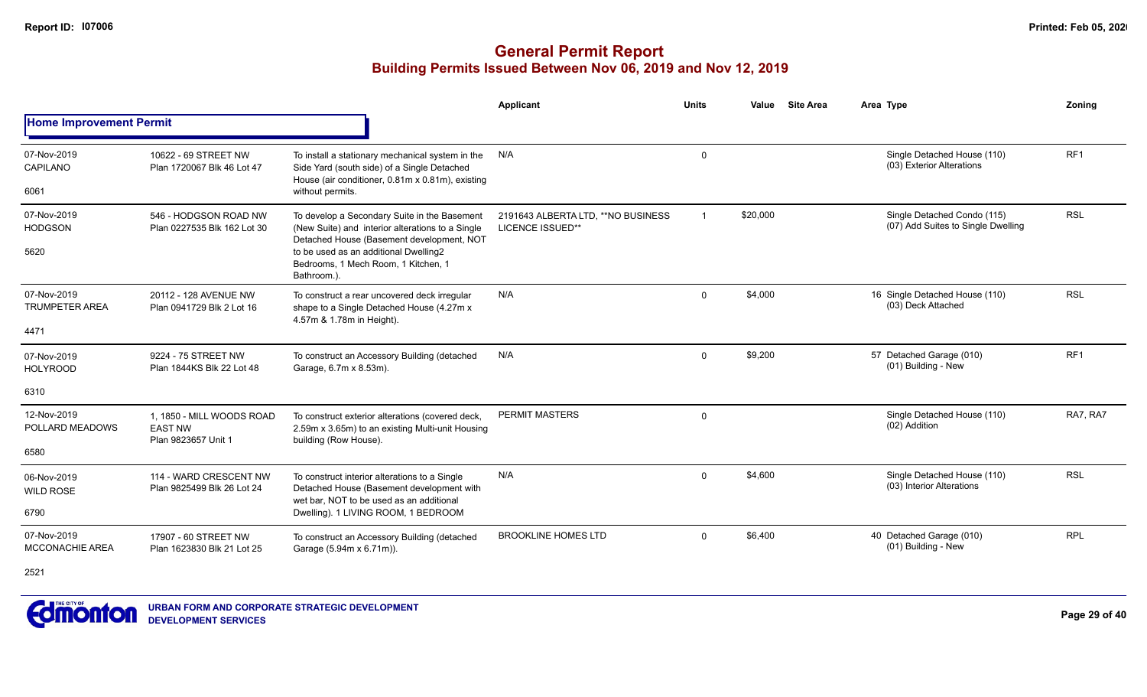|                                       |                                                                                 |                                                                                                                                                     | Applicant                                                      | <b>Units</b> | Value    | <b>Site Area</b> | Area Type                                                         | Zoning          |
|---------------------------------------|---------------------------------------------------------------------------------|-----------------------------------------------------------------------------------------------------------------------------------------------------|----------------------------------------------------------------|--------------|----------|------------------|-------------------------------------------------------------------|-----------------|
| <b>Home Improvement Permit</b>        |                                                                                 |                                                                                                                                                     |                                                                |              |          |                  |                                                                   |                 |
| 07-Nov-2019<br>CAPILANO               | 10622 - 69 STREET NW<br>Plan 1720067 Blk 46 Lot 47                              | To install a stationary mechanical system in the<br>Side Yard (south side) of a Single Detached<br>House (air conditioner, 0.81m x 0.81m), existing | N/A                                                            | $\mathbf 0$  |          |                  | Single Detached House (110)<br>(03) Exterior Alterations          | RF <sub>1</sub> |
| 6061                                  |                                                                                 | without permits.                                                                                                                                    |                                                                |              |          |                  |                                                                   |                 |
| 07-Nov-2019<br><b>HODGSON</b>         | 546 - HODGSON ROAD NW<br>Plan 0227535 Blk 162 Lot 30                            | To develop a Secondary Suite in the Basement<br>(New Suite) and interior alterations to a Single<br>Detached House (Basement development, NOT       | 2191643 ALBERTA LTD, ** NO BUSINESS<br><b>LICENCE ISSUED**</b> | $\mathbf 1$  | \$20,000 |                  | Single Detached Condo (115)<br>(07) Add Suites to Single Dwelling | <b>RSL</b>      |
| 5620                                  |                                                                                 | to be used as an additional Dwelling2<br>Bedrooms, 1 Mech Room, 1 Kitchen, 1<br>Bathroom.)                                                          |                                                                |              |          |                  |                                                                   |                 |
| 07-Nov-2019<br><b>TRUMPETER AREA</b>  | 20112 - 128 AVENUE NW<br>Plan 0941729 Blk 2 Lot 16                              | To construct a rear uncovered deck irregular<br>shape to a Single Detached House (4.27m x<br>4.57m & 1.78m in Height).                              | N/A                                                            | $\Omega$     | \$4,000  |                  | 16 Single Detached House (110)<br>(03) Deck Attached              | <b>RSL</b>      |
| 4471                                  |                                                                                 |                                                                                                                                                     |                                                                |              |          |                  |                                                                   |                 |
| 07-Nov-2019<br><b>HOLYROOD</b>        | 9224 - 75 STREET NW<br>Plan 1844KS Blk 22 Lot 48                                | To construct an Accessory Building (detached<br>Garage, 6.7m x 8.53m).                                                                              | N/A                                                            | $\Omega$     | \$9,200  |                  | 57 Detached Garage (010)<br>(01) Building - New                   | RF <sub>1</sub> |
| 6310                                  |                                                                                 |                                                                                                                                                     |                                                                |              |          |                  |                                                                   |                 |
| 12-Nov-2019<br>POLLARD MEADOWS        | 1. 1850 - MILL WOODS ROAD<br><b>EAST NW</b>                                     | To construct exterior alterations (covered deck,<br>2.59m x 3.65m) to an existing Multi-unit Housing                                                | <b>PERMIT MASTERS</b>                                          | 0            |          |                  | Single Detached House (110)<br>(02) Addition                      | RA7, RA7        |
| 6580                                  | Plan 9823657 Unit 1                                                             | building (Row House).                                                                                                                               |                                                                |              |          |                  |                                                                   |                 |
| 06-Nov-2019<br><b>WILD ROSE</b>       | 114 - WARD CRESCENT NW<br>Plan 9825499 Blk 26 Lot 24                            | To construct interior alterations to a Single<br>Detached House (Basement development with                                                          | N/A                                                            | $\Omega$     | \$4,600  |                  | Single Detached House (110)<br>(03) Interior Alterations          | <b>RSL</b>      |
| 6790                                  | wet bar. NOT to be used as an additional<br>Dwelling). 1 LIVING ROOM, 1 BEDROOM |                                                                                                                                                     |                                                                |              |          |                  |                                                                   |                 |
| 07-Nov-2019<br><b>MCCONACHIE AREA</b> | 17907 - 60 STREET NW<br>Plan 1623830 Blk 21 Lot 25                              | To construct an Accessory Building (detached<br>Garage (5.94m x 6.71m)).                                                                            | <b>BROOKLINE HOMES LTD</b>                                     | $\mathbf{0}$ | \$6,400  |                  | 40 Detached Garage (010)<br>(01) Building - New                   | <b>RPL</b>      |
| 2521                                  |                                                                                 |                                                                                                                                                     |                                                                |              |          |                  |                                                                   |                 |

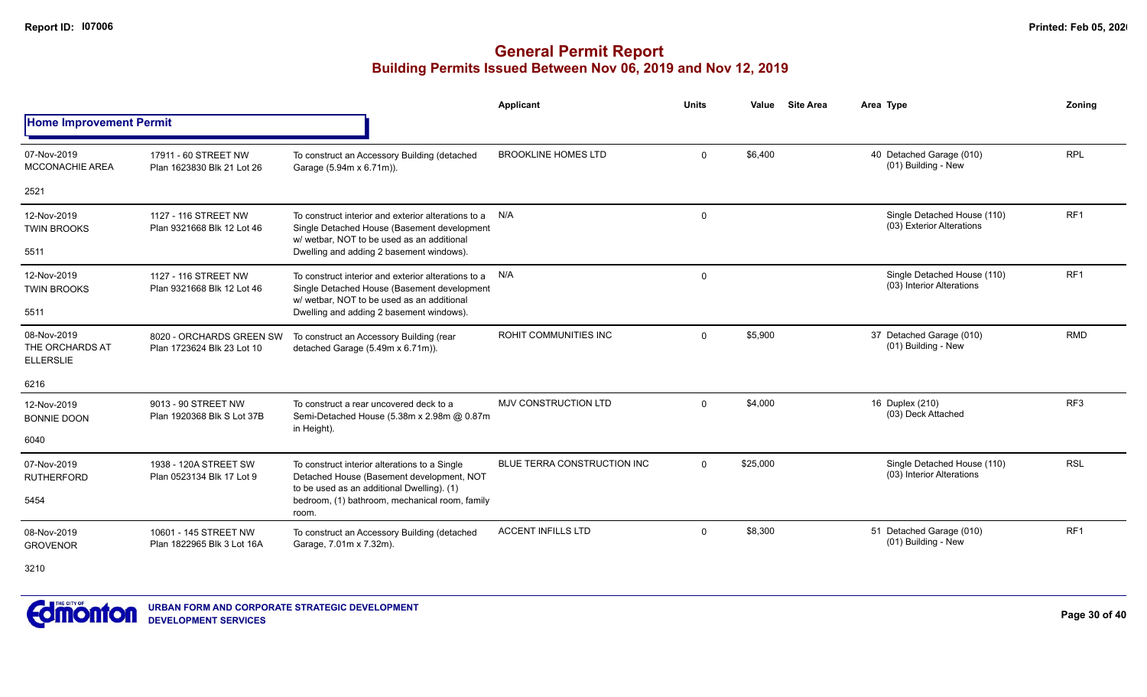|                                                    |                                                        |                                                                                                                                                  | Applicant                   | <b>Units</b> | Value    | <b>Site Area</b>                                         | Area Type                                                | Zoning          |
|----------------------------------------------------|--------------------------------------------------------|--------------------------------------------------------------------------------------------------------------------------------------------------|-----------------------------|--------------|----------|----------------------------------------------------------|----------------------------------------------------------|-----------------|
| <b>Home Improvement Permit</b>                     |                                                        |                                                                                                                                                  |                             |              |          |                                                          |                                                          |                 |
| 07-Nov-2019<br><b>MCCONACHIE AREA</b>              | 17911 - 60 STREET NW<br>Plan 1623830 Blk 21 Lot 26     | To construct an Accessory Building (detached<br>Garage (5.94m x 6.71m)).                                                                         | <b>BROOKLINE HOMES LTD</b>  | $\Omega$     | \$6,400  |                                                          | 40 Detached Garage (010)<br>(01) Building - New          | <b>RPL</b>      |
| 2521                                               |                                                        |                                                                                                                                                  |                             |              |          |                                                          |                                                          |                 |
| 12-Nov-2019<br><b>TWIN BROOKS</b>                  | 1127 - 116 STREET NW<br>Plan 9321668 Blk 12 Lot 46     | To construct interior and exterior alterations to a<br>Single Detached House (Basement development<br>w/ wetbar. NOT to be used as an additional | N/A                         | $\Omega$     |          | Single Detached House (110)<br>(03) Exterior Alterations | RF <sub>1</sub>                                          |                 |
| 5511                                               |                                                        | Dwelling and adding 2 basement windows).                                                                                                         |                             |              |          |                                                          |                                                          |                 |
| 12-Nov-2019<br><b>TWIN BROOKS</b>                  | 1127 - 116 STREET NW<br>Plan 9321668 Blk 12 Lot 46     | To construct interior and exterior alterations to a<br>Single Detached House (Basement development<br>w/ wetbar. NOT to be used as an additional | N/A                         | $\mathbf 0$  |          |                                                          | Single Detached House (110)<br>(03) Interior Alterations | RF <sub>1</sub> |
| 5511                                               |                                                        | Dwelling and adding 2 basement windows).                                                                                                         |                             |              |          |                                                          |                                                          |                 |
| 08-Nov-2019<br>THE ORCHARDS AT<br><b>ELLERSLIE</b> | 8020 - ORCHARDS GREEN SW<br>Plan 1723624 Blk 23 Lot 10 | To construct an Accessory Building (rear<br>detached Garage (5.49m x 6.71m)).                                                                    | ROHIT COMMUNITIES INC       | $\Omega$     | \$5,900  |                                                          | 37 Detached Garage (010)<br>(01) Building - New          | <b>RMD</b>      |
| 6216                                               |                                                        |                                                                                                                                                  |                             |              |          |                                                          |                                                          |                 |
| 12-Nov-2019<br><b>BONNIE DOON</b>                  | 9013 - 90 STREET NW<br>Plan 1920368 Blk S Lot 37B      | To construct a rear uncovered deck to a<br>Semi-Detached House (5.38m x 2.98m @ 0.87m<br>in Height).                                             | <b>MJV CONSTRUCTION LTD</b> | $\Omega$     | \$4,000  |                                                          | 16 Duplex (210)<br>(03) Deck Attached                    | RF <sub>3</sub> |
| 6040                                               |                                                        |                                                                                                                                                  |                             |              |          |                                                          |                                                          |                 |
| 07-Nov-2019<br><b>RUTHERFORD</b>                   | 1938 - 120A STREET SW<br>Plan 0523134 Blk 17 Lot 9     | To construct interior alterations to a Single<br>Detached House (Basement development, NOT                                                       | BLUE TERRA CONSTRUCTION INC | $\Omega$     | \$25,000 |                                                          | Single Detached House (110)<br>(03) Interior Alterations | <b>RSL</b>      |
| 5454                                               |                                                        | to be used as an additional Dwelling). (1)<br>bedroom, (1) bathroom, mechanical room, family<br>room.                                            |                             |              |          |                                                          |                                                          |                 |
| 08-Nov-2019<br><b>GROVENOR</b>                     | 10601 - 145 STREET NW<br>Plan 1822965 Blk 3 Lot 16A    | To construct an Accessory Building (detached<br>Garage, 7.01m x 7.32m).                                                                          | <b>ACCENT INFILLS LTD</b>   | $\Omega$     | \$8,300  |                                                          | 51 Detached Garage (010)<br>(01) Building - New          | RF <sub>1</sub> |
| 3210                                               |                                                        |                                                                                                                                                  |                             |              |          |                                                          |                                                          |                 |

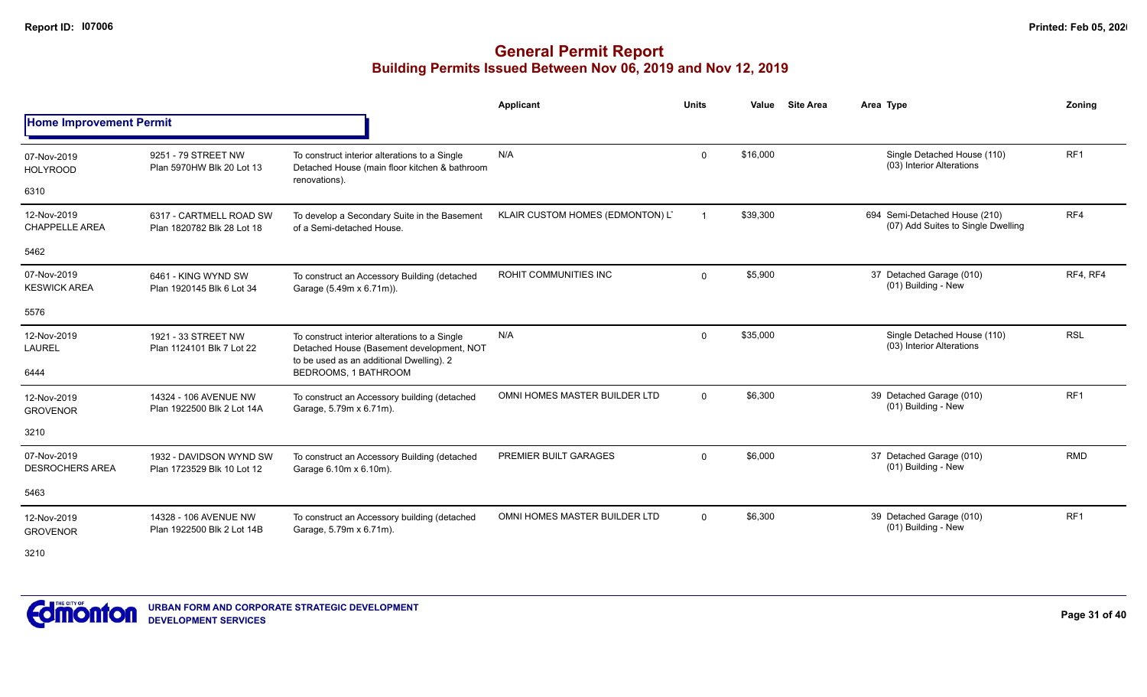### **General Permit Report Building Permits Issued Between Nov 06, 2019 and Nov 12, 2019**

|                                       |                                                       |                                                                                                                                        | <b>Applicant</b>                 | <b>Units</b>   | Value    | <b>Site Area</b> | Area Type                                                           | Zonina          |
|---------------------------------------|-------------------------------------------------------|----------------------------------------------------------------------------------------------------------------------------------------|----------------------------------|----------------|----------|------------------|---------------------------------------------------------------------|-----------------|
| <b>Home Improvement Permit</b>        |                                                       |                                                                                                                                        |                                  |                |          |                  |                                                                     |                 |
| 07-Nov-2019<br><b>HOLYROOD</b>        | 9251 - 79 STREET NW<br>Plan 5970HW Blk 20 Lot 13      | To construct interior alterations to a Single<br>Detached House (main floor kitchen & bathroom<br>renovations).                        | N/A                              | $\mathbf{0}$   | \$16,000 |                  | Single Detached House (110)<br>(03) Interior Alterations            | RF1             |
| 6310                                  |                                                       |                                                                                                                                        |                                  |                |          |                  |                                                                     |                 |
| 12-Nov-2019<br><b>CHAPPELLE AREA</b>  | 6317 - CARTMELL ROAD SW<br>Plan 1820782 Blk 28 Lot 18 | To develop a Secondary Suite in the Basement<br>of a Semi-detached House.                                                              | KLAIR CUSTOM HOMES (EDMONTON) L' | $\overline{1}$ | \$39,300 |                  | 694 Semi-Detached House (210)<br>(07) Add Suites to Single Dwelling | RF4             |
| 5462                                  |                                                       |                                                                                                                                        |                                  |                |          |                  |                                                                     |                 |
| 07-Nov-2019<br><b>KESWICK AREA</b>    | 6461 - KING WYND SW<br>Plan 1920145 Blk 6 Lot 34      | To construct an Accessory Building (detached<br>Garage (5.49m x 6.71m)).                                                               | ROHIT COMMUNITIES INC            | $\mathbf 0$    | \$5,900  |                  | 37 Detached Garage (010)<br>(01) Building - New                     | RF4, RF4        |
| 5576                                  |                                                       |                                                                                                                                        |                                  |                |          |                  |                                                                     |                 |
| 12-Nov-2019<br><b>LAUREL</b>          | 1921 - 33 STREET NW<br>Plan 1124101 Blk 7 Lot 22      | To construct interior alterations to a Single<br>Detached House (Basement development, NOT<br>to be used as an additional Dwelling). 2 | N/A                              | $\mathbf 0$    | \$35,000 |                  | Single Detached House (110)<br>(03) Interior Alterations            | <b>RSL</b>      |
| 6444                                  |                                                       | BEDROOMS, 1 BATHROOM                                                                                                                   |                                  |                |          |                  |                                                                     |                 |
| 12-Nov-2019<br><b>GROVENOR</b>        | 14324 - 106 AVENUE NW<br>Plan 1922500 Blk 2 Lot 14A   | To construct an Accessory building (detached<br>Garage, 5.79m x 6.71m).                                                                | OMNI HOMES MASTER BUILDER LTD    | $\Omega$       | \$6,300  |                  | 39 Detached Garage (010)<br>(01) Building - New                     | RF <sub>1</sub> |
| 3210                                  |                                                       |                                                                                                                                        |                                  |                |          |                  |                                                                     |                 |
| 07-Nov-2019<br><b>DESROCHERS AREA</b> | 1932 - DAVIDSON WYND SW<br>Plan 1723529 Blk 10 Lot 12 | To construct an Accessory Building (detached<br>Garage 6.10m x 6.10m).                                                                 | PREMIER BUILT GARAGES            | 0              | \$6,000  |                  | 37 Detached Garage (010)<br>(01) Building - New                     | <b>RMD</b>      |
| 5463                                  |                                                       |                                                                                                                                        |                                  |                |          |                  |                                                                     |                 |
| 12-Nov-2019<br><b>GROVENOR</b>        | 14328 - 106 AVENUE NW<br>Plan 1922500 Blk 2 Lot 14B   | To construct an Accessory building (detached<br>Garage, 5.79m x 6.71m).                                                                | OMNI HOMES MASTER BUILDER LTD    | $\mathbf 0$    | \$6,300  |                  | 39 Detached Garage (010)<br>(01) Building - New                     | RF <sub>1</sub> |

3210

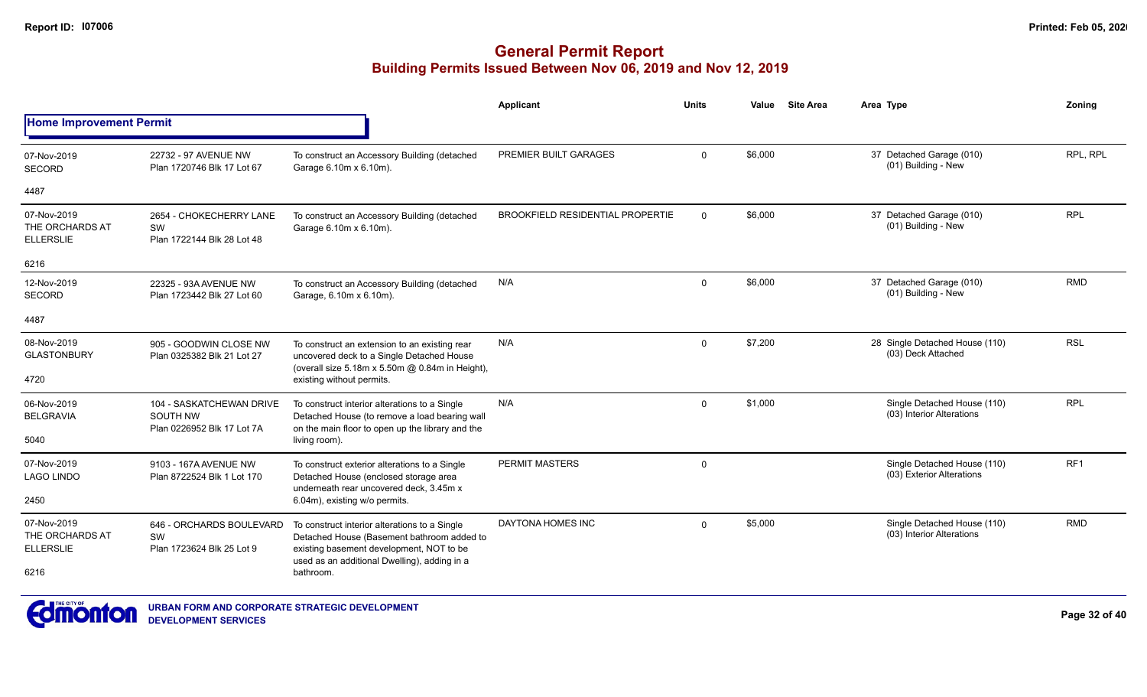|                                                    |                                                                           |                                                                                                                                                                            | Applicant                               | <b>Units</b> | Value   | <b>Site Area</b> | Area Type                                                | Zoning          |
|----------------------------------------------------|---------------------------------------------------------------------------|----------------------------------------------------------------------------------------------------------------------------------------------------------------------------|-----------------------------------------|--------------|---------|------------------|----------------------------------------------------------|-----------------|
| <b>Home Improvement Permit</b>                     |                                                                           |                                                                                                                                                                            |                                         |              |         |                  |                                                          |                 |
| 07-Nov-2019<br><b>SECORD</b>                       | 22732 - 97 AVENUE NW<br>Plan 1720746 Blk 17 Lot 67                        | To construct an Accessory Building (detached<br>Garage 6.10m x 6.10m).                                                                                                     | PREMIER BUILT GARAGES                   | $\Omega$     | \$6,000 |                  | 37 Detached Garage (010)<br>(01) Building - New          | RPL. RPL        |
| 4487                                               |                                                                           |                                                                                                                                                                            |                                         |              |         |                  |                                                          |                 |
| 07-Nov-2019<br>THE ORCHARDS AT<br><b>ELLERSLIE</b> | 2654 - CHOKECHERRY LANE<br>SW<br>Plan 1722144 Blk 28 Lot 48               | To construct an Accessory Building (detached<br>Garage 6.10m x 6.10m).                                                                                                     | <b>BROOKFIELD RESIDENTIAL PROPERTIE</b> | $\Omega$     | \$6,000 |                  | 37 Detached Garage (010)<br>(01) Building - New          | <b>RPL</b>      |
| 6216                                               |                                                                           |                                                                                                                                                                            |                                         |              |         |                  |                                                          |                 |
| 12-Nov-2019<br><b>SECORD</b>                       | 22325 - 93A AVENUE NW<br>Plan 1723442 Blk 27 Lot 60                       | To construct an Accessory Building (detached<br>Garage, 6.10m x 6.10m).                                                                                                    | N/A                                     | $\Omega$     | \$6,000 |                  | 37 Detached Garage (010)<br>(01) Building - New          | <b>RMD</b>      |
| 4487                                               |                                                                           |                                                                                                                                                                            |                                         |              |         |                  |                                                          |                 |
| 08-Nov-2019<br><b>GLASTONBURY</b><br>4720          | 905 - GOODWIN CLOSE NW<br>Plan 0325382 Blk 21 Lot 27                      | To construct an extension to an existing rear<br>uncovered deck to a Single Detached House<br>(overall size 5.18m x 5.50m @ 0.84m in Height),<br>existing without permits. | N/A                                     | $\Omega$     | \$7,200 |                  | 28 Single Detached House (110)<br>(03) Deck Attached     | <b>RSL</b>      |
| 06-Nov-2019<br><b>BELGRAVIA</b><br>5040            | 104 - SASKATCHEWAN DRIVE<br><b>SOUTH NW</b><br>Plan 0226952 Blk 17 Lot 7A | To construct interior alterations to a Single<br>Detached House (to remove a load bearing wall<br>on the main floor to open up the library and the<br>living room).        | N/A                                     | $\Omega$     | \$1,000 |                  | Single Detached House (110)<br>(03) Interior Alterations | <b>RPL</b>      |
| 07-Nov-2019<br><b>LAGO LINDO</b>                   | 9103 - 167A AVENUE NW<br>Plan 8722524 Blk 1 Lot 170                       | To construct exterior alterations to a Single<br>Detached House (enclosed storage area<br>underneath rear uncovered deck, 3.45m x                                          | <b>PERMIT MASTERS</b>                   | $\mathbf 0$  |         |                  | Single Detached House (110)<br>(03) Exterior Alterations | RF <sub>1</sub> |
| 2450                                               |                                                                           | 6.04m), existing w/o permits.                                                                                                                                              |                                         |              |         |                  |                                                          |                 |
| 07-Nov-2019<br>THE ORCHARDS AT<br><b>ELLERSLIE</b> | 646 - ORCHARDS BOULEVARD<br>SW<br>Plan 1723624 Blk 25 Lot 9               | To construct interior alterations to a Single<br>Detached House (Basement bathroom added to<br>existing basement development, NOT to be                                    | DAYTONA HOMES INC                       | $\Omega$     | \$5,000 |                  | Single Detached House (110)<br>(03) Interior Alterations | <b>RMD</b>      |
| 6216                                               |                                                                           | used as an additional Dwelling), adding in a<br>bathroom.                                                                                                                  |                                         |              |         |                  |                                                          |                 |

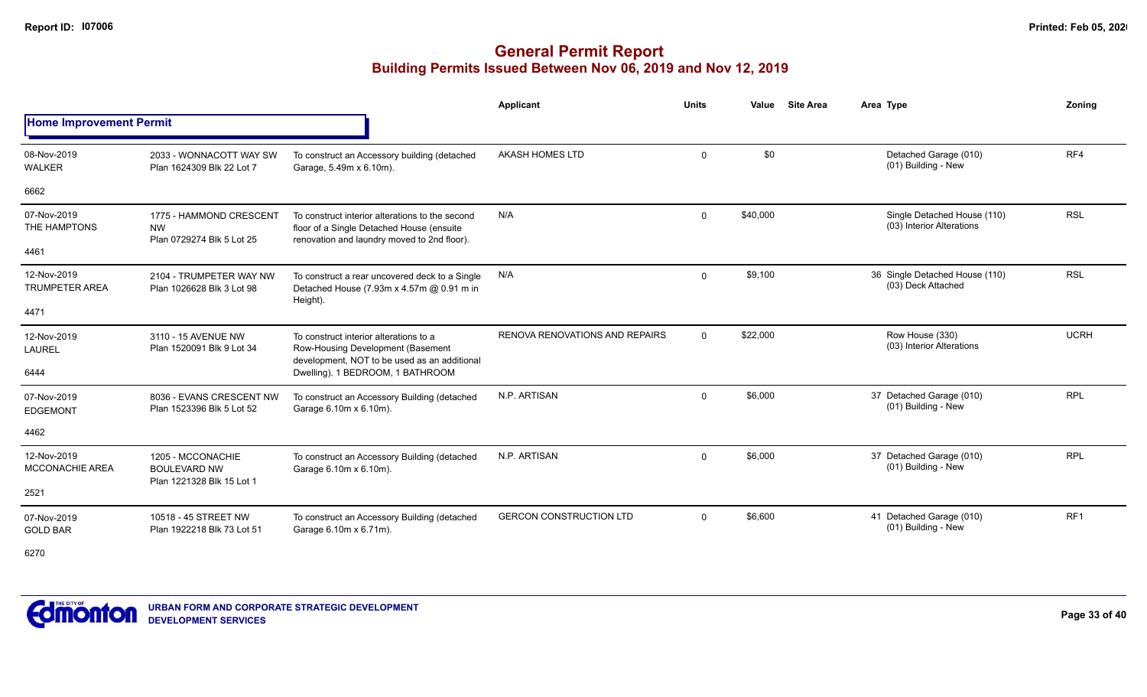### **General Permit Report Building Permits Issued Between Nov 06, 2019 and Nov 12, 2019**

|                                      |                                                                       |                                                                                                                                             | <b>Applicant</b>                      | <b>Units</b> | Value    | <b>Site Area</b> | Area Type                                                | Zoning          |
|--------------------------------------|-----------------------------------------------------------------------|---------------------------------------------------------------------------------------------------------------------------------------------|---------------------------------------|--------------|----------|------------------|----------------------------------------------------------|-----------------|
| <b>Home Improvement Permit</b>       |                                                                       |                                                                                                                                             |                                       |              |          |                  |                                                          |                 |
| 08-Nov-2019<br>WALKER                | 2033 - WONNACOTT WAY SW<br>Plan 1624309 Blk 22 Lot 7                  | To construct an Accessory building (detached<br>Garage, 5.49m x 6.10m).                                                                     | AKASH HOMES LTD                       | $\mathbf{0}$ | \$0      |                  | Detached Garage (010)<br>(01) Building - New             | RF4             |
| 6662                                 |                                                                       |                                                                                                                                             |                                       |              |          |                  |                                                          |                 |
| 07-Nov-2019<br>THE HAMPTONS          | 1775 - HAMMOND CRESCENT<br><b>NW</b><br>Plan 0729274 Blk 5 Lot 25     | To construct interior alterations to the second<br>floor of a Single Detached House (ensuite<br>renovation and laundry moved to 2nd floor). | N/A                                   | $\mathbf{0}$ | \$40,000 |                  | Single Detached House (110)<br>(03) Interior Alterations | <b>RSL</b>      |
| 4461                                 |                                                                       |                                                                                                                                             |                                       |              |          |                  |                                                          |                 |
| 12-Nov-2019<br><b>TRUMPETER AREA</b> | 2104 - TRUMPETER WAY NW<br>Plan 1026628 Blk 3 Lot 98                  | To construct a rear uncovered deck to a Single<br>Detached House (7.93m x 4.57m @ 0.91 m in<br>Height).                                     | N/A                                   | 0            | \$9,100  |                  | 36 Single Detached House (110)<br>(03) Deck Attached     | <b>RSL</b>      |
| 4471                                 |                                                                       |                                                                                                                                             |                                       |              |          |                  |                                                          |                 |
| 12-Nov-2019<br><b>LAUREL</b>         | 3110 - 15 AVENUE NW<br>Plan 1520091 Blk 9 Lot 34                      | To construct interior alterations to a<br>Row-Housing Development (Basement<br>development, NOT to be used as an additional                 | <b>RENOVA RENOVATIONS AND REPAIRS</b> | $\mathbf{0}$ | \$22,000 |                  | Row House (330)<br>(03) Interior Alterations             | <b>UCRH</b>     |
| 6444                                 |                                                                       | Dwelling). 1 BEDROOM, 1 BATHROOM                                                                                                            |                                       |              |          |                  |                                                          |                 |
| 07-Nov-2019<br><b>EDGEMONT</b>       | 8036 - EVANS CRESCENT NW<br>Plan 1523396 Blk 5 Lot 52                 | To construct an Accessory Building (detached<br>Garage 6.10m x 6.10m).                                                                      | N.P. ARTISAN                          | 0            | \$6,000  |                  | 37 Detached Garage (010)<br>(01) Building - New          | <b>RPL</b>      |
| 4462                                 |                                                                       |                                                                                                                                             |                                       |              |          |                  |                                                          |                 |
| 12-Nov-2019<br>MCCONACHIE AREA       | 1205 - MCCONACHIE<br><b>BOULEVARD NW</b><br>Plan 1221328 Blk 15 Lot 1 | To construct an Accessory Building (detached<br>Garage 6.10m x 6.10m).                                                                      | N.P. ARTISAN                          | 0            | \$6,000  |                  | 37 Detached Garage (010)<br>(01) Building - New          | <b>RPL</b>      |
| 2521                                 |                                                                       |                                                                                                                                             |                                       |              |          |                  |                                                          |                 |
| 07-Nov-2019<br><b>GOLD BAR</b>       | 10518 - 45 STREET NW<br>Plan 1922218 Blk 73 Lot 51                    | To construct an Accessory Building (detached<br>Garage 6.10m x 6.71m).                                                                      | <b>GERCON CONSTRUCTION LTD</b>        | $\mathbf{0}$ | \$6,600  |                  | 41 Detached Garage (010)<br>(01) Building - New          | RF <sub>1</sub> |

6270

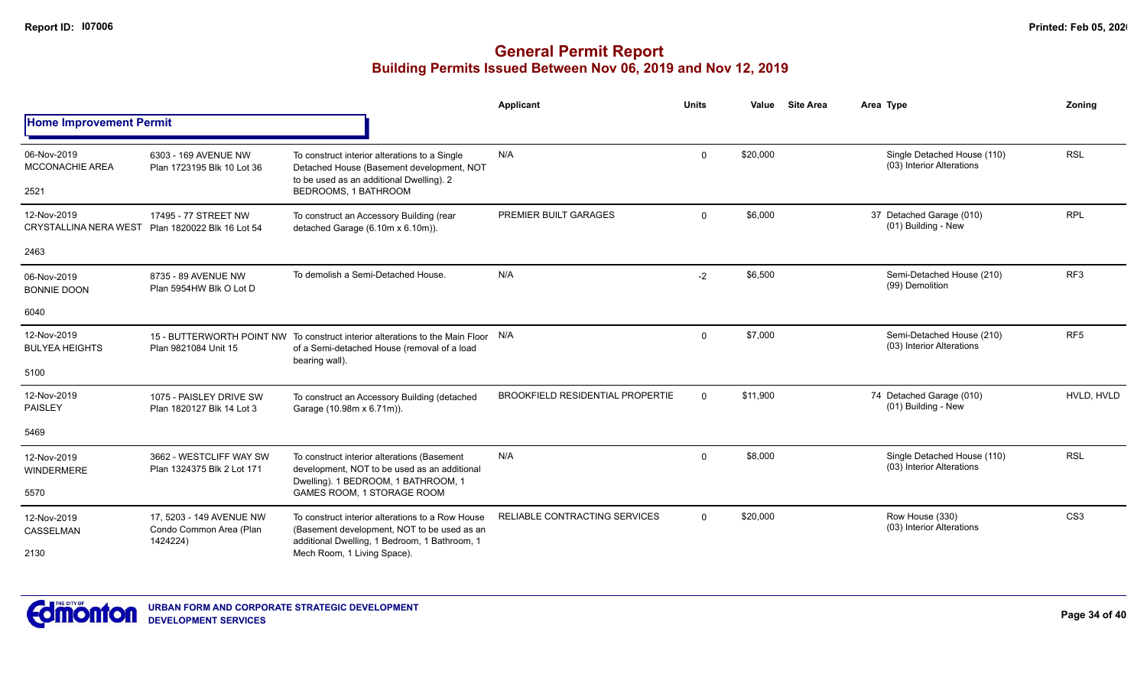|                                                                 |                                                                 |                                                                                                                                                    | <b>Applicant</b>                        | <b>Units</b>   | Value    | <b>Site Area</b> | Area Type                                                | Zoning          |
|-----------------------------------------------------------------|-----------------------------------------------------------------|----------------------------------------------------------------------------------------------------------------------------------------------------|-----------------------------------------|----------------|----------|------------------|----------------------------------------------------------|-----------------|
| <b>Home Improvement Permit</b>                                  |                                                                 |                                                                                                                                                    |                                         |                |          |                  |                                                          |                 |
| 06-Nov-2019<br>MCCONACHIE AREA                                  | 6303 - 169 AVENUE NW<br>Plan 1723195 Blk 10 Lot 36              | To construct interior alterations to a Single<br>Detached House (Basement development, NOT<br>to be used as an additional Dwelling). 2             | N/A                                     | $\mathbf{0}$   | \$20,000 |                  | Single Detached House (110)<br>(03) Interior Alterations | <b>RSL</b>      |
| 2521                                                            |                                                                 | BEDROOMS, 1 BATHROOM                                                                                                                               |                                         |                |          |                  |                                                          |                 |
| 12-Nov-2019<br>CRYSTALLINA NERA WEST Plan 1820022 Blk 16 Lot 54 | 17495 - 77 STREET NW                                            | To construct an Accessory Building (rear<br>detached Garage (6.10m x 6.10m)).                                                                      | PREMIER BUILT GARAGES                   | $\mathbf 0$    | \$6,000  |                  | 37 Detached Garage (010)<br>(01) Building - New          | <b>RPL</b>      |
| 2463                                                            |                                                                 |                                                                                                                                                    |                                         |                |          |                  |                                                          |                 |
| 06-Nov-2019<br><b>BONNIE DOON</b>                               | 8735 - 89 AVENUE NW<br>Plan 5954HW Blk O Lot D                  | To demolish a Semi-Detached House.                                                                                                                 | N/A                                     | $-2$           | \$6,500  |                  | Semi-Detached House (210)<br>(99) Demolition             | RF <sub>3</sub> |
| 6040                                                            |                                                                 |                                                                                                                                                    |                                         |                |          |                  |                                                          |                 |
| 12-Nov-2019<br><b>BULYEA HEIGHTS</b>                            | Plan 9821084 Unit 15                                            | 15 - BUTTERWORTH POINT NW To construct interior alterations to the Main Floor N/A<br>of a Semi-detached House (removal of a load<br>bearing wall). |                                         | $\mathbf 0$    | \$7,000  |                  | Semi-Detached House (210)<br>(03) Interior Alterations   | RF <sub>5</sub> |
| 5100                                                            |                                                                 |                                                                                                                                                    |                                         |                |          |                  |                                                          |                 |
| 12-Nov-2019<br><b>PAISLEY</b>                                   | 1075 - PAISLEY DRIVE SW<br>Plan 1820127 Blk 14 Lot 3            | To construct an Accessory Building (detached<br>Garage (10.98m x 6.71m)).                                                                          | <b>BROOKFIELD RESIDENTIAL PROPERTIE</b> | $\Omega$       | \$11,900 |                  | 74 Detached Garage (010)<br>(01) Building - New          | HVLD. HVLD      |
| 5469                                                            |                                                                 |                                                                                                                                                    |                                         |                |          |                  |                                                          |                 |
| 12-Nov-2019<br><b>WINDERMERE</b>                                | 3662 - WESTCLIFF WAY SW<br>Plan 1324375 Blk 2 Lot 171           | To construct interior alterations (Basement<br>development, NOT to be used as an additional<br>Dwelling). 1 BEDROOM, 1 BATHROOM, 1                 | N/A                                     | $\Omega$       | \$8,000  |                  | Single Detached House (110)<br>(03) Interior Alterations | <b>RSL</b>      |
| 5570                                                            |                                                                 | GAMES ROOM, 1 STORAGE ROOM                                                                                                                         |                                         |                |          |                  |                                                          |                 |
| 12-Nov-2019<br>CASSELMAN                                        | 17, 5203 - 149 AVENUE NW<br>Condo Common Area (Plan<br>1424224) | To construct interior alterations to a Row House<br>(Basement development, NOT to be used as an<br>additional Dwelling, 1 Bedroom, 1 Bathroom, 1   | <b>RELIABLE CONTRACTING SERVICES</b>    | $\overline{0}$ | \$20,000 |                  | Row House (330)<br>(03) Interior Alterations             | CS <sub>3</sub> |
| 2130                                                            |                                                                 | Mech Room, 1 Living Space).                                                                                                                        |                                         |                |          |                  |                                                          |                 |

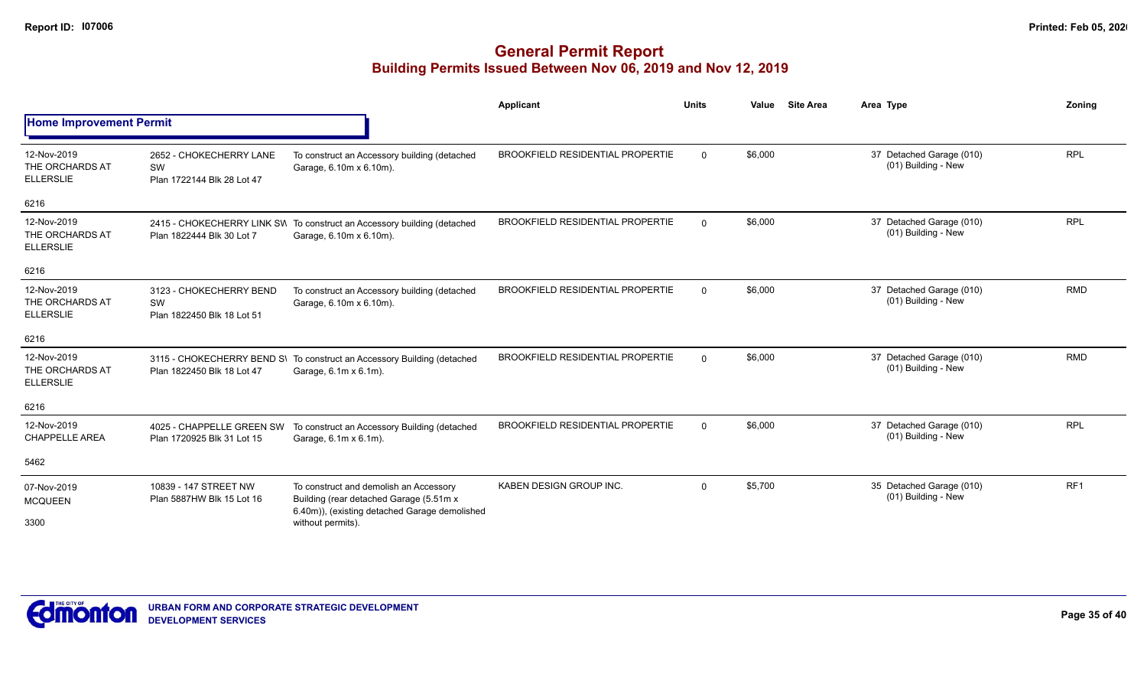|                                                    |                                                             |                                                                                                                                    | <b>Applicant</b>                        | <b>Units</b>   | Value   | <b>Site Area</b> | Area Type                                       | Zonina          |
|----------------------------------------------------|-------------------------------------------------------------|------------------------------------------------------------------------------------------------------------------------------------|-----------------------------------------|----------------|---------|------------------|-------------------------------------------------|-----------------|
| <b>Home Improvement Permit</b>                     |                                                             |                                                                                                                                    |                                         |                |         |                  |                                                 |                 |
| 12-Nov-2019<br>THE ORCHARDS AT<br><b>ELLERSLIE</b> | 2652 - CHOKECHERRY LANE<br>SW<br>Plan 1722144 Blk 28 Lot 47 | To construct an Accessory building (detached<br>Garage, 6.10m x 6.10m).                                                            | BROOKFIELD RESIDENTIAL PROPERTIE        | $\overline{0}$ | \$6,000 |                  | 37 Detached Garage (010)<br>(01) Building - New | <b>RPL</b>      |
| 6216                                               |                                                             |                                                                                                                                    |                                         |                |         |                  |                                                 |                 |
| 12-Nov-2019<br>THE ORCHARDS AT<br><b>ELLERSLIE</b> | Plan 1822444 Blk 30 Lot 7                                   | 2415 - CHOKECHERRY LINK SVI To construct an Accessory building (detached<br>Garage, 6.10m x 6.10m).                                | BROOKFIELD RESIDENTIAL PROPERTIE        | $\Omega$       | \$6,000 |                  | 37 Detached Garage (010)<br>(01) Building - New | <b>RPL</b>      |
| 6216                                               |                                                             |                                                                                                                                    |                                         |                |         |                  |                                                 |                 |
| 12-Nov-2019<br>THE ORCHARDS AT<br><b>ELLERSLIE</b> | 3123 - CHOKECHERRY BEND<br>SW<br>Plan 1822450 Blk 18 Lot 51 | To construct an Accessory building (detached<br>Garage, 6.10m x 6.10m).                                                            | <b>BROOKFIELD RESIDENTIAL PROPERTIE</b> | $\Omega$       | \$6,000 |                  | 37 Detached Garage (010)<br>(01) Building - New | <b>RMD</b>      |
| 6216                                               |                                                             |                                                                                                                                    |                                         |                |         |                  |                                                 |                 |
| 12-Nov-2019<br>THE ORCHARDS AT<br><b>ELLERSLIE</b> | Plan 1822450 Blk 18 Lot 47                                  | 3115 - CHOKECHERRY BEND S\ To construct an Accessory Building (detached<br>Garage, 6.1m x 6.1m).                                   | <b>BROOKFIELD RESIDENTIAL PROPERTIE</b> | $\Omega$       | \$6,000 |                  | 37 Detached Garage (010)<br>(01) Building - New | <b>RMD</b>      |
| 6216                                               |                                                             |                                                                                                                                    |                                         |                |         |                  |                                                 |                 |
| 12-Nov-2019<br><b>CHAPPELLE AREA</b>               | 4025 - CHAPPELLE GREEN SW<br>Plan 1720925 Blk 31 Lot 15     | To construct an Accessory Building (detached<br>Garage, 6.1m x 6.1m).                                                              | <b>BROOKFIELD RESIDENTIAL PROPERTIE</b> | $\Omega$       | \$6,000 |                  | 37 Detached Garage (010)<br>(01) Building - New | <b>RPL</b>      |
| 5462                                               |                                                             |                                                                                                                                    |                                         |                |         |                  |                                                 |                 |
| 07-Nov-2019<br><b>MCQUEEN</b>                      | 10839 - 147 STREET NW<br>Plan 5887HW Blk 15 Lot 16          | To construct and demolish an Accessory<br>Building (rear detached Garage (5.51m x<br>6.40m)), (existing detached Garage demolished | KABEN DESIGN GROUP INC.                 | $\mathbf 0$    | \$5,700 |                  | 35 Detached Garage (010)<br>(01) Building - New | RF <sub>1</sub> |
| 3300                                               |                                                             | without permits).                                                                                                                  |                                         |                |         |                  |                                                 |                 |

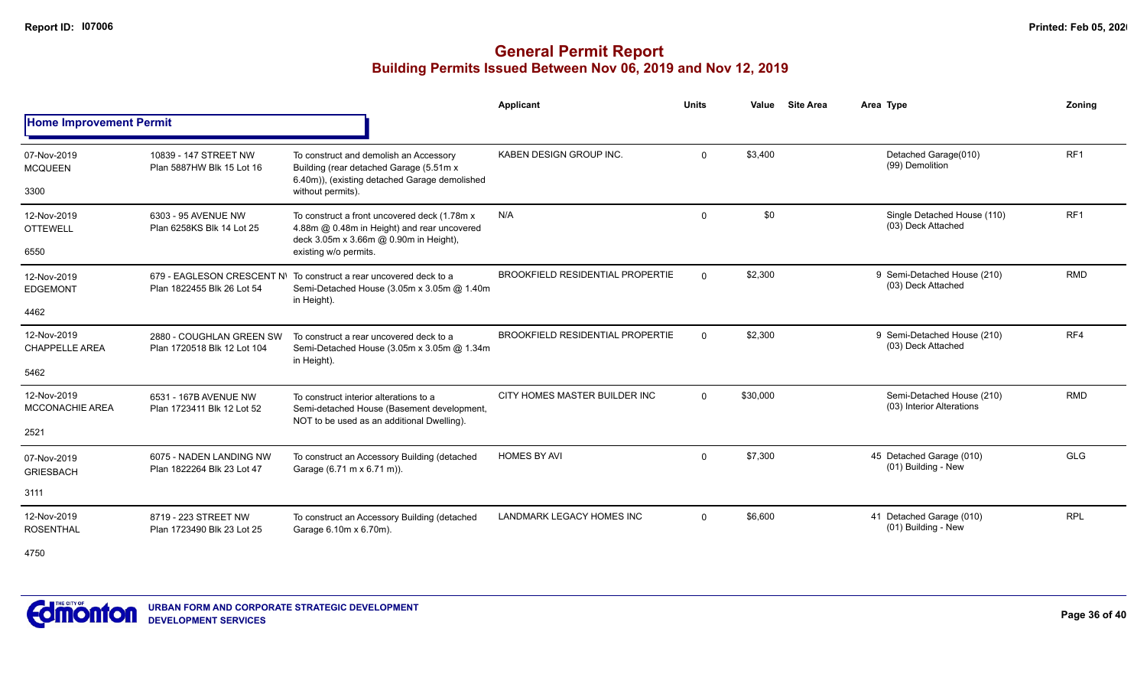### **General Permit Report Building Permits Issued Between Nov 06, 2019 and Nov 12, 2019**

|                                               |                                                          |                                                                                                                                                                | Applicant                               | <b>Units</b> | Value    | <b>Site Area</b> | Area Type                                              | Zonina          |
|-----------------------------------------------|----------------------------------------------------------|----------------------------------------------------------------------------------------------------------------------------------------------------------------|-----------------------------------------|--------------|----------|------------------|--------------------------------------------------------|-----------------|
| <b>Home Improvement Permit</b>                |                                                          |                                                                                                                                                                |                                         |              |          |                  |                                                        |                 |
| 07-Nov-2019<br><b>MCQUEEN</b><br>3300         | 10839 - 147 STREET NW<br>Plan 5887HW Blk 15 Lot 16       | To construct and demolish an Accessory<br>Building (rear detached Garage (5.51m x<br>6.40m)), (existing detached Garage demolished<br>without permits).        | KABEN DESIGN GROUP INC.                 | $\Omega$     | \$3.400  |                  | Detached Garage(010)<br>(99) Demolition                | RF <sub>1</sub> |
| 12-Nov-2019<br><b>OTTEWELL</b><br>6550        | 6303 - 95 AVENUE NW<br>Plan 6258KS Blk 14 Lot 25         | To construct a front uncovered deck (1.78m x<br>4.88m @ 0.48m in Height) and rear uncovered<br>deck 3.05m x 3.66m @ 0.90m in Height),<br>existing w/o permits. | N/A                                     | $\mathbf 0$  | \$0      |                  | Single Detached House (110)<br>(03) Deck Attached      | RF <sub>1</sub> |
| 12-Nov-2019<br><b>EDGEMONT</b>                | 679 - EAGLESON CRESCENT N\<br>Plan 1822455 Blk 26 Lot 54 | To construct a rear uncovered deck to a<br>Semi-Detached House (3.05m x 3.05m @ 1.40m<br>in Height).                                                           | <b>BROOKFIELD RESIDENTIAL PROPERTIE</b> | $\Omega$     | \$2,300  |                  | 9 Semi-Detached House (210)<br>(03) Deck Attached      | <b>RMD</b>      |
| 4462                                          |                                                          |                                                                                                                                                                |                                         |              |          |                  |                                                        |                 |
| 12-Nov-2019<br><b>CHAPPELLE AREA</b><br>5462  | 2880 - COUGHLAN GREEN SW<br>Plan 1720518 Blk 12 Lot 104  | To construct a rear uncovered deck to a<br>Semi-Detached House (3.05m x 3.05m @ 1.34m<br>in Height).                                                           | <b>BROOKFIELD RESIDENTIAL PROPERTIE</b> | $\Omega$     | \$2,300  |                  | 9 Semi-Detached House (210)<br>(03) Deck Attached      | RF4             |
| 12-Nov-2019<br><b>MCCONACHIE AREA</b><br>2521 | 6531 - 167B AVENUE NW<br>Plan 1723411 Blk 12 Lot 52      | To construct interior alterations to a<br>Semi-detached House (Basement development,<br>NOT to be used as an additional Dwelling).                             | CITY HOMES MASTER BUILDER INC           | $\Omega$     | \$30,000 |                  | Semi-Detached House (210)<br>(03) Interior Alterations | <b>RMD</b>      |
| 07-Nov-2019<br><b>GRIESBACH</b><br>3111       | 6075 - NADEN LANDING NW<br>Plan 1822264 Blk 23 Lot 47    | To construct an Accessory Building (detached<br>Garage (6.71 m x 6.71 m)).                                                                                     | <b>HOMES BY AVI</b>                     | $\mathbf 0$  | \$7,300  |                  | 45 Detached Garage (010)<br>(01) Building - New        | <b>GLG</b>      |
| 12-Nov-2019<br><b>ROSENTHAL</b>               | 8719 - 223 STREET NW<br>Plan 1723490 Blk 23 Lot 25       | To construct an Accessory Building (detached<br>Garage 6.10m x 6.70m).                                                                                         | LANDMARK LEGACY HOMES INC               | $\Omega$     | \$6,600  |                  | 41 Detached Garage (010)<br>(01) Building - New        | <b>RPL</b>      |

4750

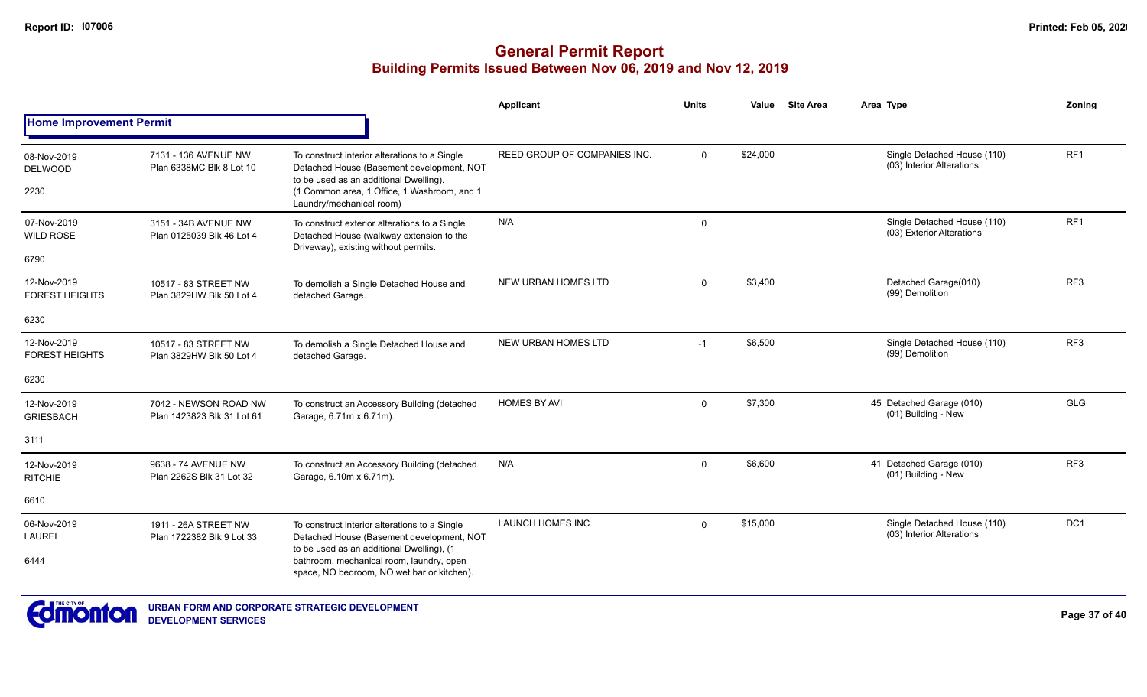|                                         |                                                     |                                                                                                                                                                                                                                   | <b>Applicant</b>                    | <b>Units</b> | Value    | <b>Site Area</b> | Area Type                                                | Zonina          |  |
|-----------------------------------------|-----------------------------------------------------|-----------------------------------------------------------------------------------------------------------------------------------------------------------------------------------------------------------------------------------|-------------------------------------|--------------|----------|------------------|----------------------------------------------------------|-----------------|--|
| <b>Home Improvement Permit</b>          |                                                     |                                                                                                                                                                                                                                   |                                     |              |          |                  |                                                          |                 |  |
| 08-Nov-2019<br><b>DELWOOD</b><br>2230   | 7131 - 136 AVENUE NW<br>Plan 6338MC Blk 8 Lot 10    | To construct interior alterations to a Single<br>Detached House (Basement development, NOT<br>to be used as an additional Dwelling).<br>(1 Common area, 1 Office, 1 Washroom, and 1<br>Laundry/mechanical room)                   | <b>REED GROUP OF COMPANIES INC.</b> | $\Omega$     | \$24,000 |                  | Single Detached House (110)<br>(03) Interior Alterations | RF <sub>1</sub> |  |
| 07-Nov-2019<br><b>WILD ROSE</b><br>6790 | 3151 - 34B AVENUE NW<br>Plan 0125039 Blk 46 Lot 4   | To construct exterior alterations to a Single<br>Detached House (walkway extension to the<br>Driveway), existing without permits.                                                                                                 | N/A                                 | $\mathsf{O}$ |          |                  | Single Detached House (110)<br>(03) Exterior Alterations | RF <sub>1</sub> |  |
| 12-Nov-2019<br><b>FOREST HEIGHTS</b>    | 10517 - 83 STREET NW<br>Plan 3829HW Blk 50 Lot 4    | To demolish a Single Detached House and<br>detached Garage.                                                                                                                                                                       | <b>NEW URBAN HOMES LTD</b>          | $\mathbf{0}$ | \$3,400  |                  | Detached Garage(010)<br>(99) Demolition                  | RF <sub>3</sub> |  |
| 6230                                    |                                                     |                                                                                                                                                                                                                                   |                                     |              |          |                  |                                                          |                 |  |
| 12-Nov-2019<br><b>FOREST HEIGHTS</b>    | 10517 - 83 STREET NW<br>Plan 3829HW Blk 50 Lot 4    | To demolish a Single Detached House and<br>detached Garage.                                                                                                                                                                       | <b>NEW URBAN HOMES LTD</b>          | $-1$         | \$6,500  |                  | Single Detached House (110)<br>(99) Demolition           | RF <sub>3</sub> |  |
| 6230                                    |                                                     |                                                                                                                                                                                                                                   |                                     |              |          |                  |                                                          |                 |  |
| 12-Nov-2019<br><b>GRIESBACH</b>         | 7042 - NEWSON ROAD NW<br>Plan 1423823 Blk 31 Lot 61 | To construct an Accessory Building (detached<br>Garage, 6.71m x 6.71m).                                                                                                                                                           | <b>HOMES BY AVI</b>                 | $\mathbf{0}$ | \$7,300  |                  | 45 Detached Garage (010)<br>(01) Building - New          | <b>GLG</b>      |  |
| 3111                                    |                                                     |                                                                                                                                                                                                                                   |                                     |              |          |                  |                                                          |                 |  |
| 12-Nov-2019<br><b>RITCHIE</b>           | 9638 - 74 AVENUE NW<br>Plan 2262S Blk 31 Lot 32     | To construct an Accessory Building (detached<br>Garage, 6.10m x 6.71m).                                                                                                                                                           | N/A                                 | $\Omega$     | \$6,600  |                  | 41 Detached Garage (010)<br>(01) Building - New          | RF <sub>3</sub> |  |
| 6610                                    |                                                     |                                                                                                                                                                                                                                   |                                     |              |          |                  |                                                          |                 |  |
| 06-Nov-2019<br><b>LAUREL</b><br>6444    | 1911 - 26A STREET NW<br>Plan 1722382 Blk 9 Lot 33   | To construct interior alterations to a Single<br>Detached House (Basement development, NOT<br>to be used as an additional Dwelling), (1<br>bathroom, mechanical room, laundry, open<br>space, NO bedroom, NO wet bar or kitchen). | <b>LAUNCH HOMES INC</b>             | $\mathbf 0$  | \$15,000 |                  | Single Detached House (110)<br>(03) Interior Alterations | DC <sub>1</sub> |  |

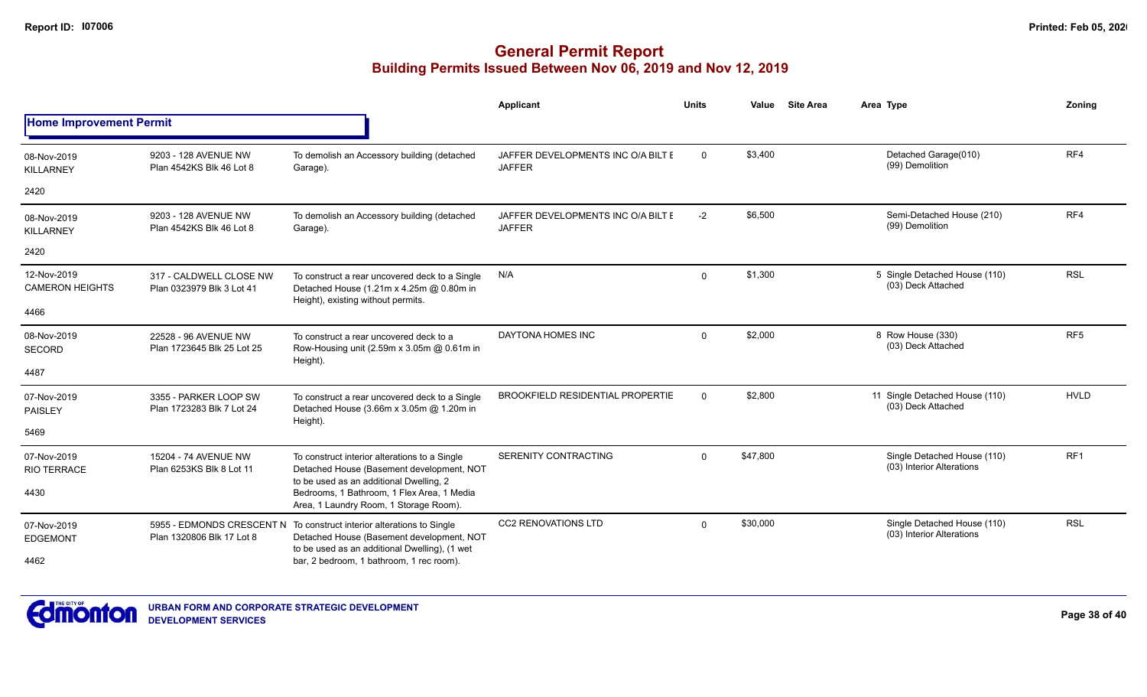|                                       |                                                      |                                                                                                                                                                                                                               | Applicant                                           | <b>Units</b> | Value    | <b>Site Area</b> | Area Type                                                | Zonina          |
|---------------------------------------|------------------------------------------------------|-------------------------------------------------------------------------------------------------------------------------------------------------------------------------------------------------------------------------------|-----------------------------------------------------|--------------|----------|------------------|----------------------------------------------------------|-----------------|
| <b>Home Improvement Permit</b>        |                                                      |                                                                                                                                                                                                                               |                                                     |              |          |                  |                                                          |                 |
| 08-Nov-2019<br><b>KILLARNEY</b>       | 9203 - 128 AVENUE NW<br>Plan 4542KS Blk 46 Lot 8     | To demolish an Accessory building (detached<br>Garage).                                                                                                                                                                       | JAFFER DEVELOPMENTS INC O/A BILT E<br><b>JAFFER</b> | $\mathbf 0$  | \$3,400  |                  | Detached Garage(010)<br>(99) Demolition                  | RF4             |
| 2420                                  |                                                      |                                                                                                                                                                                                                               |                                                     |              |          |                  |                                                          |                 |
| 08-Nov-2019<br><b>KILLARNEY</b>       | 9203 - 128 AVENUE NW<br>Plan 4542KS Blk 46 Lot 8     | To demolish an Accessory building (detached<br>Garage).                                                                                                                                                                       | JAFFER DEVELOPMENTS INC O/A BILT E<br><b>JAFFER</b> | $-2$         | \$6,500  |                  | Semi-Detached House (210)<br>(99) Demolition             | RF4             |
| 2420                                  |                                                      |                                                                                                                                                                                                                               |                                                     |              |          |                  |                                                          |                 |
| 12-Nov-2019<br><b>CAMERON HEIGHTS</b> | 317 - CALDWELL CLOSE NW<br>Plan 0323979 Blk 3 Lot 41 | To construct a rear uncovered deck to a Single<br>Detached House (1.21m x 4.25m @ 0.80m in<br>Height), existing without permits.                                                                                              | N/A                                                 | $\mathbf{0}$ | \$1,300  |                  | 5 Single Detached House (110)<br>(03) Deck Attached      | <b>RSL</b>      |
| 4466                                  |                                                      |                                                                                                                                                                                                                               |                                                     |              |          |                  |                                                          |                 |
| 08-Nov-2019<br><b>SECORD</b>          | 22528 - 96 AVENUE NW<br>Plan 1723645 Blk 25 Lot 25   | To construct a rear uncovered deck to a<br>Row-Housing unit (2.59m x 3.05m @ 0.61m in<br>Height).                                                                                                                             | <b>DAYTONA HOMES INC</b>                            | $\mathbf{0}$ | \$2,000  |                  | 8 Row House (330)<br>(03) Deck Attached                  | RF <sub>5</sub> |
| 4487                                  |                                                      |                                                                                                                                                                                                                               |                                                     |              |          |                  |                                                          |                 |
| 07-Nov-2019<br><b>PAISLEY</b>         | 3355 - PARKER LOOP SW<br>Plan 1723283 Blk 7 Lot 24   | To construct a rear uncovered deck to a Single<br>Detached House (3.66m x 3.05m @ 1.20m in<br>Height).                                                                                                                        | <b>BROOKFIELD RESIDENTIAL PROPERTIE</b>             | $\Omega$     | \$2,800  |                  | 11 Single Detached House (110)<br>(03) Deck Attached     | <b>HVLD</b>     |
| 5469                                  |                                                      |                                                                                                                                                                                                                               |                                                     |              |          |                  |                                                          |                 |
| 07-Nov-2019<br><b>RIO TERRACE</b>     | 15204 - 74 AVENUE NW<br>Plan 6253KS Blk 8 Lot 11     | To construct interior alterations to a Single<br>Detached House (Basement development, NOT<br>to be used as an additional Dwelling, 2<br>Bedrooms, 1 Bathroom, 1 Flex Area, 1 Media<br>Area, 1 Laundry Room, 1 Storage Room). | SERENITY CONTRACTING                                | $\Omega$     | \$47,800 |                  | Single Detached House (110)<br>(03) Interior Alterations | RF <sub>1</sub> |
| 4430                                  |                                                      |                                                                                                                                                                                                                               |                                                     |              |          |                  |                                                          |                 |
| 07-Nov-2019<br><b>EDGEMONT</b>        | Plan 1320806 Blk 17 Lot 8                            | 5955 - EDMONDS CRESCENT N To construct interior alterations to Single<br>Detached House (Basement development, NOT<br>to be used as an additional Dwelling), (1 wet<br>bar, 2 bedroom, 1 bathroom, 1 rec room).               | <b>CC2 RENOVATIONS LTD</b>                          | $\Omega$     | \$30,000 |                  | Single Detached House (110)<br>(03) Interior Alterations | <b>RSL</b>      |
| 4462                                  |                                                      |                                                                                                                                                                                                                               |                                                     |              |          |                  |                                                          |                 |



**Page 38 of 40**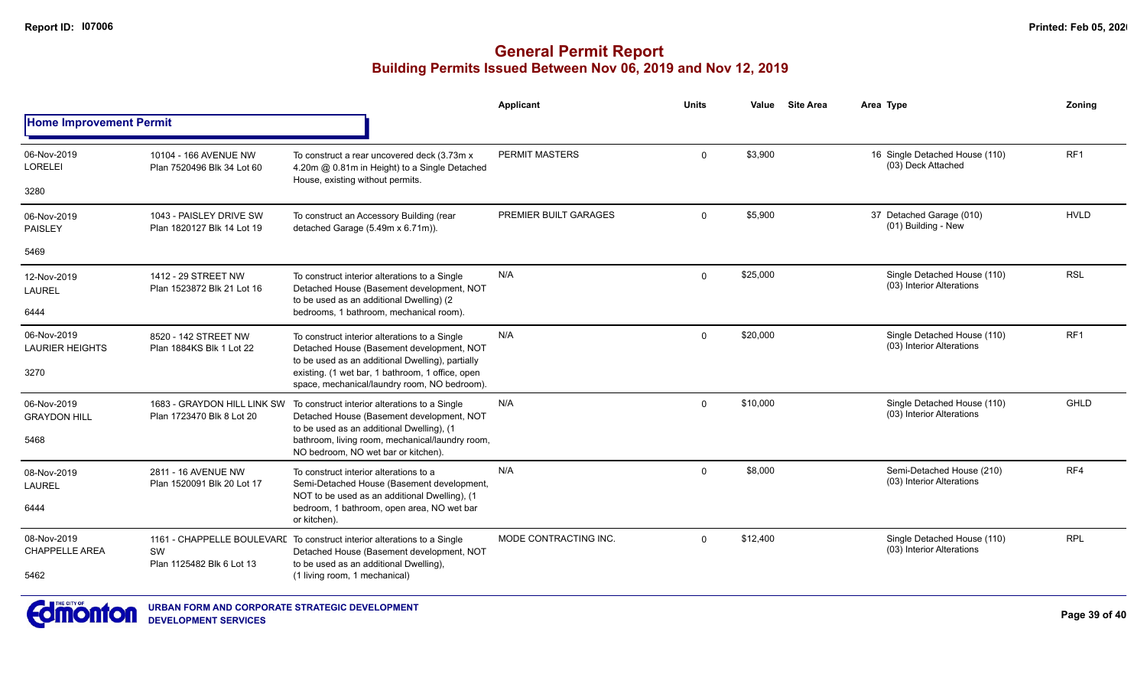|                                       |                                                          |                                                                                                                                                                                                                                   | <b>Applicant</b>      | <b>Units</b> | Value    | <b>Site Area</b> | Area Type                                                | Zoning      |
|---------------------------------------|----------------------------------------------------------|-----------------------------------------------------------------------------------------------------------------------------------------------------------------------------------------------------------------------------------|-----------------------|--------------|----------|------------------|----------------------------------------------------------|-------------|
| <b>Home Improvement Permit</b>        |                                                          |                                                                                                                                                                                                                                   |                       |              |          |                  |                                                          |             |
| 06-Nov-2019<br><b>LORELEI</b>         | 10104 - 166 AVENUE NW<br>Plan 7520496 Blk 34 Lot 60      | To construct a rear uncovered deck (3.73m x)<br>4.20m @ 0.81m in Height) to a Single Detached<br>House, existing without permits.                                                                                                 | PERMIT MASTERS        | $\Omega$     | \$3.900  |                  | 16 Single Detached House (110)<br>(03) Deck Attached     | RF1         |
| 3280                                  |                                                          |                                                                                                                                                                                                                                   |                       |              |          |                  |                                                          |             |
| 06-Nov-2019<br><b>PAISLEY</b>         | 1043 - PAISLEY DRIVE SW<br>Plan 1820127 Blk 14 Lot 19    | To construct an Accessory Building (rear<br>detached Garage (5.49m x 6.71m)).                                                                                                                                                     | PREMIER BUILT GARAGES | $\mathbf 0$  | \$5,900  |                  | 37 Detached Garage (010)<br>(01) Building - New          | <b>HVLD</b> |
| 5469                                  |                                                          |                                                                                                                                                                                                                                   |                       |              |          |                  |                                                          |             |
| 12-Nov-2019<br><b>LAUREL</b>          | 1412 - 29 STREET NW<br>Plan 1523872 Blk 21 Lot 16        | To construct interior alterations to a Single<br>Detached House (Basement development, NOT<br>to be used as an additional Dwelling) (2                                                                                            | N/A                   | $\mathbf 0$  | \$25,000 |                  | Single Detached House (110)<br>(03) Interior Alterations | <b>RSL</b>  |
| 6444                                  |                                                          | bedrooms, 1 bathroom, mechanical room).                                                                                                                                                                                           |                       |              |          |                  |                                                          |             |
| 06-Nov-2019<br><b>LAURIER HEIGHTS</b> | 8520 - 142 STREET NW<br>Plan 1884KS Blk 1 Lot 22         | To construct interior alterations to a Single<br>Detached House (Basement development, NOT<br>to be used as an additional Dwelling), partially                                                                                    | N/A                   | $\mathbf{0}$ | \$20,000 |                  | Single Detached House (110)<br>(03) Interior Alterations | RF1         |
| 3270                                  |                                                          | existing. (1 wet bar, 1 bathroom, 1 office, open<br>space, mechanical/laundry room, NO bedroom).                                                                                                                                  |                       |              |          |                  |                                                          |             |
| 06-Nov-2019<br><b>GRAYDON HILL</b>    | 1683 - GRAYDON HILL LINK SW<br>Plan 1723470 Blk 8 Lot 20 | To construct interior alterations to a Single<br>Detached House (Basement development, NOT<br>to be used as an additional Dwelling), (1<br>bathroom, living room, mechanical/laundry room,<br>NO bedroom, NO wet bar or kitchen). | N/A                   | $\mathbf{0}$ | \$10,000 |                  | Single Detached House (110)<br>(03) Interior Alterations | GHLD        |
| 5468                                  |                                                          |                                                                                                                                                                                                                                   |                       |              |          |                  |                                                          |             |
| 08-Nov-2019<br><b>LAUREL</b>          | 2811 - 16 AVENUE NW<br>Plan 1520091 Blk 20 Lot 17        | To construct interior alterations to a<br>Semi-Detached House (Basement development,                                                                                                                                              | N/A                   | $\Omega$     | \$8,000  |                  | Semi-Detached House (210)<br>(03) Interior Alterations   | RF4         |
| 6444                                  |                                                          | NOT to be used as an additional Dwelling), (1<br>bedroom, 1 bathroom, open area, NO wet bar<br>or kitchen).                                                                                                                       |                       |              |          |                  |                                                          |             |
| 08-Nov-2019<br><b>CHAPPELLE AREA</b>  | SW<br>Plan 1125482 Blk 6 Lot 13                          | 1161 - CHAPPELLE BOULEVARL To construct interior alterations to a Single<br>Detached House (Basement development, NOT<br>to be used as an additional Dwelling),<br>(1 living room, 1 mechanical)                                  | MODE CONTRACTING INC. | $\mathbf{0}$ | \$12,400 |                  | Single Detached House (110)<br>(03) Interior Alterations | <b>RPL</b>  |
| 5462                                  |                                                          |                                                                                                                                                                                                                                   |                       |              |          |                  |                                                          |             |